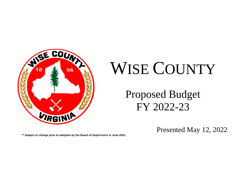

# WISE COUNTY

Proposed Budget FY 2022-23

Presented May 12, 2022

**\*\* Subject to change prior to adoption by the Board of Supervisors in June 2022.**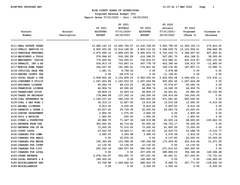# **WISE COUNTY BOARD OF SUPERVISORS Proposed Revenue Budget (P3) Report dates 07/01/2022 - thru - 06/30/2023**

| Account<br>Number      | Account<br>Description | FY 2021<br><b>ADJUSTED</b><br><b>BUDGET</b> | FY 2021<br><b>ACTUALS</b><br>$07/01/2020 -$<br>06/30/2021 | FY 2022<br><b>ADJUSTED</b><br><b>BUDGET</b> | FY 2022<br>Actuals<br>07/01/2021-<br>06/30/2022 | FY 2023<br>Proposed<br>(Phase 3) | Increase or<br>Decrease |
|------------------------|------------------------|---------------------------------------------|-----------------------------------------------------------|---------------------------------------------|-------------------------------------------------|----------------------------------|-------------------------|
|                        |                        |                                             |                                                           |                                             |                                                 |                                  |                         |
| 4111-REAL ESTATE TAXES |                        |                                             | 12, 485, 161.12 12, 690, 720.27 12, 232, 746.93           |                                             |                                                 | 5,663,795.65 12,509,150.13       | 276,403.20              |
| 4112-PUBLIC SERVICE CO |                        |                                             | 9,900,000.00 10,016,148.92                                | 9,826,110.02                                |                                                 | 5,098,539.72 10,122,956.01       | 296,845.99              |
| 4113-TANGIBLE PERSONAL |                        | 5,473,990.12                                | 5,899,293.92                                              | 4,960,633.72                                | 5,720,502.73                                    | 5,368,497.63                     | 407,863.91              |
| 4114-MACHINERY & TOOLS |                        | 578,994.43                                  | 524,392.99                                                | 416, 188.51                                 | 567,281.70                                      | 454, 188.51                      | 38,000.00               |
| 4115-MERCHANTS' CAPITA |                        | 775,455.62                                  | 726,055.51                                                | 732, 416.57                                 | 619,946.31                                      | 632, 314.97                      | $-100, 101.60$          |
| 4116-PENALTY, INT & AD |                        | 534, 913.79                                 | 703,867.14                                                | 547,778.79                                  | 453,390.44                                      | 534, 913.79                      | $-12,865.00$            |
| 4117-MOBILE HOME TAXES |                        | 166,637.00                                  | 191,095.41                                                | 176,821.42                                  | 169,132.95                                      | 187,807.13                       | 10,985.71               |
| 4118-JUDICIAL SALE FEE |                        | 1,481.31                                    | 8,758.32                                                  | 0.00                                        | 2,678.68                                        | 0.00                             | 0.00                    |
| 4119-REFUND COUNTY TAX |                        | 0.00                                        | $-28,575.14$                                              | 0.00                                        | $-11, 154.81$                                   | 0.00                             | 0.00                    |
| 4121-LOCAL SALES & USE |                        | 2,908,922.00                                | 3,105,809.25                                              | 2,952,000.00                                | 2,632,952.28                                    | 3,066,432.11                     | 114, 432.11             |
| 4122-CONSUMER'S UTILIT |                        | 1,267,624.89                                | 1, 163, 553. 52                                           | 1,267,624.89                                | 935,662.44                                      | 1,267,624.89                     | 0.00                    |
| 4123-BUSINESS LICENSE  |                        | 95,283.76                                   | 89, 153. 25                                               | 95,283.76                                   | 75,576.67                                       | 95,283.76                        | 0.00                    |
| 4124-FRANCHISE LICENSE |                        | 44,906.74                                   | 40,085.40                                                 | 44,906.74                                   | 16,540.35                                       | 44,906.74                        | 0.00                    |
| 4125-TRANSCIENT OCCUP  |                        | 28,859.10                                   | 23,653.19                                                 | 28,859.10                                   | 24,401.81                                       | 93,980.00                        | 65,120.90               |
| 4126-TAXES ON RECORDAT |                        | 178,884.99                                  | 137,242.14                                                | 140,000.00                                  | 156,914.69                                      | 140,000.00                       | 0.00                    |
| 4128-COAL SEVERANCE TA |                        | 1, 165, 237. 26                             | 590,109.76                                                | 800,000.00                                  | 671,081.40                                      | 800,000.00                       | 0.00                    |
| 4129-COAL & GAS ROAD I |                        | 34, 315. 13                                 | 12,827.00                                                 | 19,510.28                                   | 14,510.28                                       | 15,000.00                        | $-4,510.28$             |
| 4131-ANIMAL LICENSES   |                        | 8,410.00                                    | 5,220.00                                                  | 8,410.00                                    | 2,450.00                                        | 8,410.00                         | 0.00                    |
| 4132-PERMITS & OTHER L |                        | 20,527.40                                   | 29,739.39                                                 | 25,000.00                                   | 29,083.74                                       | 25,000.00                        | 0.00                    |
| 4133-ZONING DEPARTMENT |                        | 2,800.00                                    | 1,075.00                                                  | 2,800.00                                    | 0.00                                            | 2,800.00                         | 0.00                    |
| 4134-SOIL & EROSION    |                        | 1,950.00                                    | 200.00                                                    | 1,950.00                                    | 0.00                                            | 1,950.00                         | 0.00                    |
| 4141-FINES & FORFEITUR |                        | 40,882.75                                   | 71,447.30                                                 | 169,515.88                                  | 63, 635.14                                      | 68,693.85                        | $-100,822.03$           |
| 4151-REVENUE FROM USE  |                        | 300,000.00                                  | 44,714.82                                                 | 50,000.00                                   | $-58,753.17$                                    | 50,000.00                        | 0.00                    |
| 4152-REVENUE USE OF PR |                        | 73,000.00                                   | 72,510.00                                                 | 73,000.00                                   | 61,455.00                                       | 73,000.00                        | 0.00                    |
| 4161-COURT COSTS       |                        | 23,542.55                                   | 14,629.17                                                 | 28, 192.55                                  | 16,919.70                                       | 23,088.78                        | $-5, 103.77$            |
| 4162-CHARGES FOR COMM. |                        | 3,990.03                                    | 3,054.98                                                  | 3,990.03                                    | 2,570.06                                        | 2,816.52                         | $-1, 173.51$            |
| 4163-CHARGES FOR HEALT |                        | 0.00                                        | 52,970.35                                                 | 0.00                                        | 9,157.80                                        | 25,000.00                        | 25,000.00               |
| 4164-CHARGES FOR WELFA |                        | 190,344.89                                  | 103,348.92                                                | 190,344.89                                  | 173,909.90                                      | 202, 616.48                      | 12,271.59               |
| 4165-CHARGES FOR COUNT |                        | 12,135.00                                   | 12,135.00                                                 | 12,135.00                                   | 0.00                                            | 12,135.00                        | 0.00                    |
| 4166-CHARGES FOR CITY  |                        | 250,035.18                                  | 289,557.09                                                | 290,000.00                                  | 271,912.53                                      | 290,000.00                       | 0.00                    |
| 4167-CHARGES FOR LOCAL |                        | 0.00                                        | 0.00                                                      | 207,000.00                                  | 288,896.00                                      | 356,366.48                       | 149,366.48              |
| 4183-OTHER REVENUE     |                        | 2,678,724.97                                | 352,991.75                                                | 397,931.00                                  | 92,491.31                                       | 327,200.00                       | $-70,731.00$            |
| 4184-LOCAL REPORTS & B |                        | 189,300.00                                  | 0.00                                                      | 192,900.00                                  | 0.00                                            | 0.00                             | $-192,900.00$           |
| 4185-MISCELLANEOUS REF |                        | 93,769.98                                   | 1,546,462.43                                              | 486,403.39                                  | 8,969.72                                        | 357,771.00                       | -128,632.39             |
| 4189-MISCELLANEOUS     |                        | 0.00                                        | 0.00                                                      | 2,500.00                                    | 2,500.00                                        | 0.00                             | $-2,500.00$             |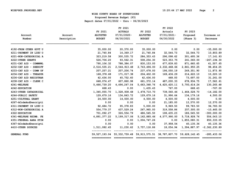**Proposed Revenue Budget (P3)**

| Account                | Account     | FY 2021<br><b>ADJUSTED</b> | FY 2021<br><b>ACTUALS</b><br>$07/01/2020 -$ | FY 2022<br><b>ADJUSTED</b>                                            | FY 2022<br>Actuals<br>07/01/2021- | FY 2023<br>Proposed | Increase or                |
|------------------------|-------------|----------------------------|---------------------------------------------|-----------------------------------------------------------------------|-----------------------------------|---------------------|----------------------------|
| Number                 | Description | <b>BUDGET</b>              | 06/30/2021                                  | <b>BUDGET</b>                                                         | 06/30/2022                        | (Phase 3)           | Decrease                   |
|                        |             |                            |                                             |                                                                       |                                   |                     |                            |
| 4192-FROM OTHER GOVT U |             | 35,000.00                  | 20,370.00                                   | 35,000.00                                                             | 0.00                              | 0.00                | $-35,000.00$               |
| 4211-PAYMENT IN LIEU O |             | 21,740.84                  | 14,369.17                                   | 21,740.84                                                             | 32,544.73                         | 32,544.73           | 10,803.89                  |
| 4221-NON-CATEGORICAL A |             | 323, 219.58                | 300,535.72                                  | 284, 353.43                                                           | 296,098.62                        | 301,495.36          | 17, 141.93                 |
| 4222-OTHER GRANTS      |             | 526,706.20                 | 93,562.31                                   | 508,254.30                                                            | 523, 353. 75                      | 241,060.00          | $-267, 194.30$             |
| 4231-CAT AID - COMMNWL |             | 790,106.32                 | 788,384.07                                  | 830,153.00                                                            | 677,839.83                        | 871,660.65          | 41,507.65                  |
| 4232-CAT AID - SHERIFF |             | 2,516,535.21               | 2,544,913.48                                | 2,743,496.00                                                          | 2,332,468.66                      | 2,841,950.25        | 98, 454.25                 |
| 4233-CAT AID - COMM OF |             | 207, 257.21                | 207,206.74                                  | 237,478.00                                                            | 196,050.19                        | 249,351.90          | 11,873.90                  |
| 4234-CAT AID - TREASUR |             | 168,378.68                 | 171,017.38                                  | 204,402.00                                                            | 169,436.29                        | 214,622.10          | 10,220.10                  |
| 4236-CAT AID REGISTRAR |             | 42,436.00                  | 45,752.60                                   | 42,436.00                                                             | 468.00                            | 73,697.00           | 31,261.00                  |
| 4238-CAT AID - CLERK C |             | 648,074.47                 | 607,860.98                                  | 661, 372.14                                                           | 487,200.33                        | 678,934.75          | 17,562.61                  |
| 4241-WELFARE           |             | 5,466,739.20               | 4,496,247.04                                | 5,663,348.76                                                          | 4,425,420.11                      | 5,793,614.24        | 130,265.48                 |
| 4242-EDUCATION         |             | 668.43                     | 0.00                                        | 1,435.43                                                              | 767.00                            | 668.43              | $-767.00$                  |
| 4243-OTHER CATAGORICAL |             | 1,345,055.70               | 1,328,938.68                                | 1,478,710.70                                                          | 739,560.46                        | 1,464,528.70        | $-14, 182.00$              |
| 4244-PUBLIC SAFETY     |             | 129,679.16                 | 134,843.72                                  | 129,679.16                                                            | 31,996.64                         | 134, 179. 16        | 4,500.00                   |
| 4251-CULTURAL GRANT    |             | 24,500.00                  | 14,500.00                                   | 4,500.00                                                              | 4,500.00                          | 4,500.00            | 0.00                       |
| 4267-ACodeAndDescripti |             | 0.00                       | 0.00                                        | 0.00                                                                  | 21,185.00                         | 12,570.00           | 12,570.00                  |
| 4311-PAYMENT IN LIEU O |             | 92,684.72                  | 95,378.83                                   | 5,000.00                                                              | 9,969.50                          | 99,783.50           | 94,783.50                  |
| 4312-NON-CATEGORICAL A |             | 554,779.37                 | 437,529.24                                  | 267,965.00                                                            | 319,558.86                        | 257,500.00          | $-10, 465.00$              |
| 4322-EDUCATION         |             | 701,092.27                 | 326,554.79                                  | 486,545.50                                                            | 108,435.23                        | 186,545.50          | $-300,000.00$              |
| 4341-WELFARE REIMB. FE |             | 4,891,377.22               | 5,199,317.06                                | 5, 162, 885. 66                                                       | 4,577,990.00                      | 5,718,928.76        | 556,043.10                 |
| 4351-FEDERAL AARA STIM |             | 0.00                       | 0.00                                        | 1,004,747.26                                                          | 0.00                              | 1,855,080.31        | 850, 333.05                |
| 4367-ACodeAndDescripti |             | 0.00                       | 0.00                                        | 0.00                                                                  | 37,958.54                         | 40,135.36           | 40,135.36                  |
| 4410-OTHER SOURCES     |             | 1,511,082.45               | 11,230.62                                   | 3,757,118.86                                                          | 18,054.94                         |                     | 1,394,887.97 -2,362,230.89 |
| <b>GENERAL FUND</b>    |             |                            |                                             | 59,527,193.04 55,332,759.48 59,913,575.51 38,787,807.70 59,628,142.45 |                                   |                     | $-285, 433.06$             |
|                        |             |                            |                                             |                                                                       |                                   |                     |                            |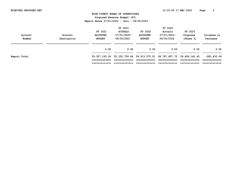## **WISE COUNTY BOARD OF SUPERVISORS Proposed Revenue Budget (P3) Report dates 07/01/2022 - thru - 06/30/2023**

| Account<br>Number | Account<br>Description | FY 2021<br><b>ADJUSTED</b><br><b>BUDGET</b> | FY 2021<br><b>ACTUALS</b><br>07/01/2020-<br>06/30/2021 | FY 2022<br><b>ADJUSTED</b><br><b>BUDGET</b> | FY 2022<br>Actuals<br>07/01/2021-<br>06/30/2022 | FY 2023<br>Proposed<br>(Phase 3) | Increase or<br>Decrease      |
|-------------------|------------------------|---------------------------------------------|--------------------------------------------------------|---------------------------------------------|-------------------------------------------------|----------------------------------|------------------------------|
|                   |                        | 0.00                                        | 0.00                                                   | 0.00                                        | 0.00                                            | 0.00                             | 0.00                         |
| Report Total      |                        | 59,527,193.04                               | 55, 332, 759. 48 59, 913, 575. 51                      |                                             | 38,787,807.70                                   | 59,628,142.45                    | $-285, 433.06$               |
|                   |                        | =============                               |                                                        | _____________                               | -------------                                   | ____________                     | -------------<br>___________ |
|                   |                        | *************                               | *************                                          | *************                               | *************                                   | *************                    | *************                |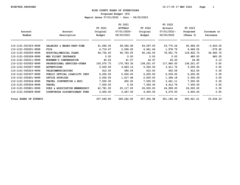# **WISE COUNTY BOARD OF SUPERVISORS Proposed Budget (P3) Report dates 07/01/2022 - thru - 06/30/2023**

| Account<br>Number      | Account<br>Description        | FY 2021<br>Original<br>Budget | FY 2021<br><b>ACTUALS</b><br>$07/01/2020 -$<br>06/30/2021 | FY 2022<br>Original<br>Budget | FY 2022<br>Actuals<br>$07/01/2021 -$<br>06/30/2022 | FY 2023<br>Proposed<br>(Phase 3) | Increase or<br>Decrease |
|------------------------|-------------------------------|-------------------------------|-----------------------------------------------------------|-------------------------------|----------------------------------------------------|----------------------------------|-------------------------|
| 110-1101-501003-9999   | SALARIES & WAGES-PART-TIME    | 61,692.00                     | 58,492.96                                                 | 64,597.00                     | 53,770.24                                          | 60,994.00                        | $-3,603.00$             |
| 110-1101-502001-9999   | <b>FICA</b>                   | 4,719.47                      | 2,096.65                                                  | 4,941.64                      | 1,978.79                                           | 4,666.02                         | $-275.62$               |
| 110-1101-502005-9999   | HOSPITAL/MEDICAL PLANS        | 94,734.00                     | 94,793.00                                                 | 90,162.00                     | 78,951.75                                          | 126,822.72                       | 36,660.72               |
| 110-1101-502008-9999   | MED FLIGHT INSURANCE          | 0.00                          | 0.00                                                      | 0.00                          | 0.00                                               | 480.00                           | 480.00                  |
| 110-1101-502011-9999   | WORKMEN'S COMPENSATION        | 40.63                         | 41.07                                                     | 42.67                         | 45.20                                              | 44.80                            | 2.13                    |
| 110-1101-503002-9999   | PROFESSIONAL SERVICES-OTHER   | 100,070.75                    | 170,783.30                                                | 138,201.67                    | 117,860.00                                         | 138,201.67                       | 0.00                    |
| 110-1101-503007-9999   | <b>ADVERTISING</b>            | 5,000.00                      | 4,863.10                                                  | 5,000.00                      | 3,611.72                                           | 5,000.00                         | 0.00                    |
| 110-1101-505203-9999   | <b>TELECOMMUNICATIONS</b>     | 612.00                        | 586.59                                                    | 612.00                        | 452.59                                             | 612.00                           | 0.00                    |
| 110-1101-505307-9999   | PUBLIC OFFICAL LIABILITY INSU | 6, 200.00                     | 5,934.00                                                  | 6,200.00                      | 6,039.00                                           | 6,200.00                         | 0.00                    |
| 110-1101-505401-9999   | OFFICE SUPPLIES               | 2,000.00                      | 1,617.48                                                  | 2,000.00                      | 1,348.18                                           | 2,000.00                         | 0.00                    |
| 110-1101-505504-9999   | TRAVEL (CONVENTION & EDU)     | 7,500.00                      | 450.00                                                    | 7,500.00                      | 3,441.11                                           | 7,500.00                         | 0.00                    |
| 110-1101-505506-9999   | <b>TRAVEL</b>                 | 7,500.00                      | 0.00                                                      | 7,500.00                      | 4,412.76                                           | 7,500.00                         | 0.00                    |
| 110-1101-505801-9999   | DUES & ASSOCIATION MEMBERSHIP | 42,781.00                     | 25,117.00                                                 | 26,000.00                     | 24,999.00                                          | 26,000.00                        | 0.00                    |
| 110-1101-505808-9999   | COUNTYWIDE DISCRETIONARY FUND | 4,600.00                      | 4,467.50                                                  | 4,600.00                      | 4,275.00                                           | 4,600.00                         | 0.00                    |
| Total BOARD OF SUPERVI |                               | 337,449.85                    | 369,242.65                                                | 357,356.98                    | 301,185.34                                         | 390,621.21                       | 33, 264.23              |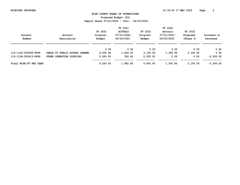**Proposed Budget (P3)**

| Account<br>Number      | Account<br>Description        | FY 2021<br>Original<br>Budget | FY 2021<br><b>ACTUALS</b><br>07/01/2020-<br>06/30/2021 | FY 2022<br>Original<br>Budget | FY 2022<br>Actuals<br>$07/01/2021 -$<br>06/30/2022 | FY 2023<br>Proposed<br>(Phase 3) | Increase or<br>Decrease |
|------------------------|-------------------------------|-------------------------------|--------------------------------------------------------|-------------------------------|----------------------------------------------------|----------------------------------|-------------------------|
|                        |                               | 0.00                          | 0.00                                                   | 0.00                          | 0.00                                               | 0.00                             | 0.00                    |
| 110-1106-503008-9999   | CABLE TV PUBLIC ACCESS CHANNE | 4,200.00                      | 1,626.20                                               | 2,100.00                      | 1,393.95                                           | 2,100.00                         | 0.00                    |
| 110-1106-505413-9999   | OTHER OPERATING SUPPLIES      | 5,000.00                      | 356.40                                                 | 2,500.00                      | 0.00                                               | 0.00                             | $-2,500.00$             |
| Total WISE-TV PEG CHAN |                               | 9,200,00                      | 1,982.60                                               | 4,600.00                      | 1,393.95                                           | 2,100.00                         | $-2,500.00$             |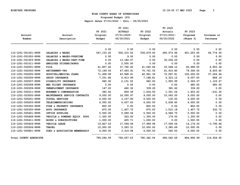**Proposed Budget (P3)**

| Account                       | Account                          | FY 2021<br>Original | FY 2021<br><b>ACTUALS</b><br>$07/01/2020 -$ | FY 2022<br>Original | FY 2022<br>Actuals<br>07/01/2021- | FY 2023<br>Proposed | Increase or |
|-------------------------------|----------------------------------|---------------------|---------------------------------------------|---------------------|-----------------------------------|---------------------|-------------|
| Number                        | Description                      | Budget              | 06/30/2021                                  | Budget              | 06/30/2022                        | (Phase 3)           | Decrease    |
|                               |                                  | 0.00                | 0.00                                        | 0.00                | 0.00                              | 0.00                | 0.00        |
| 110-1201-501001-9999          | SALARIES & WAGES                 | 547, 153.20         | 506,315.52                                  | 536,479.00          | 440,073.96                        | 601,253.00          | 64,774.00   |
| 110-1201-501002-9999          | SALARIES & WAGES-OVERTIME        | 0.00                | 9.00                                        | 0.00                | 0.00                              | 0.00                | 0.00        |
| 110-1201-501003-9999          | SALARIES & WAGES-PART-TIME       | 0.00                | 13,182.07                                   | 0.00                | 32,206.25                         | 0.00                | 0.00        |
| 110-1201-501011-9999          | EMPLOYEE STIPEND/BONUS           | 0.00                | 2,000.00                                    | 0.00                | 0.00                              | 0.00                | 0.00        |
| 110-1201-502001-9999          | <b>FICA</b>                      | 41,857.22           | 37,790.00                                   | 41,040.66           | 33,548.12                         | 45,996.00           | 4,955.34    |
| 110-1201-502002-9999          | <b>RETIREMENT-VRS</b>            | 72,169.50           | 67,693.91                                   | 70,761.55           | 61,910.80                         | 79,365.00           | 8,603.45    |
| 110-1201-502005-9999          | HOSPITAL/MEDICAL PLANS           | 71,458.08           | 63,968.41                                   | 62,961.36           | 72,597.81                         | 100,206.00          | 37,244.64   |
| 110-1201-502006-9999          | GROUP INSURANCE                  | 7,331.86            | 6,913.99                                    | 7,188.81            | 6,323.12                          | 8,057.00            | 868.19      |
| 110-1201-502007-9999          | DISABILITY INSURANCE             | 940.00              | 2,131.52                                    | 940.00              | 1,993.99                          | 2,063.27            | 1,123.27    |
| 110-1201-502008-9999          | MED FLIGHT INSURANCE             | 0.00                | 0.00                                        | 0.00                | 0.00                              | 480.00              | 480.00      |
| 110-1201-502009-9999          | UNEMPLOYMENT INSURANCE           | 147.20              | 460.32                                      | 339.20              | 381.62                            | 339.20              | 0.00        |
| 110-1201-502011-9999          | WORKMEN'S COMPENSATION           | 383.00              | 859.39                                      | 1,634.50            | 1,351.54                          | 1,403.20            | $-231.30$   |
| 110-1201-503005-9999          | MAINTENANCE SERVICE CONTRACTS    | 9,050.00            | 14,595.97                                   | 9,050.00            | 15,093.00                         | 9,050.00            | 0.00        |
| 110-1201-505201-9999          | POSTAL SERVICES                  | 4,500.00            | 3,157.95                                    | 4,500.00            | 130.00                            | 4,500.00            | 0.00        |
| 110-1201-505203-9999          | <b>TELECOMMUNICATIONS</b>        | 4,000.00            | 6,437.63                                    | 4,000.00            | 2,638.60                          | 4,000.00            | 0.00        |
| 110-1201-505302-9999          | FIRE & PROPERTY INSURANCE        | 802.00              | 0.00                                        | 802.00              | 0.00                              | 802.00              | 0.00        |
| 110-1201-505305-9999          | <b>AUTO INSURANCE</b>            | 875.00              | 1,407.72                                    | 875.00              | 1,515.18                          | 1,407.72            | 532.72      |
| 110-1201-505401-9999          | OFFICE SUPPLIES                  | 5,500.00            | 5,699.04                                    | 5,500.00            | 4,584.75                          | 5,500.00            | 0.00        |
| 110-1201-505408-9999          | VEHICLE & POWERED EQUIP. SUPP    | 1,300.00            | 522.83                                      | 1,300.00            | 174.00                            | 1,300.00            | 0.00        |
| 110-1201-505411-9999          | <b>BOOKS &amp; SUBSCRIPTIONS</b> | 1,000.00            | 405.71                                      | 1,000.00            | 0.00                              | 1,000.00            | 0.00        |
| 110-1201-505426-9999          | VEHICLE LEASE                    | 16,827.53           | 17,594.06                                   | 17,969.96           | 17,594.06                         | 14,174.30           | $-3,795.66$ |
| 110-1201-505506-9999          | <b>TRAVEL</b>                    | 10,000.00           | 3,593.31                                    | 10,000.00           | 3,385.69                          | 10,000.00           | 0.00        |
| 110-1201-505801-9999          | DUES & ASSOCIATION MEMBERSHIP    | 4,000.00            | 3,319.08                                    | 4,000.00            | 540.00                            | 4,000.00            | 0.00        |
| <b>Total COUNTY ADMINISTR</b> |                                  | 799,294.59          | 758,057.43                                  | 780, 342.04         | 696,042.49                        | 894,896.69          | 114,554.65  |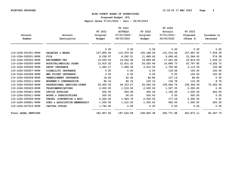**Proposed Budget (P3)**

|                             |                                  |            | FY 2021        |            | FY 2022     |            |             |
|-----------------------------|----------------------------------|------------|----------------|------------|-------------|------------|-------------|
|                             |                                  | FY 2021    | <b>ACTUALS</b> | FY 2022    | Actuals     | FY 2023    |             |
| Account                     | Account                          | Original   | 07/01/2020-    | Original   | 07/01/2021- | Proposed   | Increase or |
| Number                      | Description                      | Budget     | 06/30/2021     | Budget     | 06/30/2022  | (Phase 3)  | Decrease    |
|                             |                                  | 0.00       | 0.00           | 0.00       | 0.00        | 0.00       | 0.00        |
| 110-1204-501001-9999        | SALARIES & WAGES                 | 107,859.54 | 110,979.92     | 150,188.00 | 131,514.64  | 157,697.00 | 7,509.00    |
| 110-1204-502001-9999        | <b>FICA</b>                      | 8,238.97   | 8,262.51       | 11,489.42  | 9,699.45    | 12,064.00  | 574.58      |
| 110-1204-502002-9999        | <b>RETIREMENT-VRS</b>            | 14,205.50  | 14,554.08      | 19,809.85  | 17,241.84   | 20,816.00  | 1,006.15    |
| 110-1204-502005-9999        | HOSPITAL/MEDICAL PLANS           | 12,610.32  | 12,615.32      | 24,020.64  | 16,896.73   | 20,767.92  | $-3,252.72$ |
| 110-1204-502006-9999        | <b>GROUP INSURANCE</b>           | 1,443.17   | 1,486.56       | 2,012.52   | 1,760.85    | 2,113.00   | 100.48      |
| 110-1204-502007-9999        | DISABILITY INSURANCE             | 0.00       | 0.00           | 0.00       | 118.64      | 100.00     | 100.00      |
| 110-1204-502008-9999        | MED FLIGHT INSURANCE             | 0.00       | 0.00           | 0.00       | 0.00        | 120.00     | 120.00      |
| 110-1204-502009-9999        | UNEMPLOYMENT INSURANCE           | 18.40      | 42.40          | 84.80      | 127.16      | 84.80      | 0.00        |
| 110-1204-502011-9999        | WORKMEN'S COMPENSATION           | 86.16      | 86.74          | 120.15     | 136.78      | 110.39     | $-9.76$     |
| 110-1204-503002-9999        | PROFESSIONAL SERVICES-OTHER      | 30,655.00  | 34, 333. 27    | 25,000.00  | 109,650.76  | 100,000.00 | 75,000.00   |
| 110-1204-505203-9999        | TELECOMMUNICATIONS               | 2,000.00   | 1,519.50       | 2,000.00   | 1,327.35    | 2,000.00   | 0.00        |
| 110-1204-505401-9999        | OFFICE SUPPLIES                  | 600.00     | 655.90         | 600.00     | 1,165.49    | 1,000.00   | 400.00      |
| 110-1204-505411-9999        | <b>BOOKS &amp; SUBSCRIPTIONS</b> | 500.00     | 54.00          | 500.00     | 0.00        | 500.00     | 0.00        |
| 110-1204-505504-9999        | TRAVEL (CONVENTION & EDU)        | 2,000.00   | 1,924.79       | 2,000.00   | 177.29      | 2,000.00   | 0.00        |
| 110-1204-505801-9999        | DUES & ASSOCIATION MEMBERSHIP    | 1,000.00   | 1,010.00       | 1,000.00   | 955.00      | 1,500.00   | 500.00      |
| 110-1204-507010-9999        | CAPITAL OUTLAY                   | 1,740.00   | 0.00           | 0.00       | 0.00        | 0.00       | 0.00        |
| <b>Total LEGAL SERVICES</b> |                                  | 182,957.06 | 187,524.99     | 238,825.38 | 290,771.98  | 320,873.11 | 82,047.73   |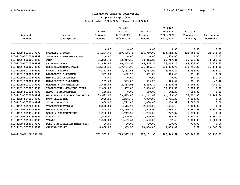**Proposed Budget (P3)**

|                        |                               | FY 2021      | FY 2021<br><b>ACTUALS</b> | FY 2022    | FY 2022<br>Actuals | FY 2023    |              |
|------------------------|-------------------------------|--------------|---------------------------|------------|--------------------|------------|--------------|
| Account                | Account                       | Original     | $07/01/2020 -$            | Original   | 07/01/2021-        | Proposed   | Increase or  |
| Number                 | Description                   | Budget       | 06/30/2021                | Budget     | 06/30/2022         | (Phase 3)  | Decrease     |
|                        |                               | 0.00         | 0.00                      | 0.00       | 0.00               | 0.00       | 0.00         |
| 110-1209-501001-9999   | SALARIES & WAGES              | 474,294.40   | 460,428.72                | 496,940.00 | 423,552.32         | 521,783.00 | 24,843.00    |
| 110-1209-501002-9999   | SALARIES & WAGES-OVERTIME     | 0.00         | 0.00                      | 0.00       | 1,500.00           | 0.00       | 0.00         |
| 110-1209-502001-9999   | <b>FICA</b>                   | 36,205.48    | 32,017.18                 | 38,015.88  | 29,767.31          | 39,916.00  | 1,900.12     |
| 110-1209-502002-9999   | <b>RETIREMENT-VRS</b>         | 62,424.86    | 60,348.96                 | 65,546.35  | 55,445.25          | 68,875.00  | 3,328.65     |
| 110-1209-502005-9999   | HOSPITAL/MEDICAL PLANS        | 133, 155. 12 | 127,704.96                | 121,346.40 | 110,889.72         | 140,791.20 | 19,444.80    |
| 110-1209-502006-9999   | GROUP INSURANCE               | 6,341.87     | 6, 163.68                 | 6,658.99   | 5,662.44           | 6,992.00   | 333.01       |
| 110-1209-502007-9999   | DISABILITY INSURANCE          | 351.80       | 422.16                    | 351.80     | 369.40             | 351.80     | 0.00         |
| 110-1209-502008-9999   | MED FLIGHT INSURANCE          | 0.00         | 0.00                      | 0.00       | 0.00               | 540.00     | 540.00       |
| 110-1209-502009-9999   | UNEMPLOYMENT INSURANCE        | 165.60       | 329.06                    | 339.20     | 329.02             | 381.60     | 42.40        |
| 110-1209-502011-9999   | WORKMEN'S COMPENSATION        | 2,645.08     | 2,663.03                  | 2,630.72   | 2,818.75           | 2,146.50   | $-484.22$    |
| 110-1209-503002-9999   | PROFESSIONAL SERVICES-OTHER   | 2,000.00     | 1,667.05                  | 2,000.00   | 10,473.36          | 2,000.00   | 0.00         |
| 110-1209-503004-9999   | REPAIR & MAINTENANCE          | 150.00       | 0.00                      | 150.00     | 142.33             | 150.00     | 0.00         |
| 110-1209-503005-9999   | MAINTENANCE SERVICE CONTRACTS | 39,681.00    | 39,645.05                 | 41,242.64  | 41, 183.85         | 53,012.00  | 11,769.36    |
| 110-1209-504001-9999   | DATA PROCESSING               | 7,000.00     | 6,236.49                  | 7,000.00   | 6,755.39           | 7,000.00   | 0.00         |
| 110-1209-505201-9999   | POSTAL SERVICES               | 2,000.00     | 1,712.00                  | 2,000.00   | 470.52             | 2,000.00   | 0.00         |
| 110-1209-505203-9999   | <b>TELECOMMUNICATIONS</b>     | 2,000.00     | 1,616.97                  | 2,000.00   | 1,484.10           | 2,000.00   | 0.00         |
| 110-1209-505401-9999   | OFFICE SUPPLIES               | 1,500.00     | $-2,780.89$               | 1,500.00   | 1,483.47           | 2,780.89   | 1,280.89     |
| 110-1209-505411-9999   | BOOKS & SUBSCRIPTIONS         | 1,750.00     | 1,749.53                  | 1,750.00   | 1,727.87           | 1,750.00   | 0.00         |
| 110-1209-505412-9999   | <b>EDUCATION</b>              | 1,500.00     | 1,500.00                  | 1,500.00   | 650.00             | 4,800.00   | 3,300.00     |
| 110-1209-505506-9999   | <b>TRAVEL</b>                 | 1,500.00     | 1,499.60                  | 1,500.00   | 152.45             | 3,000.00   | 1,500.00     |
| 110-1209-505801-9999   | DUES & ASSOCIATION MEMBERSHIP | 700.00       | 700.00                    | 700.00     | 100.00             | 700.00     | 0.00         |
| 110-1209-507010-9999   | CAPITAL OUTLAY                | 6,000.00     | 1,903.56                  | 14,000.00  | 8,483.07           | 0.00       | $-14,000.00$ |
| Total COMM. OF THE REV |                               | 781,365.21   | 745,527.11                | 807,171.98 | 703,440.62         | 860,969.99 | 53,798.01    |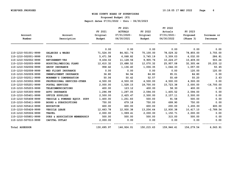**Proposed Budget (P3)**

|                       |                               |            | FY 2021        |            | FY 2022     |            |              |
|-----------------------|-------------------------------|------------|----------------|------------|-------------|------------|--------------|
|                       |                               | FY 2021    | <b>ACTUALS</b> | FY 2022    | Actuals     | FY 2023    |              |
| Account               | Account                       | Original   | $07/01/2020 -$ | Original   | 07/01/2021- | Proposed   | Increase or  |
| Number                | Description                   | Budget     | 06/30/2021     | Budget     | 06/30/2022  | (Phase 3)  | Decrease     |
|                       |                               | 0.00       | 0.00           | 0.00       | 0.00        | 0.00       | 0.00         |
| 110-1210-501001-9999  | SALARIES & WAGES              | 71,524.00  | 84,921.76      | 75,100.00  | 78,029.32   | 78,855.00  | 3,755.00     |
| 110-1210-502001-9999  | <b>FICA</b>                   | 5,471.58   | 6,068.82       | 5,745.19   | 5,309.03    | 6,032.00   | 286.81       |
| 110-1210-502002-9999  | <b>RETIREMENT-VRS</b>         | 9,434.02   | 11, 128.56     | 9,905.76   | 10,224.27   | 10,409.00  | 503.24       |
| 110-1210-502005-9999  | HOSPITAL/MEDICAL PLANS        | 12,610.32  | 15,688.52      | 12,070.32  | 25,957.08   | 32,305.44  | 20,235.12    |
| 110-1210-502006-9999  | GROUP INSURANCE               | 958.42     | 1,136.40       | 1,006.35   | 1,044.33    | 1,057.00   | 50.65        |
| 110-1210-502008-9999  | MED FLIGHT INSURANCE          | 0.00       | 0.00           | 0.00       | 0.00        | 120.00     | 120.00       |
| 110-1210-502009-9999  | UNEMPLOYMENT INSURANCE        | 36.80      | 94.94          | 84.80      | 95.01       | 84.80      | 0.00         |
| 110-1210-502011-9999  | WORKMEN'S COMPENSATION        | 50.06      | 50.42          | 52.57      | 55.49       | 55.20      | 2.63         |
| 110-1210-503002-9999  | PROFESSIONAL SERVICES-OTHER   | 4,500.00   | 4,500.00       | 4,500.00   | 4,500.00    | 4,500.00   | 0.00         |
| 110-1210-505201-9999  | POSTAL SERVICES               | 2,000.00   | 1,528.15       | 18,700.00  | 15,723.38   | 2,000.00   | $-16,700.00$ |
| 110-1210-505203-9999  | <b>TELECOMMUNICATIONS</b>     | 400.00     | 123.12         | 400.00     | 58.30       | 400.00     | 0.00         |
| 110-1210-505305-9999  | <b>AUTO INSURANCE</b>         | 1,296.99   | 1,297.05       | 2,594.00   | 1,405.52    | 2,594.00   | 0.00         |
| 110-1210-505401-9999  | OFFICE SUPPLIES               | 2,500.00   | 2,425.47       | 2,500.00   | 2,157.11    | 2,500.00   | 0.00         |
| 110-1210-505408-9999  | VEHICLE & POWERED EQUIP. SUPP | 1,400.00   | 1,251.83       | 500.00     | 91.58       | 500.00     | 0.00         |
| 110-1210-505411-9999  | BOOKS & SUBSCRIPTIONS         | 750.00     | 679.18         | 750.00     | 699.90      | 750.00     | 0.00         |
| 110-1210-505412-9999  | <b>EDUCATION</b>              | 600.00     | 600.00         | 600.00     | 200.00      | 1,200.00   | 600.00       |
| 110-1210-505426-9999  | VEHICLE LEASE                 | 12,663.78  | 12,930.38      | 13,206.64  | 12,930.38   | 10,417.10  | $-2,789.54$  |
| 110-1210-505506-9999  | <b>TRAVEL</b>                 | 2,000.00   | 1,999.41       | 2,000.00   | 1,150.71    | 2,000.00   | 0.00         |
| 110-1210-505801-9999  | DUES & ASSOCIATION MEMBERSHIP | 500.00     | 500.00         | 500.00     | 315.00      | 500.00     | 0.00         |
| 110-1210-507010-9999  | CAPITAL OUTLAY                | 2,000.00   | 0.00           | 0.00       | 0.00        | 0.00       | 0.00         |
| <b>Total ASSESSOR</b> |                               | 130,695.97 | 146,924.01     | 150,215.63 | 159,946.41  | 156,279.54 | 6,063.91     |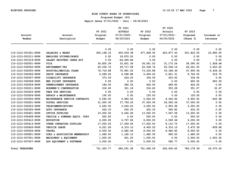**Proposed Budget (P3)**

| Account                | Account                       | FY 2021<br>Original | FY 2021<br><b>ACTUALS</b><br>$07/01/2020 -$ | FY 2022<br>Original | FY 2022<br>Actuals<br>07/01/2021- | FY 2023<br>Proposed | Increase or |
|------------------------|-------------------------------|---------------------|---------------------------------------------|---------------------|-----------------------------------|---------------------|-------------|
| Number                 | Description                   | Budget              | 06/30/2021                                  | Budget              | 06/30/2022                        | (Phase 3)           | Decrease    |
|                        |                               | 0.00                | 0.00                                        | 0.00                | 0.00                              | 0.00                | 0.00        |
| 110-1213-501001-9999   | SALARIES & WAGES              | 455, 168.33         | 455,509.38                                  | 477,928.00          | 425,877.43                        | 501,823.00          | 23,895.00   |
| 110-1213-501011-9999   | EMPLOYEE STIPEND/BONUS        | 0.00                | 18,870.00                                   | 0.00                | 0.00                              | 0.00                | 0.00        |
| 110-1213-501019-9999   | SALARY RECOVERY CARES ACT     | 0.00                | $-46,695.86$                                | 0.00                | 0.00                              | 0.00                | 0.00        |
| 110-1213-502001-9999   | <b>FICA</b>                   | 34,820.39           | 33,831.36                                   | 36,561.52           | 31, 173. 24                       | 38,390.00           | 1,828.48    |
| 110-1213-502002-9999   | RETIREMENT-VRS                | 60,036.72           | 59,717.58                                   | 63,038.74           | 55,038.16                         | 66,241.00           | 3,202.26    |
| 110-1213-502005-9999   | HOSPITAL/MEDICAL PLANS        | 76,718.88           | 75,991.02                                   | 73,334.88           | 53,186.49                         | 67,900.56           | $-5,434.32$ |
| 110-1213-502006-9999   | <b>GROUP INSURANCE</b>        | 6,099.26            | 6,098.88                                    | 6,404.25            | 5,621.31                          | 6,724.00            | 319.75      |
| 110-1213-502007-9999   | DISABILITY INSURANCE          | 372.00              | 424.20                                      | 334.55              | 433.40                            | 334.55              | 0.00        |
| 110-1213-502008-9999   | MED FLIGHT INSURANCE          | 0.00                | 0.00                                        | 0.00                | 0.00                              | 600.00              | 600.00      |
| 110-1213-502009-9999   | UNEMPLOYMENT INSURANCE        | 184.00              | 382.52                                      | 424.00              | 469.60                            | 424.00              | 0.00        |
| 110-1213-502011-9999   | WORKMEN'S COMPENSATION        | 318.60              | 321.18                                      | 318.60              | 353.28                            | 351.27              | 32.67       |
| 110-1213-503003-9999   | FEES FOR SERVICES             | 0.00                | 0.00                                        | 0.00                | 0.00                              | 0.00                | 0.00        |
| 110-1213-503004-9999   | REPAIR & MAINTENANCE          | 150.00              | 0.00                                        | 150.00              | 0.00                              | 150.00              | 0.00        |
| 110-1213-503005-9999   | MAINTENANCE SERVICE CONTRACTS | 5,044.00            | 4,964.52                                    | 5,044.00            | 4,324.92                          | 4,600.52            | $-443.48$   |
| 110-1213-505201-9999   | POSTAL SERVICES               | 31,000.00           | 37,756.25                                   | 37,000.00           | 24,065.06                         | 37,000.00           | 0.00        |
| 110-1213-505203-9999   | <b>TELECOMMUNICATIONS</b>     | 3,250.00            | 3,204.22                                    | 3,250.00            | 2,953.96                          | 3,250.00            | 0.00        |
| 110-1213-505305-9999   | <b>AUTO INSURANCE</b>         | 432.33              | 432.35                                      | 432.33              | 540.82                            | 432.33              | 0.00        |
| 110-1213-505401-9999   | OFFICE SUPPLIES               | 10,000.00           | 9,240.28                                    | 13,500.00           | 7,547.58                          | 13,500.00           | 0.00        |
| 110-1213-505408-9999   | VEHICLE & POWERED EQUIP. SUPP | 500.00              | 0.00                                        | 500.00              | 0.00                              | 500.00              | 0.00        |
| 110-1213-505412-9999   | <b>EDUCATION</b>              | 6,000.00            | 6,767.96                                    | 6,000.00            | 2,569.66                          | 6,000.00            | 0.00        |
| 110-1213-505413-9999   | OTHER OPERATING SUPPLIES      | 17,000.00           | 17,049.56                                   | 17,000.00           | 8,110.70                          | 17,000.00           | 0.00        |
| 110-1213-505426-9999   | <b>VEHICLE LEASE</b>          | 4,221.26            | 4,310.12                                    | 4,402.22            | 4,310.12                          | 3,472.36            | $-929.86$   |
| 110-1213-505506-9999   | <b>TRAVEL</b>                 | 4,500.00            | 4,482.49                                    | 8,500.00            | 8,485.92                          | 8,500.00            | 0.00        |
| 110-1213-505801-9999   | DUES & ASSOCIATION MEMBERSHIP | 1,485.00            | 1,182.12                                    | 1,485.00            | 990.00                            | 1,485.00            | 0.00        |
| 110-1213-507001-9999   | MACHINERY & EQUIPMENT         | 1,000.00            | 451.25                                      | 1,000.00            | 0.00                              | 2,500.00            | 1,500.00    |
| 110-1213-507007-9999   | ADP EQUIPMENT & SOFTWARE      | 3,000.00            | 0.00                                        | 5,000.00            | 582.77                            | 5,000.00            | 0.00        |
| <b>Total TREASURER</b> |                               | 721,300.77          | 694,291.38                                  | 761,608.09          | 636,634.42                        | 786,178.59          | 24,570.50   |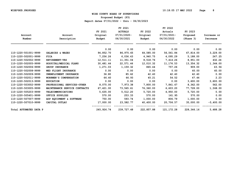**Proposed Budget (P3)**

|                        |                               |            | FY 2021        |            | FY 2022     |            |             |
|------------------------|-------------------------------|------------|----------------|------------|-------------|------------|-------------|
|                        |                               | FY 2021    | <b>ACTUALS</b> | FY 2022    | Actuals     | FY 2023    |             |
| Account                | Account                       | Original   | 07/01/2020-    | Original   | 07/01/2021- | Proposed   | Increase or |
| Number                 | Description                   | Budget     | 06/30/2021     | Budget     | 06/30/2022  | (Phase 3)  | Decrease    |
|                        |                               | 0.00       | 0.00           | 0.00       | 0.00        | 0.00       | 0.00        |
| 110-1220-501001-9999   | SALARIES & WAGES              | 94,852.70  | 86,975.65      | 64,585.00  | 56,561.84   | 67,814.00  | 3,229.00    |
| 110-1220-502001-9999   | <b>FICA</b>                   | 7,256.26   | 6,036.43       | 4,940.75   | 4,095.29    | 5,188.00   | 247.25      |
| 110-1220-502002-9999   | <b>RETIREMENT-VRS</b>         | 12,511.11  | 11,351.04      | 8,518.76   | 7,414.26    | 8,951.00   | 432.24      |
| 110-1220-502005-9999   | HOSPITAL/MEDICAL PLANS        | 30,481.44  | 22,571.46      | 12,010.32  | 11,176.53   | 13,354.32  | 1,344.00    |
| 110-1220-502006-9999   | GROUP INSURANCE               | 1,271.03   | 1,159.32       | 865.44     | 757.26      | 909.00     | 43.56       |
| 110-1220-502008-9999   | MED FLIGHT INSURANCE          | 0.00       | 0.00           | 0.00       | 0.00        | 60.00      | 60.00       |
| 110-1220-502009-9999   | UNEMPLOYMENT INSURANCE        | 36.80      | 85.62          | 42.40      | 42.40       | 42.40      | 0.00        |
| 110-1220-502011-9999   | WORKMEN'S COMPENSATION        | 66.40      | 66.93          | 45.21      | 54.52       | 47.44      | 2.23        |
| 110-1220-502013-9999   | <b>EDUCATION</b>              | 0.00       | 0.00           | 0.00       | 0.00        | 3,600.00   | 3,600.00    |
| 110-1220-503002-9999   | PROFESSIONAL SERVICES-OTHER   | 8,075.00   | 7,973.38       | 7,800.00   | 7,841.67    | 8,362.00   | 562.00      |
| 110-1220-503005-9999   | MAINTENANCE SERVICE CONTRACTS | 67,421.00  | 73,565.61      | 76,360.00  | 6,603.20    | 77,728.00  | 1,368.00    |
| 110-1220-505203-9999   | <b>TELECOMMUNICATIONS</b>     | 5,635.00   | 5,512.20       | 5,720.00   | 4,950.00    | 5,720.00   | 0.00        |
| 110-1220-505401-9999   | OFFICE SUPPLIES               | 570.00     | 253.33         | 570.00     | 161.95      | 570.00     | 0.00        |
| 110-1220-507007-9999   | ADP EQUIPMENT & SOFTWARE      | 750.00     | 593.74         | 1,000.00   | 806.79      | 1,000.00   | 0.00        |
| 110-1220-507010-9999   | CAPITAL OUTLAY                | 17,000.00  | 23,582.77      | 40,400.00  | 20,706.57   | 35,000.00  | $-5,400.00$ |
| Total AUTOMATED DATA P |                               | 245,926.74 | 239,727.48     | 222,857.88 | 121,172.28  | 228,346.16 | 5,488.28    |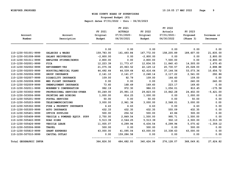**Proposed Budget (P3)**

| Account                | Account                       | FY 2021<br>Original | FY 2021<br><b>ACTUALS</b><br>$07/01/2020 -$ | FY 2022<br>Original | FY 2022<br>Actuals<br>07/01/2021- | FY 2023<br>Proposed | Increase or  |
|------------------------|-------------------------------|---------------------|---------------------------------------------|---------------------|-----------------------------------|---------------------|--------------|
| Number                 | Description                   | Budget              | 06/30/2021                                  | Budget              | 06/30/2022                        | (Phase 3)           | Decrease     |
|                        |                               | 0.00                | 0.00                                        | 0.00                | 0.00                              | 0.00                | 0.00         |
| 110-1230-501001-9999   | SALARIES & WAGES              | 159,783.00          | 161,493.84                                  | 167,772.00          | 158,205.89                        | 189,607.00          | 21,835.00    |
| 110-1230-501008-9999   | SALARY RECOVERIES             | $-2,800.00$         | 0.00                                        | $-2,800.00$         | 0.00                              | 0.00                | 2,800.00     |
| 110-1230-501011-9999   | EMPLOYEE STIPEND/BONUS        | 2,800.00            | 0.00                                        | 2,800.00            | 7,500.00                          | 0.00                | $-2,800.00$  |
| 110-1230-502001-9999   | <b>FICA</b>                   | 12,223.39           | 11,773.47                                   | 12,834.55           | 11,840.43                         | 14,505.00           | 1,670.45     |
| 110-1230-502002-9999   | <b>RETIREMENT-VRS</b>         | 21,075.36           | 20,963.52                                   | 22,129.12           | 20,730.57                         | 25,028.00           | 2,898.88     |
| 110-1230-502005-9999   | HOSPITAL/MEDICAL PLANS        | 44,492.64           | 44,539.64                                   | 42,416.64           | 37, 144.56                        | 53,073.36           | 10,656.72    |
| 110-1230-502006-9999   | GROUP INSURANCE               | 2,141.10            | 2,141.27                                    | 2,248.14            | 2,117.22                          | 2,541.00            | 292.86       |
| 110-1230-502007-9999   | DISABILITY INSURANCE          | 109.00              | 92.79                                       | 109.00              | 164.60                            | 109.00              | 0.00         |
| 110-1230-502008-9999   | MED FLIGHT INSURANCE          | 0.00                | 0.00                                        | 0.00                | 0.00                              | 240.00              | 240.00       |
| 110-1230-502009-9999   | UNEMPLOYMENT INSURANCE        | 73.60               | 168.49                                      | 169.60              | 223.17                            | 169.60              | 0.00         |
| 110-1230-502011-9999   | WORKMEN'S COMPENSATION        | 992.19              | 972.30                                      | 986.03              | 1,056.01                          | 810.45              | $-175.58$    |
| 110-1230-503002-9999   | PROFESSIONAL SERVICES-OTHER   | 55,249.00           | 25,991.15                                   | 29,823.00           | 15,842.28                         | 24,402.00           | $-5,421.00$  |
| 110-1230-503006-9999   | PRINTING AND BINDING          | 1,000.00            | 814.25                                      | 1,000.00            | 0.00                              | 1,000.00            | 0.00         |
| 110-1230-505201-9999   | POSTAL SERVICES               | 50.00               | 0.00                                        | 50.00               | 0.00                              | 50.00               | 0.00         |
| 110-1230-505203-9999   | TELECOMMUNICATIONS            | 3,000.00            | 2,961.36                                    | 3,000.00            | 2,568.01                          | 3,000.00            | 0.00         |
| 110-1230-505302-9999   | FIRE & PROPERTY INSURANCE     | 6.43                | 6.63                                        | 6.63                | 0.00                              | 6.63                | 0.00         |
| 110-1230-505305-9999   | <b>AUTO INSURANCE</b>         | 432.33              | 432.35                                      | 432.35              | 555.09                            | 432.35              | 0.00         |
| 110-1230-505401-9999   | OFFICE SUPPLIES               | 500.00              | 256.52                                      | 500.00              | 43.86                             | 500.00              | 0.00         |
| 110-1230-505408-9999   | VEHICLE & POWERED EQUIP. SUPP | 2,750.00            | 2,849.54                                    | 1,500.00            | 995.71                            | 1,500.00            | 0.00         |
| 110-1230-505422-9999   | <b>ROAD SIGNS</b>             | 5,513.39            | 2,544.25                                    | 5,513.39            | 502.10                            | 2,500.00            | $-3,013.39$  |
| 110-1230-505426-9999   | VEHICLE LEASE                 | 11,935.07           | 6,299.94                                    | 6,434.54            | 6,299.94                          | 5,075.42            | $-1, 359.12$ |
| 110-1230-505506-9999   | <b>TRAVEL</b>                 | 500.00              | 0.00                                        | 500.00              | 0.00                              | 500.00              | 0.00         |
| 110-1230-505810-9999   | <b>GRANT EXPENSES</b>         | 43,000.00           | 41,095.04                                   | 43,000.00           | 10,338.63                         | 43,000.00           | 0.00         |
| 110-1230-507010-9999   | CAPITAL OUTLAY                | 0.00                | 159,286.58                                  | 0.00                | 0.00                              | 0.00                | 0.00         |
| Total GEOGRAPHIC INFOR |                               | 364,826.50          | 484,682.93                                  | 340,424.99          | 276,128.07                        | 368,049.81          | 27,624.82    |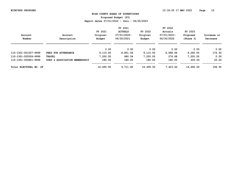**Proposed Budget (P3)**

|                        |                               |           | FY 2021        |           | FY 2022     |           |             |
|------------------------|-------------------------------|-----------|----------------|-----------|-------------|-----------|-------------|
|                        |                               | FY 2021   | <b>ACTUALS</b> | FY 2022   | Actuals     | FY 2023   |             |
| Account                | Account                       | Original  | 07/01/2020-    | Original  | 07/01/2021- | Proposed  | Increase or |
| Number                 | Description                   | Budget    | 06/30/2021     | Budget    | 06/30/2022  | (Phase 3) | Decrease    |
|                        |                               | 0.00      | 0.00           | 0.00      | 0.00        | 0.00      | 0.00        |
| 110-1301-501007-9999   | FEES FOR ATTENDANCE           | 9,115.50  | 8,851.06       | 9,115.50  | 6,968.94    | 9,292.00  | 176.50      |
| 110-1301-505506-9999   | <b>TRAVEL</b>                 | 7,200.00  | 680.54         | 7,200.00  | 274.68      | 7,200.00  | 0.00        |
| 110-1301-505801-9999   | DUES & ASSOCIATION MEMBERSHIP | 180.00    | 180.00         | 180.00    | 180.00      | 200.00    | 20.00       |
| Total ELECTORAL BD. OF |                               | 16,495.50 | 9,711.60       | 16,495.50 | 7.423.62    | 16,692.00 | 196.50      |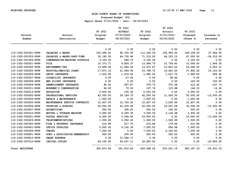**Proposed Budget (P3)**

| Account                | Account                       | FY 2021<br>Original | FY 2021<br><b>ACTUALS</b><br>$07/01/2020 -$ | FY 2022<br>Original | FY 2022<br>Actuals<br>07/01/2021- | FY 2023<br>Proposed | Increase or   |
|------------------------|-------------------------------|---------------------|---------------------------------------------|---------------------|-----------------------------------|---------------------|---------------|
| Number                 | Description                   | Budget              | 06/30/2021                                  | Budget              | 06/30/2022                        | (Phase 3)           | Decrease      |
|                        |                               | 0.00                | 0.00                                        | 0.00                | 0.00                              | 0.00                | 0.00          |
| 110-1302-501001-9999   | SALARIES & WAGES              | 105,444.00          | 90,722.09                                   | 111,235.00          | 104,993.43                        | 149,199.00          | 37,964.00     |
| 110-1302-501003-9999   | SALARIES & WAGES-PART-TIME    | 30,160.00           | 46,730.48                                   | 71,312.00           | 46,153.12                         | 47,000.00           | $-24, 312.00$ |
| 110-1302-501006-9999   | COMPENSATION-MACHINE CUSTODIA | 3,100.00            | 548.73                                      | 3,100.00            | 0.00                              | 3,100.00            | 0.00          |
| 110-1302-502001-9999   | <b>FICA</b>                   | 10,373.71           | 9,859.37                                    | 13,964.75           | 10,739.85                         | 15,009.00           | 1,044.25      |
| 110-1302-502002-9999   | <b>RETIREMENT-VRS</b>         | 13,908.06           | 11,944.24                                   | 14,671.87           | 13,823.50                         | 19,694.00           | 5,022.13      |
| 110-1302-502005-9999   | HOSPITAL/MEDICAL PLANS        | 17,871.12           | 21,444.92                                   | 23,748.72           | 16,641.63                         | 37,902.24           | 14, 153.52    |
| 110-1302-502006-9999   | GROUP INSURANCE               | 1,412.95            | 1,219.92                                    | 1,490.54            | 1,411.70                          | 1,999.00            | 508.46        |
| 110-1302-502007-9999   | DISABILITY INSURANCE          | 0.00                | 27.45                                       | 0.00                | 38.44                             | 0.00                | 0.00          |
| 110-1302-502008-9999   | MED FLIGHT INSURANCE          | 0.00                | 0.00                                        | 0.00                | 0.00                              | 120.00              | 120.00        |
| 110-1302-502009-9999   | UNEMPLOYMENT INSURANCE        | 92.00               | 287.67                                      | 379.73              | 370.38                            | 212.00              | $-167.73$     |
| 110-1302-502011-9999   | WORKMEN'S COMPENSATION        | 94.93               | 70.23                                       | 127.76              | 115.88                            | 144.10              | 16.34         |
| 110-1302-502013-9999   | <b>EDUCATION</b>              | 2,000.00            | 105.30                                      | 2,000.00            | 0.00                              | 2,000.00            | 0.00          |
| 110-1302-503002-9999   | PROFESSIONAL SERVICES         | 42,000.00           | 29,149.75                                   | 42,000.00           | 11,524.30                         | 30,000.00           | $-12,000.00$  |
| 110-1302-503004-9999   | REPAIR & MAINTENANCE          | 1,000.00            | 0.00                                        | 1,000.00            | 0.00                              | 1,000.00            | 0.00          |
| 110-1302-503005-9999   | MAINTENANCE SERVICE CONTRACTS | 12,407.00           | 12,724.22                                   | 12,407.00           | 3,225.64                          | 12,407.00           | 0.00          |
| 110-1302-503006-9999   | PRINTING & BINDING            | 30,000.00           | 25,478.08                                   | 45,000.00           | 14,047.08                         | 30,000.00           | $-15,000.00$  |
| 110-1302-503007-9999   | ADVERTISING                   | 500.00              | 308.20                                      | 500.00              | 102.60                            | 500.00              | 0.00          |
| 110-1302-503010-9999   | MOVING & STORAGE MACHINE      | 3,000.00            | 6,265.35                                    | 3,000.00            | 3,132.68                          | 3,000.00            | 0.00          |
| 110-1302-505201-9999   | POSTAL SERVICES               | 4,000.00            | 5,504.55                                    | 23,000.00           | 0.00                              | 10,000.00           | $-13,000.00$  |
| 110-1302-505203-9999   | <b>TELECOMMUNICATIONS</b>     | 1,500.00            | 2,052.43                                    | 1,500.00            | 1,063.49                          | 1,500.00            | 0.00          |
| 110-1302-505302-9999   | FIRE & PROPERTY INSURANCE     | 210.89              | 217.75                                      | 210.89              | 179.66                            | 210.89              | 0.00          |
| 110-1302-505401-9999   | OFFICE SUPPLIES               | 5,000.00            | 6,150.39                                    | 7,500.00            | 954.98                            | 7,500.00            | 0.00          |
| 110-1302-505506-9999   | <b>TRAVEL</b>                 | 7,200.00            | 0.00                                        | 7,200.00            | 6,182.83                          | 7,200.00            | 0.00          |
| 110-1302-505801-9999   | DUES & ASSOCIATION MEMBERSHIP | 500.00              | 200.00                                      | 500.00              | 550.00                            | 500.00              | 0.00          |
| 110-1302-505810-9999   | <b>GRANT EXPENSE</b>          | 0.00                | 31,568.17                                   | 0.00                | 0.00                              | 0.00                | 0.00          |
| 110-1302-507010-9999   | CAPITAL OUTLAY                | 69,100.00           | 59,237.11                                   | 20,800.00           | 0.00                              | 0.00                | $-20,800.00$  |
| <b>Total REGISTRAR</b> |                               | 360,874.66          | 361,816.40                                  | 406,648.26          | 235, 251.19                       | 380, 197.23         | $-26, 451.03$ |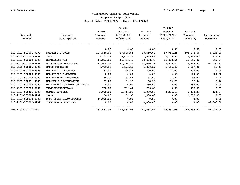**Proposed Budget (P3)**

|                      |                               |            | FY 2021        |            | FY 2022        |            |             |
|----------------------|-------------------------------|------------|----------------|------------|----------------|------------|-------------|
|                      |                               | FY 2021    | <b>ACTUALS</b> | FY 2022    | Actuals        | FY 2023    |             |
| Account              | Account                       | Original   | 07/01/2020-    | Original   | $07/01/2021 -$ | Proposed   | Increase or |
| Number               | Description                   | Budget     | 06/30/2021     | Budget     | 06/30/2022     | (Phase 3)  | Decrease    |
|                      |                               | 0.00       | 0.00           | 0.00       | 0.00           | 0.00       | 0.00        |
| 110-2101-501001-9999 | SALARIES & WAGES              | 127,550.00 | 87,599.84      | 98,550.00  | 87,081.25      | 103,478.00 | 4,928.00    |
| 110-2101-502001-9999 | <b>FICA</b>                   | 9,757.57   | 6,449.72       | 7,539.07   | 5,775.36       | 7,916.00   | 376.93      |
| 110-2101-502002-9999 | <b>RETIREMENT-VRS</b>         | 16,823.83  | 11,486.40      | 12,998.73  | 11,313.54      | 13,659.00  | 660.27      |
| 110-2101-502005-9999 | HOSPITAL/MEDICAL PLANS        | 12,610.32  | 12,294.26      | 12,070.32  | 6,605.40       | 7,413.60   | $-4,656.72$ |
| 110-2101-502006-9999 | GROUP INSURANCE               | 1,709.17   | 1,173.12       | 1,320.57   | 1,155.42       | 1,387.00   | 66.43       |
| 110-2101-502007-9999 | DISABILITY INSURANCE          | 167.00     | 190.32         | 200.00     | 174.00         | 200.00     | 0.00        |
| 110-2101-502008-9999 | MED FLIGHT INSURANCE          | 0.00       | 0.00           | 0.00       | 0.00           | 120.00     | 120.00      |
| 110-2101-502009-9999 | UNEMPLOYMENT INSURANCE        | 55.20      | 84.83          | 84.80      | 127.22         | 85.00      | 0.20        |
| 110-2101-502011-9999 | WORKMEN'S COMPENSATION        | 89.28      | 89.92          | 68.98      | 79.73          | 72.44      | 3.46        |
| 110-2101-503005-9999 | MAINTENANCE SERVICE CONTRACTS | 0.00       | 0.00           | 750.00     | 0.00           | 750.00     | 0.00        |
| 110-2101-505203-9999 | TELECOMMUNICATIONS            | 750.00     | 732.44         | 750.00     | 0.00           | 750.00     | 0.00        |
| 110-2101-505401-9999 | OFFICE SUPPLIES               | 5,000.00   | 5,714.21       | 5,000.00   | 4,286.16       | 5,424.37   | 424.37      |
| 110-2101-505506-9999 | <b>TRAVEL</b>                 | 150.00     | 52.90          | 1,000.00   | 0.00           | 1,000.00   | 0.00        |
| 110-2101-505830-9999 | DRUG COURT GRANT EXPENSE      | 10,000.00  | 0.00           | 0.00       | 0.00           | 0.00       | 0.00        |
| 110-2101-507002-9999 | FURNITURE & FIXTURES          | 0.00       | 0.00           | 8,000.00   | 0.00           | 0.00       | $-8,000.00$ |
| Total CIRCUIT COURT  |                               | 184,662.37 | 125,867.96     | 148,332.47 | 116,598.08     | 142,255.41 | $-6,077.06$ |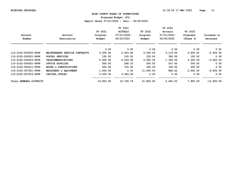**Proposed Budget (P3)**

|                        |                                  |           | FY 2021        |           | FY 2022     |           |              |
|------------------------|----------------------------------|-----------|----------------|-----------|-------------|-----------|--------------|
|                        |                                  | FY 2021   | <b>ACTUALS</b> | FY 2022   | Actuals     | FY 2023   |              |
| Account                | Account                          | Original  | 07/01/2020-    | Original  | 07/01/2021- | Proposed  | Increase or  |
| Number                 | Description                      | Budget    | 06/30/2021     | Budget    | 06/30/2022  | (Phase 3) | Decrease     |
|                        |                                  | 0.00      | 0.00           | 0.00      | 0.00        | 0.00      | 0.00         |
| 110-2102-503005-9999   | MAINTENANCE SERVICE CONTRACTS    | 5,000.00  | 2,503.45       | 5,000.00  | 2,119.00    | 2,600.00  | $-2,400.00$  |
| 110-2102-505201-9999   | POSTAL SERVICES                  | 150.00    | 120.00         | 150.00    | 390.00      | 150.00    | 0.00         |
| 110-2102-505203-9999   | <b>TELECOMMUNICATIONS</b>        | 5,000.00  | 4,039.96       | 5,000.00  | 1,366.00    | 2,000.00  | $-3,000.00$  |
| 110-2102-505401-9999   | OFFICE SUPPLIES                  | 500.00    | 268.33         | 500.00    | 537.60      | 500.00    | 0.00         |
| 110-2102-505411-9999   | <b>BOOKS &amp; SUBSCRIPTIONS</b> | 200.00    | 150.00         | 200.00    | 150.00      | 200.00    | 0.00         |
| 110-2102-507001-9999   | MACHINERY & EQUIPMENT            | 1,000.00  | 0.00           | 11,000.00 | 882.42      | 2,500.00  | $-8,500.00$  |
| 110-2102-507010-9999   | CAPITAL OUTLAY                   | 5,000.00  | 3,645.00       | 0.00      | 0.00        | 0.00      | 0.00         |
| Total GENERAL DISTRICT |                                  | 16,850.00 | 10,726.74      | 21,850.00 | 5,445.02    | 7,950.00  | $-13,900.00$ |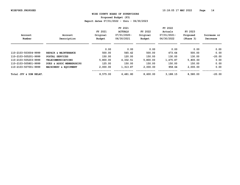**Proposed Budget (P3)**

|                        |                           |          | FY 2021        |          | FY 2022     |           |             |
|------------------------|---------------------------|----------|----------------|----------|-------------|-----------|-------------|
|                        |                           | FY 2021  | <b>ACTUALS</b> | FY 2022  | Actuals     | FY 2023   |             |
| Account                | Account                   | Original | 07/01/2020-    | Original | 07/01/2021- | Proposed  | Increase or |
| Number                 | Description               | Budget   | 06/30/2021     | Budget   | 06/30/2022  | (Phase 3) | Decrease    |
|                        |                           | 0.00     | 0.00           | 0.00     | 0.00        | 0.00      | 0.00        |
| 110-2103-503004-9999   | REPAIR & MAINTENANCE      | 500.00   | 565.42         | 500.00   | 473.64      | 500.00    | 0.00        |
| 110-2103-505201-9999   | POSTAL SERVICES           | 150.00   | 120.00         | 150.00   | 130.00      | 130.00    | $-20.00$    |
| 110-2103-505203-9999   | <b>TELECOMMUNICATIONS</b> | 5,800.00 | 4,332.51       | 5,800.00 | 1,475.87    | 5,800.00  | 0.00        |
| 110-2103-505801-9999   | DUES & ASSOC MEMBERSHIPS  | 125.00   | 150.00         | 150.00   | 150.00      | 150.00    | 0.00        |
| 110-2103-507001-9999   | MACHINERY & EQUIPMENT     | 2,000.00 | 1,313.87       | 2,000.00 | 958.64      | 2,000.00  | 0.00        |
| Total JUV & DOM RELAT. |                           | 8,575.00 | 6,481.80       | 8,600.00 | 3,188.15    | 8,580.00  | $-20.00$    |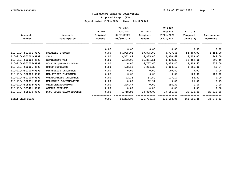**Proposed Budget (P3)**

|                      |                           |          | FY 2021        |            | FY 2022     |            |             |
|----------------------|---------------------------|----------|----------------|------------|-------------|------------|-------------|
|                      |                           | FY 2021  | <b>ACTUALS</b> | FY 2022    | Actuals     | FY 2023    |             |
| Account              | Account                   | Original | $07/01/2020 -$ | Original   | 07/01/2021- | Proposed   | Increase or |
| Number               | Description               | Budget   | 06/30/2021     | Budget     | 06/30/2022  | (Phase 3)  | Decrease    |
|                      |                           | 0.00     | 0.00           | 0.00       | 0.00        | 0.00       | 0.00        |
| 110-2104-501001-9999 | SALARIES & WAGES          | 0.00     | 46,925.06      | 89,875.00  | 75,707.46   | 94,369.00  | 4,494.00    |
| 110-2104-502001-9999 | <b>FICA</b>               | 0.00     | 3,552.89       | 6,875.00   | 5,320.69    | 7,219.00   | 344.00      |
| 110-2104-502002-9999 | <b>RETIREMENT-VRS</b>     | 0.00     | 6,150.06       | 11,854.51  | 9,880.38    | 12,457.00  | 602.49      |
| 110-2104-502005-9999 | HOSPITAL/MEDICAL PLANS    | 0.00     | 0.00           | 6,777.60   | 5,825.40    | 7,413.60   | 636.00      |
| 110-2104-502006-9999 | GROUP INSURANCE           | 0.00     | 628.13         | 1,204.33   | 1,009.12    | 1,265.00   | 60.67       |
| 110-2104-502007-9999 | DISABILITY INSURANCE      | 0.00     | 0.00           | 0.00       | 140.80      | 0.00       | 0.00        |
| 110-2104-502008-9999 | MED FLIGHT INSURANCE      | 0.00     | 0.00           | 0.00       | 0.00        | 120.00     | 120.00      |
| 110-2104-502009-9999 | UNEMPLOYMENT INSURANCE    | 0.00     | 42.38          | 84.80      | 127.17      | 84.80      | 0.00        |
| 110-2104-502011-9999 | WORKMAN'S COMPENSATION    | 0.00     | 0.00           | 62.91      | 9.06        | 66.06      | 3.15        |
| 110-2104-505203-9999 | <b>TELECOMMUNICATIONS</b> | 0.00     | 246.47         | 0.00       | 486.39      | 0.00       | 0.00        |
| 110-2104-505401-9999 | OFFICE SUPPLIES           | 0.00     | 0.00           | 0.00       | 0.00        | 0.00       | 0.00        |
| 110-2104-505830-9999 | DRUG COURT GRANT EXPENSE  | 0.00     | 6,718.98       | 10,000.00  | 17,151.58   | 38,612.00  | 28,612.00   |
| Total DRUG COURT     |                           | 0.00     | 64,263.97      | 126,734.15 | 115,658.05  | 161,606.46 | 34,872.31   |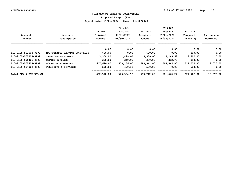**Proposed Budget (P3)**

|                        |                                 |            | FY 2021        |            | FY 2022     |            |             |
|------------------------|---------------------------------|------------|----------------|------------|-------------|------------|-------------|
|                        |                                 | FY 2021    | <b>ACTUALS</b> | FY 2022    | Actuals     | FY 2023    |             |
| Account                | Account                         | Original   | 07/01/2020-    | Original   | 07/01/2021- | Proposed   | Increase or |
| Number                 | Description                     | Budget     | 06/30/2021     | Budget     | 06/30/2022  | (Phase 3)  | Decrease    |
|                        |                                 | 0.00       | 0.00           | 0.00       | 0.00        | 0.00       | 0.00        |
| 110-2105-503005-9999   | MAINTENANCE SERVICE CONTRACTS   | 600.00     | 0.00           | 600.00     | 0.00        | 600.00     | 0.00        |
| 110-2105-505203-9999   | <b>TELECOMMUNICATIONS</b>       | 3,300.00   | 2,499.06       | 3,300.00   | 2,163.52    | 3,300.00   | 0.00        |
| 110-2105-505401-9999   | OFFICE SUPPLIES                 | 350.00     | 349.95         | 350.00     | 312.75      | 350.00     | 0.00        |
| 110-2105-505708-9999   | <b>BOARD OF JUVENILES</b>       | 647,620.00 | 573,156.00     | 598,962.00 | 598,964.00  | 617,032.00 | 18,070.00   |
| 110-2105-507002-9999   | <b>FURNITURE &amp; FIXTURES</b> | 500.00     | 499.12         | 500.00     | 0.00        | 500.00     | 0.00        |
| Total JUV & DOM REL CT |                                 | 652,370.00 | 576,504.13     | 603,712.00 | 601,440.27  | 621,782.00 | 18,070.00   |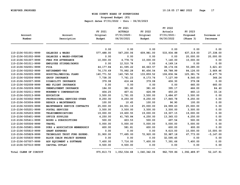**Proposed Budget (P3)**

| Account<br>Number                            | Account<br>Description                         | FY 2021<br>Original<br>Budget | FY 2021<br><b>ACTUALS</b><br>$07/01/2020 -$<br>06/30/2021 | FY 2022<br>Original<br>Budget | FY 2022<br>Actuals<br>07/01/2021-<br>06/30/2022 | FY 2023<br>Proposed<br>(Phase 3) | Increase or<br>Decrease |
|----------------------------------------------|------------------------------------------------|-------------------------------|-----------------------------------------------------------|-------------------------------|-------------------------------------------------|----------------------------------|-------------------------|
|                                              |                                                | 0.00                          | 0.00                                                      | 0.00                          | 0.00                                            | 0.00                             | 0.00                    |
| 110-2106-501001-9999                         | SALARIES & WAGES                               | 577,488.00                    | 567,200.06                                                | 609,981.00                    | 533,934.88                                      | 637,319.00                       | 27,338.00               |
| 110-2106-501002-9999                         | SALARIES & WAGES-OVERTIME                      | 0.00                          | 0.00                                                      | 0.00                          | 0.00                                            | 20,000.00                        | 20,000.00               |
| 110-2106-501007-9999                         | FEES FOR ATTENDANCE                            | 10,000.00                     | 4,778.72                                                  | 10,000.00                     | 7,140.00                                        | 10,000.00                        | 0.00                    |
| 110-2106-501011-9999                         | EMPLOYEE STIPEND/BONUS                         | 0.00                          | 12,510.78                                                 | 0.00                          | 4,169.14                                        | 0.00                             | 0.00                    |
| 110-2106-502001-9999                         | <b>FICA</b>                                    | 44, 177.84                    | 41,595.22                                                 | 46,663.57                     | 38,174.06                                       | 50,285.00                        | 3,621.43                |
| 110-2106-502002-9999                         | <b>RETIREMENT-VRS</b>                          | 76,170.69                     | 75,992.28                                                 | 80,456.54                     | 69,788.99                                       | 84,126.00                        | 3,669.46                |
| 110-2106-502005-9999                         | HOSPITAL/MEDICAL PLANS                         | 140,771.52                    | 140,745.52                                                | 133,859.52                    | 106,836.94                                      | 125,381.76                       | $-8,477.76$             |
| 110-2106-502006-9999                         | GROUP INSURANCE                                | 7,738.35                      | 7,761.23                                                  | 8,173.76                      | 7,127.99                                        | 8,540.00                         | 366.24                  |
| 110-2106-502007-9999                         | DISABILITY INSURANCE                           | 379.08                        | 416.44                                                    | 379.08                        | 406.30                                          | 379.08                           | 0.00                    |
| 110-2106-502008-9999                         | MED FLIGHT INSURANCE                           | 0.00                          | 0.00                                                      | 0.00                          | 0.00                                            | 660.00                           | 660.00                  |
| 110-2106-502009-9999                         | UNEMPLOYMENT INSURANCE                         | 184.00                        | 381.60                                                    | 381.60                        | 395.17                                          | 466.00                           | 84.40                   |
| 110-2106-502011-9999                         | WORKMEN'S COMPENSATION                         | 404.25                        | 407.41                                                    | 426.99                        | 450.20                                          | 460.13                           | 33.14                   |
| 110-2106-502013-9999                         | <b>EDUCATION</b>                               | 3,500.00                      | 1,791.05                                                  | 3,500.00                      | 3,484.87                                        | 3,500.00                         | 0.00                    |
| 110-2106-503002-9999                         | PROFESSIONAL SERVICES-OTHER                    | 8,250.00                      | 8,250.00                                                  | 8,250.00                      | 17,845.78                                       | 8,250.00                         | 0.00                    |
| 110-2106-503004-9999                         | REPAIR & MAINTENANCE                           | 100.00                        | 10.45                                                     | 100.00                        | 96.90                                           | 100.00                           | 0.00                    |
| 110-2106-503005-9999                         | MAINTENANCE SERVICE CONTRACTS                  | 25,000.00                     | 24,931.19                                                 | 25,000.00                     | 24,999.63                                       | 25,000.00                        | 0.00                    |
| 110-2106-505201-9999                         | POSTAL SERVICES                                | 3,500.00                      | 3,500.00                                                  | 3,500.00                      | 3,500.00                                        | 3,500.00                         | 0.00                    |
| 110-2106-505203-9999                         | <b>TELECOMMUNICATIONS</b>                      | 19,000.00                     | 19,600.55                                                 | 19,000.00                     | 19,307.15                                       | 19,000.00                        | 0.00                    |
| 110-2106-505401-9999                         | OFFICE SUPPLIES                                | 4,250.00                      | 41,765.84                                                 | 4,250.00                      | 13,365.03                                       | 4,250.00                         | 0.00                    |
| 110-2106-505411-9999                         | BOOKS & SUBSCRIPTIONS                          | 500.00<br>5,000.00            | 603.53<br>5,000.00                                        | 500.00                        | 497.54<br>5,000.00                              | 500.00<br>5,000.00               | 0.00                    |
| 110-2106-505506-9999<br>110-2106-505801-9999 | <b>TRAVEL</b><br>DUES & ASSOCIATION MEMBERSHIP | 600.00                        | 581.81                                                    | 5,000.00<br>600.00            | 600.00                                          | 600.00                           | 0.00<br>0.00            |
| 110-2106-505810-9999                         | <b>GRANT EXPENSES</b>                          | 0.00                          | 0.00                                                      | 0.00                          | 9,615.00                                        | 10,000.00                        | 10,000.00               |
| 110-2106-505829-9999                         | TECHNOLOGY TRUST FUND EXPEND.                  | 31,900.00                     | 77,495.00                                                 | 72,920.00                     | 55,987.18                                       | 67,773.00                        | $-5, 147.00$            |
| 110-2106-505835-9999                         | BLOCK CHAIN PROJECT EXPENSE                    | 0.00                          | 0.00                                                      | 0.00                          | 32,595.45                                       | 0.00                             | 0.00                    |
| 110-2106-507007-9999                         | ADP EQUIPMENT & SOFTWARE                       | 7,400.00                      | 7,716.00                                                  | 7,400.00                      | 7,391.66                                        | 7,400.00                         | 0.00                    |
| 110-2106-507010-9999                         | CAPITAL OUTLAY                                 | 9,500.00                      | 9,500.00                                                  | 0.00                          | 0.00                                            | 0.00                             | 0.00                    |
| Total CLERK OF CIRCUIT                       |                                                | 975,813.73                    |                                                           | 1,052,534.68 1,040,342.06     | 962,709.86                                      | 1,092,489.97                     | 52, 147.91              |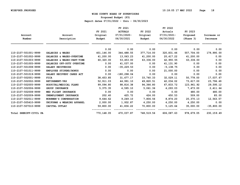**Proposed Budget (P3)**

|                        |                            |            | FY 2021        |            | FY 2022      |            |              |
|------------------------|----------------------------|------------|----------------|------------|--------------|------------|--------------|
|                        |                            | FY 2021    | <b>ACTUALS</b> | FY 2022    | Actuals      | FY 2023    |              |
| Account                | Account                    | Original   | $07/01/2020 -$ | Original   | 07/01/2021-  | Proposed   | Increase or  |
| Number                 | Description                | Budget     | 06/30/2021     | Budget     | 06/30/2022   | (Phase 3)  | Decrease     |
|                        |                            | 0.00       | 0.00           | 0.00       | 0.00         | 0.00       | 0.00         |
| 110-2107-501001-9999   | SALARIES & WAGES           | 401,146.00 | 344,488.55     | 377,714.00 | 320,831.46   | 557,704.00 | 179,990.00   |
| 110-2107-501002-9999   | SALARIES & WAGES-OVERTIME  | 41,200.00  | 13,063.23      | 41,200.00  | 20,417.22    | 41,200.00  | 0.00         |
| 110-2107-501003-9999   | SALARIES & WAGES-PART-TIME | 60,320.00  | 53,453.00      | 63,336.00  | 42,955.55    | 63,336.00  | 0.00         |
| 110-2107-501005-9999   | SALARIES OFF-DUTY OVERTIME | 0.00       | 41,037.00      | 0.00       | 41,131.90    | 0.00       | 0.00         |
| 110-2107-501008-9999   | SALARY RECOVERIES          | 0.00       | $-35,229.53$   | 0.00       | $-5, 138.75$ | 0.00       | 0.00         |
| 110-2107-501011-9999   | EMPLOYEE STIPEND/BONUS     | 0.00       | 0.00           | 0.00       | 21,000.00    | 0.00       | 0.00         |
| 110-2107-501019-9999   | SALARY RECOVERY CARES ACT  | 0.00       | $-180, 298.04$ | 0.00       | 0.00         | 0.00       | 0.00         |
| 110-2107-502001-9999   | <b>FICA</b>                | 38,453.85  | 31,677.17      | 33,740.33  | 32,029.11    | 50,778.00  | 17,037.67    |
| 110-2107-502002-9999   | <b>RETIREMENT-VRS</b>      | 52,911.03  | 44,991.10      | 49,820.51  | 42,034.02    | 73,617.00  | 23,796.49    |
| 110-2107-502005-9999   | HOSPITAL/MEDICAL PLANS     | 99,094.80  | 98,816.38      | 94,366.80  | 67,833.72    | 123,961.92 | 29,595.12    |
| 110-2107-502006-9999   | GROUP INSURANCE            | 5,375.35   | 4,595.10       | 5,061.36   | 4,293.03     | 7,473.00   | 2,411.64     |
| 110-2107-502008-9999   | MED FLIGHT INSURANCE       | 0.00       | 0.00           | 0.00       | 0.00         | 480.00     | 480.00       |
| 110-2107-502009-9999   | UNEMPLOYMENT INSURANCE     | 202.40     | 425.72         | 424.00     | 450.53       | 509.00     | 85.00        |
| 110-2107-502011-9999   | WORKMEN'S COMPENSATION     | 9,644.62   | 9,249.10       | 7,806.56   | 8,874.20     | 20,370.13  | 12,563.57    |
| 110-2107-505410-9999   | UNIFORMS & WEARING APPAREL | 2,000.00   | 1,932.87       | 4,250.00   | 4,250.00     | 4,250.00   | 0.00         |
| 110-2107-507010-9999   | CAPITAL OUTLAY             | 59,800.00  | 41,836.22      | 70,800.00  | 5,125.64     | 35,000.00  | $-35,800.00$ |
| Total SHERIFF-CIVIL PA |                            | 770,148.05 | 470,037.87     | 748,519.56 | 606,087.63   | 978,679.05 | 230,159.49   |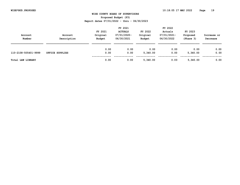**Proposed Budget (P3)**

| Account<br>Number    | Account<br>Description | FY 2021<br>Original<br>Budget | FY 2021<br><b>ACTUALS</b><br>07/01/2020-<br>06/30/2021 | FY 2022<br>Original<br>Budget | FY 2022<br>Actuals<br>07/01/2021-<br>06/30/2022 | FY 2023<br>Proposed<br>(Phase 3) | Increase or<br>Decrease |
|----------------------|------------------------|-------------------------------|--------------------------------------------------------|-------------------------------|-------------------------------------------------|----------------------------------|-------------------------|
|                      |                        | 0.00                          | 0.00                                                   | 0.00                          | 0.00                                            | 0.00                             | 0.00                    |
| 110-2108-505401-9999 | OFFICE SUPPLIES        | 0.00                          | 0.00                                                   | 5,340.00                      | 0.00                                            | 5,340.00                         | 0.00                    |
| Total LAW LIBRARY    |                        | 0.00                          | 0.00                                                   | 5,340.00                      | 0.00                                            | 5,340.00                         | 0.00                    |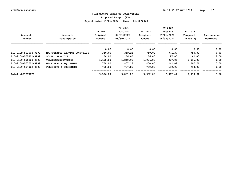**Proposed Budget (P3)**

|                         |                               |          | FY 2021        |          | FY 2022     |           |             |
|-------------------------|-------------------------------|----------|----------------|----------|-------------|-----------|-------------|
|                         |                               | FY 2021  | <b>ACTUALS</b> | FY 2022  | Actuals     | FY 2023   |             |
| Account                 | Account                       | Original | 07/01/2020-    | Original | 07/01/2021- | Proposed  | Increase or |
| Number                  | Description                   | Budget   | 06/30/2021     | Budget   | 06/30/2022  | (Phase 3) | Decrease    |
|                         |                               | 0.00     | 0.00           | 0.00     | 0.00        | 0.00      | 0.00        |
| 110-2109-503005-9999    | MAINTENANCE SERVICE CONTRACTS | 350.00   | 359.26         | 750.00   | 971.37      | 750.00    | 0.00        |
| 110-2109-505201-9999    | POSTAL SERVICES               | 56.00    | 56.00          | 56.00    | 87.00       | 62.00     | 6.00        |
| 110-2109-505203-9999    | <b>TELECOMMUNICATIONS</b>     | 1,600.00 | 1,840.95       | 1,996.00 | 907.06      | 1,996.00  | 0.00        |
| 110-2109-507001-9999    | MACHINERY & EQUIPMENT         | 750.00   | 807.16         | 400.00   | 242.02      | 400.00    | 0.00        |
| 110-2109-507002-9999    | FURNITURE & EOUIPMENT         | 750.00   | 737.85         | 750.00   | 159.99      | 750.00    | 0.00        |
| <b>Total MAGISTRATE</b> |                               | 3,506.00 | 3,801.22       | 3,952,00 | 2,367.44    | 3,958.00  | 6.00        |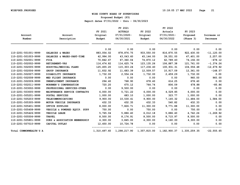**Proposed Budget (P3)**

|                        |                               |            | FY 2021                                                          |              | FY 2022     |            |               |
|------------------------|-------------------------------|------------|------------------------------------------------------------------|--------------|-------------|------------|---------------|
|                        |                               | FY 2021    | <b>ACTUALS</b>                                                   | FY 2022      | Actuals     | FY 2023    |               |
| Account                | Account                       | Original   | 07/01/2020-                                                      | Original     | 07/01/2021- | Proposed   | Increase or   |
| Number                 | Description                   | Budget     | 06/30/2021                                                       | Budget       | 06/30/2022  | (Phase 3)  | Decrease      |
|                        |                               | 0.00       | 0.00                                                             | 0.00         | 0.00        | 0.00       | 0.00          |
| 110-2201-501001-9999   | SALARIES & WAGES              | 883,054.02 | 878,876.75                                                       | 933,550.00   | 816,870.55  | 922,430.00 | $-11, 120.00$ |
| 110-2201-501003-9999   | SALARIES & WAGES-PART-TIME    | 42,994.00  | 43,043.60                                                        | 45,144.00    | 39,551.00   | 47,401.00  | 2,257.00      |
| 110-2201-502001-9999   | <b>FICA</b>                   | 70,842.67  | 67,360.04                                                        | 74,870.12    | 62,789.40   | 74,192.00  | $-678.12$     |
| 110-2201-502002-9999   | <b>RETIREMENT-VRS</b>         | 116,474.82 | 114,625.74                                                       | 123, 135. 26 | 106,887.38  | 121,761.00 | $-1, 374.26$  |
| 110-2201-502005-9999   | HOSPITAL/MEDICAL PLANS        | 125,455.20 | 115,303.24                                                       | 117,236.40   | 100,931.31  | 104,556.48 | $-12,679.92$  |
| 110-2201-502006-9999   | GROUP INSURANCE               | 11,832.92  | 11,683.39                                                        | 12,509.57    | 10,917.09   | 12,361.00  | $-148.57$     |
| 110-2201-502007-9999   | DISABILITY INSURANCE          | 1,732.00   | 2,554.24                                                         | 1,732.00     | 2,459.29    | 1,732.00   | 0.00          |
| 110-2201-502008-9999   | MED FLIGHT INSURANCE          | 0.00       | 0.00                                                             | 0.00         | 0.00        | 960.00     | 960.00        |
| 110-2201-502009-9999   | UNEMPLOYMENT INSURANCE        | 294.40     | 768.90                                                           | 678.40       | 614.25      | 678.40     | 0.00          |
| 110-2201-502011-9999   | WORKMEN'S COMPENSATION        | 720.20     | 675.12                                                           | 764.74       | 806.09      | 678.88     | $-85.86$      |
| 110-2201-503002-9999   | PROFESSIONAL SERVICES-OTHER   | 0.00       | 9,500.00                                                         | 0.00         | 0.00        | 0.00       | 0.00          |
| 110-2201-503005-9999   | MAINTENANCE SERVICE CONTRACTS | 6,000.00   | 5,721.22                                                         | 6,000.00     | 4,529.85    | 6,000.00   | 0.00          |
| 110-2201-505201-9999   | POSTAL SERVICES               | 1,000.00   | 683.10                                                           | 1,000.00     | 323.77      | 1,000.00   | 0.00          |
| 110-2201-505203-9999   | TELECOMMUNICATIONS            | 9,900.00   | 10,530.41                                                        | 9,900.00     | 7,145.32    | 11,484.00  | 1,584.00      |
| 110-2201-505305-9999   | MOTOR VEHICLE INSURANCE       | 432.33     | 432.35                                                           | 432.33       | 540.82      | 432.33     | 0.00          |
| 110-2201-505401-9999   | OFFICE SUPPLIES               | 8,000.00   | 7,826.71                                                         | 11,300.00    | 9,771.88    | 11,300.00  | 0.00          |
| 110-2201-505408-9999   | VEHICLE & POWERED EQUIP. SUPP | 750.00     | 0.00                                                             | 750.00       | 0.00        | 750.00     | 0.00          |
| 110-2201-505426-9999   | VEHICLE LEASE                 | 5,765.04   | 5,886.40                                                         | 6,012.18     | 5,886.40    | 4,742.26   | $-1, 269.92$  |
| 110-2201-505506-9999   | <b>TRAVEL</b>                 | 8,500.00   | 8,176.91                                                         | 8,500.00     | 8,715.97    | 8,500.00   | 0.00          |
| 110-2201-505801-9999   | DUES & ASSOCIATION MEMBERSHIP | 4,300.00   | 3,845.00                                                         | 4,300.00     | 4,160.00    | 4,300.00   | 0.00          |
| 110-2201-507010-9999   | CAPITAL OUTLAY                | 12,450.00  | 10,724.78                                                        | 0.00         | 0.00        | 0.00       | 0.00          |
| Total COMMONWEALTH'S A |                               |            | 1,310,497.60 1,298,217.90 1,357,815.00 1,182,900.37 1,335,259.35 |              |             |            | $-22,555.65$  |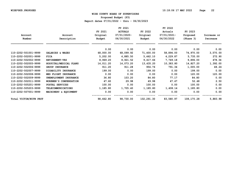**Proposed Budget (P3)**

|                        |                           |           | FY 2021        |            | FY 2022     |             |             |
|------------------------|---------------------------|-----------|----------------|------------|-------------|-------------|-------------|
|                        |                           | FY 2021   | <b>ACTUALS</b> | FY 2022    | Actuals     | FY 2023     |             |
| Account                | Account                   | Original  | 07/01/2020-    | Original   | 07/01/2021- | Proposed    | Increase or |
| Number                 | Description               | Budget    | 06/30/2021     | Budget     | 06/30/2022  | (Phase 3)   | Decrease    |
|                        |                           | 0.00      | 0.00           | 0.00       | 0.00        | 0.00        | 0.00        |
| 110-2202-501001-9999   | SALARIES & WAGES          | 68,000.00 | 68,099.92      | 71,400.00  | 58,894.00   | 74,970.00   | 3,570.00    |
| 110-2202-502001-9999   | <b>FICA</b>               | 5,202.00  | 4,885.50       | 5,462.10   | 4,229.87    | 5,735.00    | 272.90      |
| 110-2202-502002-9999   | <b>RETIREMENT-VRS</b>     | 8,969.20  | 8,921.52       | 9,417.66   | 7,749.18    | 9,896.00    | 478.34      |
| 110-2202-502005-9999   | HOSPITAL/MEDICAL PLANS    | 14,011.20 | 14,073.20      | 13,435.20  | 10,383.80   | 14,827.20   | 1,392.00    |
| 110-2202-502006-9999   | GROUP INSURANCE           | 911.20    | 911.28         | 956.76     | 791.34      | 1,005.00    | 48.24       |
| 110-2202-502007-9999   | DISABILITY INSURANCE      | 199.00    | 0.00           | 199.00     | 0.00        | 199.00      | 0.00        |
| 110-2202-502008-9999   | MED FLIGHT INSURANCE      | 0.00      | 0.00           | 0.00       | 0.00        | 120.00      | 120.00      |
| 110-2202-502009-9999   | UNEMPLOYMENT INSURANCE    | 36.80     | 103.20         | 84.80      | 77.17       | 84.80       | 0.00        |
| 110-2202-502011-9999   | WORKMEN'S COMPENSATION    | 47.60     | 29.98          | 49.98      | 47.47       | 52.48       | 2.50        |
| 110-2202-505201-9999   | POSTAL SERVICES           | 100.00    | 0.00           | 100.00     | 0.00        | 100.00      | 0.00        |
| 110-2202-505203-9999   | <b>TELECOMMUNICATIONS</b> | 1,185.80  | 1,705.40       | 1,185.80   | 1,408.14    | 1,185.80    | 0.00        |
| 110-2202-507001-9999   | MACHINERY & EQUIPMENT     | 0.00      | 0.00           | 0.00       | 0.00        | 0.00        | 0.00        |
| Total VICTIM/WITN PROT |                           | 98,662.80 | 98,730.00      | 102,291.30 | 83,580.97   | 108, 175.28 | 5,883.98    |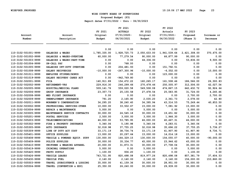**Proposed Budget (P3)**

| Account<br>Number    | Account<br>Description              | FY 2021<br>Original<br>Budget | FY 2021<br><b>ACTUALS</b><br>$07/01/2020 -$<br>06/30/2021 | FY 2022<br>Original<br><b>Budget</b> | FY 2022<br>Actuals<br>07/01/2021-<br>06/30/2022 | FY 2023<br>Proposed<br>(Phase 3) | Increase or<br>Decrease |
|----------------------|-------------------------------------|-------------------------------|-----------------------------------------------------------|--------------------------------------|-------------------------------------------------|----------------------------------|-------------------------|
|                      |                                     | 0.00                          | 0.00                                                      | 0.00                                 | 0.00                                            | 0.00                             | 0.00                    |
| 110-3102-501001-9999 | SALARIES & WAGES                    | 1,785,335.00                  | 1,928,725.73                                              | 2,050,633.00                         | 1,941,539.64                                    | 2,421,308.00                     | 370,675.00              |
| 110-3102-501002-9999 | SALARIES & WAGES-OVERTIME           | 60,000.00                     | 77,279.54                                                 | 90,000.00                            | 66,877.99                                       | 90,000.00                        | 0.00                    |
| 110-3102-501003-9999 | SALARIES & WAGES-PART-TIME          | 0.00                          | 0.00                                                      | 44,336.00                            | 0.00                                            | 53,836.00                        | 9,500.00                |
| 110-3102-501004-9999 | ON-CALL PAY                         | 0.00                          | 768.00                                                    | 0.00                                 | 0.00                                            | 0.00                             | 0.00                    |
| 110-3102-501005-9999 | SALARIES OFF-DUTY OVERTIME          | 0.00                          | 204,481.93                                                | 0.00                                 | 151,792.51                                      | 0.00                             | 0.00                    |
| 110-3102-501008-9999 | SALARY RECOVERIES                   | $-10,000.00$                  | $-267, 300.96$                                            | $-10,000.00$                         | $-6,552.00$                                     | 0.00                             | 10,000.00               |
| 110-3102-501011-9999 | EMPLOYEE STIPEND/BONUS              | 0.00                          | 0.00                                                      | 0.00                                 | 123,000.00                                      | 0.00                             | 0.00                    |
| 110-3102-501019-9999 | SALARY RECOVERY CARES ACT           | 0.00                          | $-942,769.80$                                             | 0.00                                 | 0.00                                            | 0.00                             | 0.00                    |
| 110-3102-502001-9999 | <b>FICA</b>                         | 140, 911.89                   | 154,472.22                                                | 160,265.17                           | 161,508.46                                      | 186,566.00                       | 26,300.83               |
| 110-3102-502002-9999 | <b>RETIREMENT-VRS</b>               | 229,916.30                    | 246,299.66                                                | 270,478.46                           | 250,505.97                                      | 312,506.00                       | 42,027.54               |
| 110-3102-502005-9999 | HOSPITAL/MEDICAL PLANS              | 509,141.76                    | 559,020.58                                                | 549,508.08                           | 474,867.15                                      | 642, 432.72                      | 92, 924.64              |
| 110-3102-502006-9999 | GROUP INSURANCE                     | 23, 357. 73                   | 25, 155.58                                                | 27,478.54                            | 25,583.95                                       | 31,724.00                        | 4,245.46                |
| 110-3102-502008-9999 | MED FLIGHT INSURANCE                | 0.00                          | 0.00                                                      | 0.00                                 | 0.00                                            | 2,700.00                         | 2,700.00                |
| 110-3102-502009-9999 | UNEMPLOYMENT INSURANCE              | 791.20                        | 2,165.90                                                  | 2,035.20                             | 2,361.73                                        | 2,078.00                         | 42.80                   |
| 110-3102-502011-9999 | WORKMEN'S COMPENSATION              | 34, 295.20                    | 38,240.40                                                 | 34,395.94                            | 43, 314.55                                      | 75,249.44                        | 40,853.50               |
| 110-3102-503002-9999 | PROFESSIONAL SERVICES-OTHER         | 10,000.00                     | 33,502.67                                                 | 15,000.00                            | 7,081.92                                        | 15,000.00                        | 0.00                    |
| 110-3102-503004-9999 | REPAIR & MAINTENANCE                | 5,000.00                      | 0.00                                                      | 5,000.00                             | 0.00                                            | 5,000.00                         | 0.00                    |
| 110-3102-503005-9999 | MAINTENANCE SERVICE CONTRACTS       | 30,000.00                     | 24,545.18                                                 | 30,000.00                            | 19,451.82                                       | 30,000.00                        | 0.00                    |
| 110-3102-505201-9999 | POSTAL SERVICES                     | 2,500.00                      | 3,000.00                                                  | 3,000.00                             | 1,966.30                                        | 3,000.00                         | 0.00                    |
| 110-3102-505203-9999 | <b>TELECOMMUNICATIONS</b>           | 46,000.00                     | 53,785.95                                                 | 46,000.00                            | 40,467.31                                       | 46,000.00                        | 0.00                    |
| 110-3102-505302-9999 | FIRE & PROPERTY INSURANCE           | 5,340.06                      | 5,190.98                                                  | 5,340.06                             | 4,283.01                                        | 5,340.06                         | 0.00                    |
| 110-3102-505305-9999 | <b>AUTO INSURANCE</b>               | 32,018.98                     | 37,755.25                                                 | 32,018.98                            | 35,696.22                                       | 37,755.25                        | 5,736.27                |
| 110-3102-505309-9999 | LINE OF DUTY ACT COST               | 33, 171. 19                   | 38,734.74                                                 | 33, 171. 19                          | 41,907.90                                       | 41,907.90                        | 8,736.71                |
| 110-3102-505401-9999 | OFFICE SUPPLIES                     | 13,000.00                     | 20,297.64                                                 | 15,000.00                            | 14,014.18                                       | 15,000.00                        | 0.00                    |
| 110-3102-505408-9999 | VEHICLE & POWERED EQUIP. SUPP       | 130,000.00                    | 164, 329. 15                                              | 130,000.00                           | 154,055.07                                      | 40,000.00                        | $-90,000.00$            |
| 110-3102-505409-9999 | POLICE SUPPLIES                     | 30,000.00                     | 35, 334.77                                                | 45,000.00                            | 23,946.62                                       | 45,000.00                        | 0.00                    |
| 110-3102-505410-9999 | UNIFORMS & WEARING APPAREL          | 20,000.00                     | 31,873.31                                                 | 30,000.00                            | 27,708.04                                       | 30,000.00                        | 0.00                    |
| 110-3102-505419-9999 | CRIMINAL OPERATIONS                 | 5,000.00                      | 0.00                                                      | 5,000.00                             | 0.00                                            | 5,000.00                         | 0.00                    |
| 110-3102-505420-9999 | PHOTO SUPPLY                        | 1,100.00                      | 936.20                                                    | 1,100.00                             | 0.00                                            | 1,100.00                         | 0.00                    |
| 110-3102-505426-9999 | VEHICLE LEASES                      | 743,721.95                    | 820,498.08                                                | 819,977.26                           | 820,498.08                                      | 857,381.79                       | 37,404.53               |
| 110-3102-505430-9999 | VEHICLE FUEL                        | 2,140.00                      | 2,140.00                                                  | 2,140.00                             | 2,140.00                                        | 156,000.00                       | 153,860.00              |
| 110-3102-505503-9999 | TRAVEL (SUBSISTENCE & LODGING       | 35,000.00                     | 41,159.36                                                 | 30,000.00                            | 28,951.00                                       | 30,000.00                        | 0.00                    |
| 110-3102-505504-9999 | <b>TRAVEL</b><br>(CONVENTION & EDU) | 25,350.00                     | 26,240.00                                                 | 30,000.00                            | 29,939.00                                       | 30,000.00                        | 0.00                    |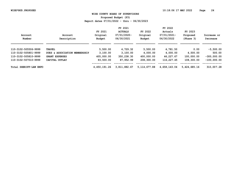**Proposed Budget (P3)**

|                           |                               | FY 2021      |                |                | FY 2022      |              |               |  |
|---------------------------|-------------------------------|--------------|----------------|----------------|--------------|--------------|---------------|--|
|                           |                               | FY 2021      | <b>ACTUALS</b> | FY 2022        | Actuals      | FY 2023      |               |  |
| Account                   | Account                       | Original     | 07/01/2020-    | Original       | 07/01/2021-  | Proposed     | Increase or   |  |
| Number                    | Description                   | Budget       | 06/30/2021     | Budget         | 06/30/2022   | (Phase 3)    | Decrease      |  |
|                           |                               |              |                |                |              |              |               |  |
| 110-3102-505506-9999      | <b>TRAVEL</b>                 | 5,500.00     | 4,729.32       | 5,500.00       | 4,781.50     | 0.00         | $-5,500.00$   |  |
| 110-3102-505801-9999      | DUES & ASSOCIATION MEMBERSHIP | 3,100.00     | 3,100.00       | 4,000.00       | 4,000.00     | 4,500.00     | 500.00        |  |
| 110-3102-505810-9999      | <b>GRANT EXPENSES</b>         | 405,000.00   | 350,238.30     | 400,000.00     | 46,227.67    | 100,000.00   | $-300,000.00$ |  |
| 110-3102-507010-9999      | CAPITAL OUTLAY                | 93,500.00    | 87,952.99      | 208,300.00     | 116,227.45   | 108,300.00   | $-100,000,00$ |  |
| SHERIFF-LAW ENFO<br>Total |                               | 4,450,191.26 | 3,811,882.67   | 5, 114, 677.88 | 4,658,143.04 | 5,424,685.16 | 310,007.28    |  |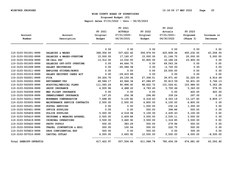**Proposed Budget (P3)**

| Account                | Account                       | FY 2021<br>Original | FY 2021<br><b>ACTUALS</b><br>$07/01/2020 -$ | FY 2022<br>Original | FY 2022<br>Actuals<br>07/01/2021- | FY 2023<br>Proposed | Increase or |
|------------------------|-------------------------------|---------------------|---------------------------------------------|---------------------|-----------------------------------|---------------------|-------------|
| Number                 | Description                   | Budget              | 06/30/2021                                  | Budget              | 06/30/2022                        | (Phase 3)           | Decrease    |
|                        |                               | 0.00                | 0.00                                        | 0.00                | 0.00                              | 0.00                | 0.00        |
| 110-3103-501001-9999   | SALARIES & WAGES              | 368,356.00          | 337,622.42                                  | 356,974.00          | 425,808.34                        | 400,232.00          | 43,258.00   |
| 110-3103-501002-9999   | SALARIES & WAGES-OVERTIME     | 15,000.00           | 17,160.47                                   | 15,000.00           | 21,166.70                         | 20,000.00           | 5,000.00    |
| 110-3103-501004-9999   | ON-CALL PAY                   | 13,312.00           | 12,032.00                                   | 20,800.00           | 16,186.24                         | 20,800.00           | 0.00        |
| 110-3103-501005-9999   | SALARIES OFF-DUTY OVERTIME    | 0.00                | 44,664.75                                   | 0.00                | 69,543.34                         | 0.00                | 0.00        |
| 110-3103-501008-9999   | SALARY RECOVERIES             | 0.00                | $-65,086.58$                                | 0.00                | $-2,720.00$                       | 0.00                | 0.00        |
| 110-3103-501011-9999   | EMPLOYEE STIPEND/BONUS        | 0.00                | 0.00                                        | 0.00                | 24,000.00                         | 0.00                | 0.00        |
| 110-3103-501019-9999   | SALARY RECOVERY CARES ACT     | 0.00                | $-29, 433.89$                               | 0.00                | 0.00                              | 0.00                | 0.00        |
| 110-3103-502001-9999   | <b>FICA</b>                   | 29,326.75           | 29,159.36                                   | 27,308.51           | 39,971.40                         | 32,225.00           | 4,916.49    |
| 110-3103-502002-9999   | <b>RETIREMENT-VRS</b>         | 48,586.17           | 43,946.34                                   | 47,084.87           | 55,813.59                         | 52,831.00           | 5,746.13    |
| 110-3103-502005-9999   | HOSPITAL/MEDICAL PLANS        | 111,060.24          | 90,996.40                                   | 98,622.72           | 101,024.61                        | 103,986.00          | 5,363.28    |
| 110-3103-502006-9999   | <b>GROUP INSURANCE</b>        | 4,935.96            | 4,488.22                                    | 4,783.45            | 5,700.66                          | 5,363.00            | 579.55      |
| 110-3103-502008-9999   | MED FLIGHT INSURANCE          | 0.00                | 0.00                                        | 0.00                | 0.00                              | 420.00              | 420.00      |
| 110-3103-502009-9999   | UNEMPLOYMENT INSURANCE        | 147.20              | 254.38                                      | 296.80              | 339.24                            | 297.00              | 0.20        |
| 110-3103-502011-9999   | WORKMANS COMPENSATION         | 7,698.65            | 5,135.82                                    | 6,318.43            | 4,353.19                          | 13,127.60           | 6,809.17    |
| 110-3103-503005-9999   | MAINTENANCE SERVICE CONTRACTS | 2,500.00            | 2,500.00                                    | 6,800.00            | 6,100.00                          | 6,800.00            | 0.00        |
| 110-3103-505201-9999   | POSTAL SERVICES               | 0.00                | 0.00                                        | 1,000.00            | 232.14                            | 1,000.00            | 0.00        |
| 110-3103-505401-9999   | OFFICE SUPPLIES               | 0.00                | 0.00                                        | 500.00              | 394.86                            | 500.00              | 0.00        |
| 110-3103-505409-9999   | POLICE SUPPLIES               | 5,000.00            | 4,018.94                                    | 5,100.00            | 2,635.43                          | 5,100.00            | 0.00        |
| 110-3103-505410-9999   | UNIFORMS & WEARING APPAREL    | 2,500.00            | 2,409.86                                    | 3,000.00            | 2,535.11                          | 3,000.00            | 0.00        |
| 110-3103-505419-9999   | CRIMINAL OPERATIONS           | 3,500.00            | 3,460.92                                    | 3,500.00            | 1,316.85                          | 3,500.00            | 0.00        |
| 110-3103-505420-9999   | PHOTO SUPPLY                  | 500.00              | 383.29                                      | 500.00              | 279.94                            | 500.00              | 0.00        |
| 110-3103-505504-9999   | TRAVEL (CONVENTION & EDU)     | 500.00              | 100.04                                      | 500.00              | 222.75                            | 500.00              | 0.00        |
| 110-3103-505823-9999   | DRUG CONFIDENTIAL EXP         | 500.00              | 0.00                                        | 500.00              | 0.00                              | 500.00              | 0.00        |
| 110-3103-507010-9999   | CAPITAL OUTLAY                | 4,000.00            | 3,693.92                                    | 12,500.00           | 5,500.00                          | 4,000.00            | $-8,500.00$ |
| Total SHERIFF-INVESTIG |                               | 617, 422.97         | 507,506.66                                  | 611,088.78          | 780,404.39                        | 674,681.60          | 63,592.82   |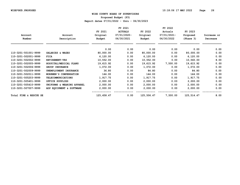**Proposed Budget (P3)**

|                        |                            |            | FY 2021        |            | FY 2022     |            |             |
|------------------------|----------------------------|------------|----------------|------------|-------------|------------|-------------|
|                        |                            | FY 2021    | <b>ACTUALS</b> | FY 2022    | Actuals     | FY 2023    |             |
| Account                | Account                    | Original   | $07/01/2020 -$ | Original   | 07/01/2021- | Proposed   | Increase or |
| Number                 | Description                | Budget     | 06/30/2021     | Budget     | 06/30/2022  | (Phase 3)  | Decrease    |
|                        |                            | 0.00       | 0.00           | 0.00       | 0.00        | 0.00       | 0.00        |
| 110-3201-501001-9999   | SALARIES & WAGES           | 80,000.00  | 0.00           | 80,000.00  | 0.00        | 80,000.00  | 0.00        |
| 110-3201-502001-9999   | <b>FICA</b>                | 6,120.00   | 0.00           | 6,120.00   | 0.00        | 6,120.00   | 0.00        |
| 110-3201-502002-9999   | <b>RETIREMENT-VRS</b>      | 10,552.00  | 0.00           | 10,552.00  | 0.00        | 10,560.00  | 8.00        |
| 110-3201-502005-9999   | HOSPITAL/MEDICAL PLANS     | 19,615.92  | 0.00           | 19,615.92  | 7,500.00    | 19,615.92  | 0.00        |
| 110-3201-502006-9999   | GROUP INSURANCE            | 1,072.00   | 0.00           | 1,072.00   | 0.00        | 1,072.00   | 0.00        |
| 110-3201-502009-9999   | UNEMPLOYMENT INSURANCE     | 36.80      | 0.00           | 84.80      | 0.00        | 84.80      | 0.00        |
| 110-3201-502011-9999   | WORKMEN'S COMPENSATION     | 144.00     | 0.00           | 144.00     | 0.00        | 144.00     | 0.00        |
| 110-3201-505203-9999   | <b>TELECOMMUNICATIONS</b>  | 1,917.75   | 0.00           | 1,917.75   | 0.00        | 1,917.75   | 0.00        |
| 110-3201-505401-9999   | OFFICE SUPPLIES            | 2,000.00   | 0.00           | 2,000.00   | 0.00        | 2,000.00   | 0.00        |
| 110-3201-505410-9999   | UNIFORMS & WEARING APPAREL | 2,000.00   | 0.00           | 2,000.00   | 0.00        | 2,000.00   | 0.00        |
| 110-3201-507007-9999   | ADP EQUIPMENT & SOFTWARE   | 2,000.00   | 0.00           | 2,000.00   | 0.00        | 2,000.00   | 0.00        |
| Total FIRE & RESCUE SE |                            | 125,458.47 | 0.00           | 125,506.47 | 7,500.00    | 125,514.47 | 8.00        |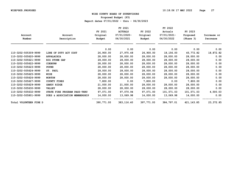**Proposed Budget (P3)**

|                        |                               |            | FY 2021        |            | FY 2022     |            |             |
|------------------------|-------------------------------|------------|----------------|------------|-------------|------------|-------------|
|                        |                               | FY 2021    | <b>ACTUALS</b> | FY 2022    | Actuals     | FY 2023    |             |
| Account                | Account                       | Original   | $07/01/2020 -$ | Original   | 07/01/2021- | Proposed   | Increase or |
| Number                 | Description                   | Budget     | 06/30/2021     | Budget     | 06/30/2022  | (Phase 3)  | Decrease    |
|                        |                               | 0.00       | 0.00           | 0.00       | 0.00        | 0.00       | 0.00        |
| 110-3202-505309-9999   | LINE OF DUTY ACT COST         | 26,900.00  | 27,975.48      | 26,900.00  | 18,156.00   | 45,772.82  | 18,872.82   |
| 110-3202-505620-9999   | APPALACHIA                    | 28,000.00  | 28,000.00      | 28,000.00  | 28,000.00   | 28,000.00  | 0.00        |
| 110-3202-505621-9999   | <b>BIG STONE GAP</b>          | 28,000.00  | 28,000.00      | 28,000.00  | 28,000.00   | 28,000.00  | 0.00        |
| 110-3202-505622-9999   | <b>COEBURN</b>                | 28,000.00  | 28,000.00      | 28,000.00  | 28,000.00   | 28,000.00  | 0.00        |
| 110-3202-505623-9999   | <b>POUND</b>                  | 28,000.00  | 28,000.00      | 28,000.00  | 28,000.00   | 28,000.00  | 0.00        |
| 110-3202-505624-9999   | ST. PAUL                      | 28,000.00  | 28,000.00      | 28,000.00  | 28,000.00   | 28,000.00  | 0.00        |
| 110-3202-505625-9999   | WISE                          | 28,000.00  | 28,000.00      | 28,000.00  | 28,000.00   | 28,000.00  | 0.00        |
| 110-3202-505626-9999   | <b>NORTON</b>                 | 28,000.00  | 28,000.00      | 28,000.00  | 28,000.00   | 28,000.00  | 0.00        |
| 110-3202-505627-9999   | <b>COUNTY FIRES</b>           | 7,800.00   | 0.00           | 7,800.00   | 0.00        | 7,800.00   | 0.00        |
| 110-3202-505629-9999   | SANDY RIDGE                   | 21,000.00  | 21,000.00      | 28,000.00  | 28,000.00   | 28,000.00  | 0.00        |
| 110-3202-505630-9999   | <b>VALLEY</b>                 | 28,000.00  | 28,000.00      | 28,000.00  | 28,000.00   | 28,000.00  | 0.00        |
| 110-3202-505632-9999   | STATE FIRE PROGRAM PASS-THRU  | 97,071.00  | 97,070.94      | 97,071.00  | 101,571.03  | 101,571.03 | 4,500.03    |
| 110-3202-505801-9999   | DUES & ASSOCIATION MEMBERSHIP | 14,000.00  | 13,069.98      | 14,000.00  | 13,069.98   | 14,000.00  | 0.00        |
| Total VOLUNTEER FIRE D |                               | 390,771.00 | 383,116.40     | 397,771.00 | 384,797.01  | 421,143.85 | 23,372.85   |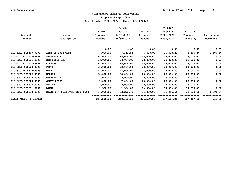**Proposed Budget (P3)**

|                       |                               |            | FY 2021        |            | FY 2022     |            |             |
|-----------------------|-------------------------------|------------|----------------|------------|-------------|------------|-------------|
|                       |                               | FY 2021    | <b>ACTUALS</b> | FY 2022    | Actuals     | FY 2023    |             |
| Account               | Account                       | Original   | $07/01/2020 -$ | Original   | 07/01/2021- | Proposed   | Increase or |
| Number                | Description                   | Budget     | 06/30/2021     | Budget     | 06/30/2022  | (Phase 3)  | Decrease    |
|                       |                               | 0.00       | 0.00           | 0.00       | 0.00        | 0.00       | 0.00        |
| 110-3203-505309-9999  | LINE OF DUTY COST             | 6,000.00   | 7,352.53       | 6,000.00   | 39,018.20   | 8,309.44   | 2,309.44    |
| 110-3203-505620-9999  | APPALACHIA                    | 28,000.00  | 28,000.00      | 28,000.00  | 28,000.00   | 28,000.00  | 0.00        |
| 110-3203-505621-9999  | <b>BIG STONE GAP</b>          | 28,000.00  | 28,000.00      | 28,000.00  | 28,000.00   | 28,000.00  | 0.00        |
| 110-3203-505622-9999  | <b>COEBURN</b>                | 28,000.00  | 28,000.00      | 28,000.00  | 28,000.00   | 28,000.00  | 0.00        |
| 110-3203-505623-9999  | <b>POUND</b>                  | 28,000.00  | 28,000.00      | 28,000.00  | 28,000.00   | 28,000.00  | 0.00        |
| 110-3203-505625-9999  | WISE                          | 28,000.00  | 28,000.00      | 28,000.00  | 28,000.00   | 28,000.00  | 0.00        |
| 110-3203-505626-9999  | <b>NORTON</b>                 | 28,000.00  | 28,000.00      | 28,000.00  | 28,000.00   | 28,000.00  | 0.00        |
| 110-3203-505628-9999  | <b>CASTLEWOOD</b>             | 3,000.00   | 3,000.00       | 28,000.00  | 28,000.00   | 28,000.00  | 0.00        |
| 110-3203-505629-9999  | SANDY RIDGE                   | 7,000.00   | 7,000.00       | 28,000.00  | 28,000.00   | 28,000.00  | 0.00        |
| 110-3203-505630-9999  | <b>VALLEY</b>                 | 28,000.00  | 28,000.00      | 28,000.00  | 28,000.00   | 28,000.00  | 0.00        |
| 110-3203-505631-9999  | <b>DANTE</b>                  | 1,500.00   | 1,500.00       | 14,500.00  | 14,500.00   | 14,500.00  | 0.00        |
| 110-3203-505633-9999  | STATE 2-4-LIFE PASS-THRU FUND | 34,000.00  | 33, 272. 75    | 34,000.00  | 31,996.64   | 32,608.16  | $-1,391.84$ |
| Total AMBUL. & RESCUE |                               | 247,500.00 | 248,125.28     | 306,500.00 | 337,514.84  | 307,417.60 | 917.60      |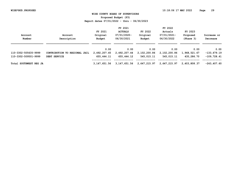**Proposed Budget (P3)**

|                        |                               |              | FY 2021        |               | FY 2022      |              |                |
|------------------------|-------------------------------|--------------|----------------|---------------|--------------|--------------|----------------|
|                        |                               | FY 2021      | <b>ACTUALS</b> | FY 2022       | Actuals      | FY 2023      |                |
| Account                | Account                       | Original     | $07/01/2020 -$ | Original      | 07/01/2021-  | Proposed     | Increase or    |
| Number                 | Description                   | Budget       | 06/30/2021     | <b>Budget</b> | 06/30/2022   | (Phase 3)    | Decrease       |
|                        |                               | 0.00         | 0.00           | 0.00          | 0.00         | 0.00         | 0.00           |
| 110-3302-505635-9999   | CONTRIBUTION TO REGIONAL JAIL | 2,492,207.45 | 2,492,207.44   | 2,102,200.86  | 2,102,200.86 | 1,968,521.67 | $-133,679.19$  |
| 110-3302-509501-9999   | DEBT SERVICE                  | 655,444.11   | 655,444.12     | 545,015.11    | 545,015.11   | 435,286.70   | $-109,728.41$  |
| Total SOUTHWEST REG JA |                               | 3,147,651.56 | 3,147,651.56   | 2,647,215.97  | 2,647,215.97 | 2,403,808.37 | $-243, 407.60$ |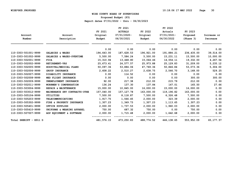**Proposed Budget (P3)**

|                        |                               |            | FY 2021        |            | FY 2022     |            |             |
|------------------------|-------------------------------|------------|----------------|------------|-------------|------------|-------------|
|                        |                               | FY 2021    | <b>ACTUALS</b> | FY 2022    | Actuals     | FY 2023    |             |
| Account                | Account                       | Original   | $07/01/2020 -$ | Original   | 07/01/2021- | Proposed   | Increase or |
| Number                 | Description                   | Budget     | 06/30/2021     | Budget     | 06/30/2022  | (Phase 3)  | Decrease    |
|                        |                               | 0.00       | 0.00           | 0.00       | 0.00        | 0.00       | 0.00        |
| 110-3303-501001-9999   | SALARIES & WAGES              | 194,643.00 | 187,628.53     | 196,921.00 | 191,884.21  | 236,435.00 | 39,514.00   |
| 110-3303-501002-9999   | SALARIES & WAGES-OVERTIME     | 5,500.00   | 7,584.24       | 5,500.00   | 15,231.11   | 15,500.00  | 10,000.00   |
| 110-3303-502001-9999   | <b>FICA</b>                   | 15,310.94  | 13,448.80      | 15,064.46  | 14,554.11   | 19,332.00  | 4,267.54    |
| 110-3303-502002-9999   | <b>RETIREMENT-VRS</b>         | 25,673.41  | 24,577.57      | 25,973.88  | 25,129.83   | 31,209.00  | 5,235.12    |
| 110-3303-502005-9999   | HOSPITAL/MEDICAL PLANS        | 50,097.36  | 53,884.06      | 47,769.36  | 50,846.84   | 53,073.36  | 5,304.00    |
| 110-3303-502006-9999   | GROUP INSURANCE               | 2,608.22   | 2,510.27       | 2,638.75   | 2,566.70    | 3,168.00   | 529.25      |
| 110-3303-502007-9999   | DISABILITY INSURANCE          | 0.00       | 114.52         | 0.00       | 0.00        | 0.00       | 0.00        |
| 110-3303-502008-9999   | MED FLIGHT INSURANCE          | 0.00       | 0.00           | 0.00       | 0.00        | 300.00     | 300.00      |
| 110-3303-502009-9999   | UNEMPLOYMENT INSURANCE        | 92.00      | 217.38         | 212.00     | 215.79      | 212.00     | 0.00        |
| 110-3303-502011-9999   | WORKMEN'S COMPENSATION        | 136.24     | 137.30         | 137.84     | 147.01      | 165.50     | 27.66       |
| 110-3303-503004-9999   | REPAIR & MAINTENANCE          | 15,000.00  | 10,845.00      | 16,000.00  | 15,000.00   | 16,000.00  | 0.00        |
| 110-3303-503012-9999   | MAINENANCE SRV CONTRACTS-OTHE | 157,040.00 | 157,127.78     | 163,000.00 | 119,196.82  | 163,000.00 | 0.00        |
| 110-3303-505104-9999   | <b>UTILITIES</b>              | 7,500.00   | 8,118.87       | 7,500.00   | 6,326.48    | 7,500.00   | 0.00        |
| 110-3303-505203-9999   | TELECOMMUNICATIONS            | 1,917.75   | 1,566.45       | 2,000.00   | 323.39      | 2,000.00   | 0.00        |
| 110-3303-505302-9999   | FIRE & PROPERTY INSURANCE     | 1,307.23   | 1,349.73       | 1,307.23   | 1,113.65    | 1,307.23   | 0.00        |
| 110-3303-505401-9999   | OFFICE SUPPLIES               | 2,000.00   | 1,737.53       | 2,000.00   | 1,960.03    | 2,000.00   | 0.00        |
| 110-3303-505410-9999   | UNIFORMS & WEARING APPAREL    | 750.00     | 687.32         | 750.00     | 0.00        | 750.00     | 0.00        |
| 110-3303-507007-9999   | ADP EQUIPMENT & SOFTWARE      | 2,000.00   | 1,715.48       | 2,000.00   | 1,642.68    | 2,000.00   | 0.00        |
| Total SHERIFF - E911 D |                               | 481,576.15 | 473,250.83     | 488,774.52 | 446,138.65  | 553,952.09 | 65, 177, 57 |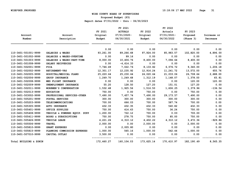**Proposed Budget (P3)**

| Account                | Account                          | FY 2021<br>Original | FY 2021<br><b>ACTUALS</b><br>$07/01/2020 -$ | FY 2022<br>Original | FY 2022<br>Actuals<br>07/01/2021- | FY 2023<br>Proposed | Increase or |
|------------------------|----------------------------------|---------------------|---------------------------------------------|---------------------|-----------------------------------|---------------------|-------------|
| Number                 | Description                      | Budget              | 06/30/2021                                  | Budget              | 06/30/2022                        | (Phase 3)           | Decrease    |
|                        |                                  | 0.00                | 0.00                                        | 0.00                | 0.00                              | 0.00                | 0.00        |
| 110-3401-501001-9999   | SALARIES & WAGES                 | 93,261.00           | 89,266.68                                   | 97,924.00           | 85,983.57                         | 102,820.00          | 4,896.00    |
| 110-3401-501002-9999   | SALARIES & WAGES-OVERTIME        | 0.00                | 99.16                                       | 0.00                | 0.00                              | 0.00                | 0.00        |
| 110-3401-501003-9999   | SALARIES & WAGES-PART-TIME       | 8,000.00            | 10,406.76                                   | 8,400.00            | 7,094.64                          | 8,400.00            | 0.00        |
| 110-3401-501008-9999   | SALARY RECOVERIES                | 0.00                | $-4,614.33$                                 | 0.00                | 0.00                              | 0.00                | 0.00        |
| 110-3401-502001-9999   | <b>FICA</b>                      | 7,746.49            | 7,022.76                                    | 8,133.82            | 6,576.72                          | 9,340.00            | 1,206.18    |
| 110-3401-502002-9999   | <b>RETIREMENT-VRS</b>            | 12,301.17           | 12,235.92                                   | 12,916.24           | 11,241.72                         | 13,572.00           | 655.76      |
| 110-3401-502005-9999   | HOSPITAL/MEDICAL PLANS           | 25,220.64           | 25,230.64                                   | 24,020.64           | 21,033.06                         | 26,708.64           | 2,688.00    |
| 110-3401-502006-9999   | <b>GROUP INSURANCE</b>           | 1,249.70            | 1,249.68                                    | 1,312.19            | 1,148.07                          | 1,378.00            | 65.81       |
| 110-3401-502008-9999   | MED FLIGHT INSURANCE             | 0.00                | 0.00                                        | 0.00                | 0.00                              | 120.00              | 120.00      |
| 110-3401-502009-9999   | UNEMPLOYMENT INSURANCE           | 55.20               | 128.50                                      | 127.20              | 151.01                            | 127.20              | 0.00        |
| 110-3401-502011-9999   | WORKMEN'S COMPENSATION           | 1,532.48            | 1,925.56                                    | 1,516.50            | 1,606.25                          | 1,379.96            | $-136.54$   |
| 110-3401-502013-9999   | <b>EDUCATION</b>                 | 750.00              | 0.00                                        | 750.00              | 0.00                              | 750.00              | 0.00        |
| 110-3401-503002-9999   | PROFESSIONAL SERVICES-OTHER      | 7,490.00            | 7,457.74                                    | 7,490.00            | 29, 173. 57                       | 7,490.00            | 0.00        |
| 110-3401-505201-9999   | POSTAL SERVICES                  | 300.00              | 300.00                                      | 300.00              | 300.00                            | 300.00              | 0.00        |
| 110-3401-505203-9999   | <b>TELECOMMUNICATIONS</b>        | 700.00              | 666.03                                      | 700.00              | 587.74                            | 700.00              | 0.00        |
| 110-3401-505305-9999   | <b>AUTO INSURANCE</b>            | 432.33              | 432.35                                      | 432.33              | 540.82                            | 432.33              | 0.00        |
| 110-3401-505401-9999   | OFFICE SUPPLIES                  | 750.00              | 414.63                                      | 750.00              | 36.24                             | 750.00              | 0.00        |
| 110-3401-505408-9999   | VEHICLE & POWERED EQUIP. SUPP    | 1,200.00            | 722.12                                      | 700.00              | 0.00                              | 700.00              | 0.00        |
| 110-3401-505411-9999   | <b>BOOKS &amp; SUBSCRIPTIONS</b> | 750.00              | 278.75                                      | 750.00              | 85.00                             | 750.00              | 0.00        |
| 110-3401-505426-9999   | VEHICLE LEASE                    | 4,221.26            | 4,310.12                                    | 4,402.22            | 4,310.12                          | 3,472.36            | $-929.86$   |
| 110-3401-505506-9999   | <b>TRAVEL</b>                    | 2,000.00            | 0.00                                        | 2,000.00            | 0.00                              | 2,000.00            | 0.00        |
| 110-3401-505810-9999   | <b>GRANT EXPENSES</b>            | 0.00                | 2,005.80                                    | 0.00                | 0.00                              | 0.00                | 0.00        |
| 110-3401-505815-9999   | PLANNING COMMISSION EXPENSES     | 1,000.00            | 565.16                                      | 1,000.00            | 542.44                            | 1,000.00            | 0.00        |
| 110-3401-507010-9999   | CAPITAL OUTLAY                   | 3,500.00            | 0.00                                        | 0.00                | 0.00                              | 0.00                | 0.00        |
| Total BUILDING & ZONIN |                                  | 172,460.27          | 160,104.03                                  | 173,625.14          | 170,410.97                        | 182,190.49          | 8,565.35    |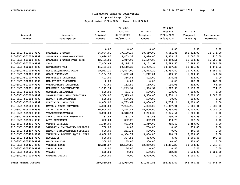**Proposed Budget (P3)**

| Account<br>Number    | Account<br>Description        | FY 2021<br>Original<br>Budget | FY 2021<br><b>ACTUALS</b><br>$07/01/2020 -$<br>06/30/2021 | FY 2022<br>Original<br>Budget | FY 2022<br>Actuals<br>07/01/2021-<br>06/30/2022 | FY 2023<br>Proposed<br>(Phase 3) | Increase or<br>Decrease |
|----------------------|-------------------------------|-------------------------------|-----------------------------------------------------------|-------------------------------|-------------------------------------------------|----------------------------------|-------------------------|
|                      |                               | 0.00                          | 0.00                                                      | 0.00                          | 0.00                                            | 0.00                             | 0.00                    |
| 110-3501-501001-9999 | SALARIES & WAGES              | 86,894.01                     | 79,100.19                                                 | 90,450.00                     | 79,651.86                                       | 101,522.00                       | 11,072.00               |
| 110-3501-501002-9999 | SALARIES & WAGES-OVERTIME     | 3,090.00                      | 5,403.33                                                  | 3,090.00                      | 3,358.22                                        | 4,000.00                         | 910.00                  |
| 110-3501-501003-9999 | SALARIES & WAGES-PART-TIME    | 12,426.00                     | 6,017.00                                                  | 15,547.00                     | 13,050.51                                       | 35,513.00                        | 19,966.00               |
| 110-3501-502001-9999 | <b>FICA</b>                   | 7,806.68                      | 6,216.13                                                  | 8,101.91                      | 6,583.50                                        | 10,483.00                        | 2,381.09                |
| 110-3501-502002-9999 | <b>RETIREMENT-VRS</b>         | 11,461.33                     | 10,110.32                                                 | 11,930.40                     | 10,417.35                                       | 13,401.00                        | 1,470.60                |
| 110-3501-502005-9999 | HOSPITAL/MEDICAL PLANS        | 29,911.20                     | 27,627.00                                                 | 28,543.20                     | 24,997.80                                       | 31,723.20                        | 3,180.00                |
| 110-3501-502006-9999 | GROUP INSURANCE               | 1,164.38                      | 1,032.64                                                  | 1,212.04                      | 1,063.95                                        | 1,360.00                         | 147.96                  |
| 110-3501-502007-9999 | DISABILITY INSURANCE          | 402.00                        | 336.88                                                    | 402.00                        | 276.58                                          | 402.00                           | 0.00                    |
| 110-3501-502008-9999 | MED FLIGHT INSURANCE          | 0.00                          | 0.00                                                      | 0.00                          | 0.00                                            | 180.00                           | 180.00                  |
| 110-3501-502009-9999 | UNEMPLOYMENT INSURANCE        | 73.60                         | 152.50                                                    | 169.60                        | 196.08                                          | 212.00                           | 42.40                   |
| 110-3501-502011-9999 | WORKMEN'S COMPENSATION        | 1,175.94                      | 1,229.51                                                  | 1,384.57                      | 1,307.98                                        | 2,198.70                         | 814.13                  |
| 110-3501-502012-9999 | CLOTHING ALLOWANCE            | 500.00                        | 461.70                                                    | 500.00                        | 108.00                                          | 500.00                           | 0.00                    |
| 110-3501-503002-9999 | PROFESSIONAL SERVICES-OTHER   | 3,500.00                      | 7,515.41                                                  | 3,500.00                      | 3,654.14                                        | 5,000.00                         | 1,500.00                |
| 110-3501-503004-9999 | REPAIR & MAINTENANCE          | 500.00                        | 500.00                                                    | 500.00                        | 80.00                                           | 500.00                           | 0.00                    |
| 110-3501-505101-9999 | ELECTRICAL SERVICES           | 8,000.00                      | 8,733.67                                                  | 8,000.00                      | 9,756.16                                        | 8,000.00                         | 0.00                    |
| 110-3501-505103-9999 | WATER & SEWER SERVICES        | 6,000.00                      | 7,956.95                                                  | 6,000.00                      | 11,907.91                                       | 9,000.00                         | 3,000.00                |
| 110-3501-505105-9999 | <b>ANIMAL SUPPLIES</b>        | 10,000.00                     | 8,894.82                                                  | 10,000.00                     | 9,693.05                                        | 14,000.00                        | 4,000.00                |
| 110-3501-505203-9999 | TELECOMMUNICATIONS            | 3,200.00                      | 3,318.94                                                  | 3,200.00                      | 2,345.61                                        | 3,200.00                         | 0.00                    |
| 110-3501-505302-9999 | FIRE & PROPERTY INSURANCE     | 332.53                        | 333.17                                                    | 332.53                        | 330.31                                          | 332.53                           | 0.00                    |
| 110-3501-505305-9999 | <b>AUTO INSURANCE</b>         | 882.24                        | 882.28                                                    | 882.24                        | 990.75                                          | 882.24                           | 0.00                    |
| 110-3501-505401-9999 | OFFICE SUPPLIES               | 1,350.00                      | 871.05                                                    | 1,350.00                      | 885.49                                          | 1,350.00                         | 0.00                    |
| 110-3501-505405-9999 | LAUNDRY & JANITORIAL SUPPLIES | 750.00                        | 0.00                                                      | 750.00                        | 0.00                                            | 750.00                           | 0.00                    |
| 110-3501-505407-9999 | REPAIR & MAINTENANCE SUPPLIES | 500.00                        | 241.38                                                    | 500.00                        | 0.00                                            | 500.00                           | 0.00                    |
| 110-3501-505408-9999 | VEHICLE & POWERED EQUIP. SUPP | 6,000.00                      | 4,964.77                                                  | 3,000.00                      | 660.22                                          | 3,000.00                         | 0.00                    |
| 110-3501-505412-9999 | <b>EDUCATION</b>              | 500.00                        | 397.52                                                    | 500.00                        | 0.00                                            | 1,000.00                         | 500.00                  |
| 110-3501-505415-9999 | <b>MISCELLANEOUS</b>          | 300.00                        | 45.00                                                     | 300.00                        | 60.00                                           | 300.00                           | 0.00                    |
| 110-3501-505426-9999 | <b>VEHICLE LEASE</b>          | 12,340.07                     | 12,599.86                                                 | 12,869.06                     | 14,396.29                                       | 10,150.82                        | $-2,718.24$             |
| 110-3501-505430-9999 | VEHICLE FUEL                  | 0.00                          | 46.00                                                     | 0.00                          | 0.00                                            | 0.00                             | 0.00                    |
| 110-3501-505506-9999 | <b>TRAVEL</b>                 | 500.00                        | 0.00                                                      | 500.00                        | 462.86                                          | 1,500.00                         | 1,000.00                |
| 110-3501-507010-9999 | CAPITAL OUTLAY                | 1,000.00                      | 0.00                                                      | 8,000.00                      | 0.00                                            | 8,000.00                         | 0.00                    |
| Total ANIMAL CONTROL |                               | 210,559.98                    | 194,988.02                                                | 221, 514.55                   | 196,234.62                                      | 268,960.49                       | 47,445.94               |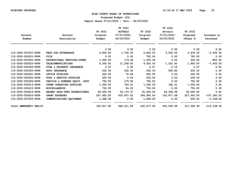**Proposed Budget (P3)**

|                         |                               |            | FY 2021        |            | FY 2022        |            |                |
|-------------------------|-------------------------------|------------|----------------|------------|----------------|------------|----------------|
|                         |                               | FY 2021    | <b>ACTUALS</b> | FY 2022    | Actuals        | FY 2023    |                |
| Account                 | Account                       | Original   | 07/01/2020-    | Original   | $07/01/2021 -$ | Proposed   | Increase or    |
| Number                  | Description                   | Budget     | 06/30/2021     | Budget     | 06/30/2022     | (Phase 3)  | Decrease       |
|                         |                               | 0.00       | 0.00           | 0.00       | 0.00           | 0.00       | 0.00           |
| 110-3505-501007-9999    | FEES FOR ATTENDANCE           | 4,800.00   | 1,740.00       | 4,800.00   | 3,000.00       | 2,400.00   | $-2,400.00$    |
| 110-3505-502001-9999    | <b>FICA</b>                   | 0.00       | 0.00           | 765.00     | 0.00           | 765.00     | 0.00           |
| 110-3505-503002-9999    | PROFESSIONAL SERVICES-OTHER   | 1,000.00   | 174.90         | 1,000.00   | 0.00           | 200.00     | $-800.00$      |
| 110-3505-505203-9999    | TELECOMMUNICATIONS            | 9,000.00   | 11,508.92      | 9,000.00   | 1,141.40       | 1,600.00   | $-7,400.00$    |
| 110-3505-505302-9999    | FIRE & PROPERTY INSURANCE     | 2.57       | 2.65           | 2.57       | 2.19           | 2.57       | 0.00           |
| 110-3505-505305-9999    | <b>AUTO INSURANCE</b>         | 432.33     | 432.35         | 432.33     | 540.82         | 432.33     | 0.00           |
| 110-3505-505401-9999    | OFFICE SUPPLIES               | 200.00     | 70.08          | 200.00     | 0.00           | 200.00     | 0.00           |
| 110-3505-505402-9999    | FOOD & SERVICE SUPPLIES       | 250.00     | 0.00           | 250.00     | 0.00           | 250.00     | 0.00           |
| 110-3505-505408-9999    | VEHICLE & POWERED EQUIP. SUPP | 750.00     | 179.94         | 750.00     | 0.00           | 750.00     | 0.00           |
| 110-3505-505413-9999    | OTHER OPERATING SUPPLIES      | 1,000.00   | 700.21         | 1,000.00   | 182.31         | 1,000.00   | 0.00           |
| 110-3505-505415-9999    | <b>MISCELLANEOUS</b>          | 750.00     | 24.23          | 750.00     | 0.00           | 750.00     | 0.00           |
| 110-3505-505619-9999    | HAZMAT PASS-THRU EXPENDITURES | 45,000.00  | 34,170.37      | 45,000.00  | 44,348.98      | 45,000.00  | 0.00           |
| 110-3505-505810-9999    | <b>GRANT EXPENSES</b>         | 267,965.00 | 635,607.63     | 364,860.00 | 152,877.68     | 257,500.00 | $-107, 360.00$ |
| 110-3505-507003-9999    | COMMUNICATIONS EQUIPMENT      | 1,668.06   | 0.00           | 1,668.06   | 0.00           | 500.00     | $-1, 168.06$   |
| Total EMERGENCY SER (CI |                               | 332,817.96 | 684,611.28     | 430,477.96 | 202,093.38     | 311,349.90 | $-119, 128.06$ |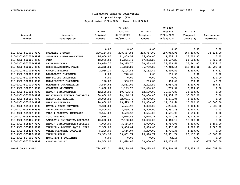**Proposed Budget (P3)**

| Account                  | Account                       | FY 2021<br>Original | FY 2021<br><b>ACTUALS</b><br>$07/01/2020 -$ | FY 2022<br>Original | FY 2022<br>Actuals<br>07/01/2021- | FY 2023<br>Proposed | Increase or   |
|--------------------------|-------------------------------|---------------------|---------------------------------------------|---------------------|-----------------------------------|---------------------|---------------|
| Number                   | Description                   | Budget              | 06/30/2021                                  | Budget              | 06/30/2022                        | (Phase 3)           | Decrease      |
|                          |                               | 0.00                | 0.00                                        | 0.00                | 0.00                              | 0.00                | 0.00          |
| 110-4302-501001-9999     | SALARIES & WAGES              | 220,164.00          | 228,447.85                                  | 233,767.00          | 197,063.96                        | 269,400.00          | 35,633.00     |
| 110-4302-501002-9999     | SALARIES & WAGES-OVERTIME     | 16,000.00           | 11,809.52                                   | 16,000.00           | 9,756.18                          | 16,000.00           | 0.00          |
| 110-4302-502001-9999     | <b>FICA</b>                   | 18,066.58           | 16,291.40                                   | 17,883.20           | 13,687.22                         | 20,609.00           | 2,725.80      |
| 110-4302-502002-9999     | <b>RETIREMENT-VRS</b>         | 29,039.70           | 30,395.70                                   | 30,833.87           | 25,453.66                         | 35,561.00           | 4,727.13      |
| 110-4302-502005-9999     | HOSPITAL/MEDICAL PLANS        | 75,318.00           | 84,262.81                                   | 76,750.80           | 77,968.14                         | 115,451.00          | 38,700.20     |
| 110-4302-502006-9999     | <b>GROUP INSURANCE</b>        | 2,950.20            | 3,104.84                                    | 3,132.47            | 2,610.59                          | 3,610.00            | 477.53        |
| 110-4302-502007-9999     | DISABILITY INSURANCE          | 0.00                | 770.61                                      | 0.00                | 655.59                            | 0.00                | 0.00          |
| 110-4302-502008-9999     | MED FLIGHT INSURANCE          | 0.00                | 0.00                                        | 0.00                | 0.00                              | 420.00              | 420.00        |
| 110-4302-502009-9999     | UNEMPLOYMENT INSURANCE        | 128.80              | 330.22                                      | 296.80              | 418.49                            | 339.00              | 42.20         |
| 110-4302-502011-9999     | WORKMEN'S COMPENSATION        | 3,544.65            | 3,561.01                                    | 3,202.59            | 3,087.33                          | 3,609.96            | 407.37        |
| 110-4302-502012-9999     | CLOTHING ALLOWANCE            | 1,000.00            | 1,199.75                                    | 2,000.00            | 1,783.92                          | 2,000.00            | 0.00          |
| 110-4302-503004-9999     | REPAIR & MAINTENANCE          | 12,500.00           | 10,793.45                                   | 12,500.00           | 11,537.88                         | 12,500.00           | 0.00          |
| 110-4302-503005-9999     | MAINTENANCE SERVICE CONTRACTS | 30,000.00           | 28, 146. 14                                 | 30,000.00           | 24,576.20                         | 30,000.00           | 0.00          |
| 110-4302-505101-9999     | ELECTRICAL SERVICES           | 78,000.00           | 92,061.79                                   | 78,000.00           | 78,471.04                         | 78,000.00           | 0.00          |
| 110-4302-505102-9999     | HEATING SERVICES              | 20,000.00           | 13,695.23                                   | 20,000.00           | 18,134.66                         | 15,000.00           | $-5,000.00$   |
| 110-4302-505103-9999     | WATER & SEWER SERVICES        | 9,300.00            | 6,624.92                                    | 9,300.00            | 5,234.85                          | 7,000.00            | $-2,300.00$   |
| 110-4302-505203-9999     | <b>TELECOMMUNICATIONS</b>     | 6,500.00            | 7,559.36                                    | 6,500.00            | 3,651.78                          | 6,500.00            | 0.00          |
| 110-4302-505302-9999     | FIRE & PROPERTY INSURANCE     | 9,594.08            | 9,603.32                                    | 9,594.08            | 9,581.99                          | 9,594.08            | 0.00          |
| 110-4302-505305-9999     | <b>AUTO INSURANCE</b>         | 3,026.31            | 3,026.45                                    | 3,026.31            | 2,711.36                          | 3,026.31            | 0.00          |
| 110-4302-505405-9999     | LAUNDRY & JANITORIAL SUPPLIES | 10,000.00           | 7,138.80                                    | 10,000.00           | 9,960.17                          | 10,000.00           | 0.00          |
| 110-4302-505407-9999     | REPAIR & MAINTENANCE SUPPLIES | 4,000.00            | 5,464.87                                    | 4,000.00            | 3,787.04                          | 5,500.00            | 1,500.00      |
| 110-4302-505408-9999     | VEHICLE & POWERED EQUIP. SUPP | 7,500.00            | 3,806.04                                    | 5,000.00            | 5,432.89                          | 7,000.00            | 2,000.00      |
| 110-4302-505413-9999     | OTHER OPERATING SUPPLIES      | 5,200.00            | 4,656.07                                    | 5,200.00            | 4,706.34                          | 5,200.00            | 0.00          |
| 110-4302-505426-9999     | VEHICLE LEASE                 | 33, 339.99          | 30,851.74                                   | 25,498.72           | 30,851.74                         | 20,112.80           | $-5,385.92$   |
| 110-4302-507001-9999     | MACHINERY & EQUIPMENT         | 0.00                | 0.00                                        | 0.00                | 42.14                             | 0.00                | 0.00          |
| 110-4302-507010-9999     | CAPITAL OUTLAY                | 129,500.00          | 12,698.05                                   | 178,000.00          | 87, 475.43                        | 0.00                | $-178,000.00$ |
| <b>Total COURT HOUSE</b> |                               | 724,672.31          | 616,299.94                                  | 780,485.84          | 628,640.59                        | 676, 433.15         | $-104,052.69$ |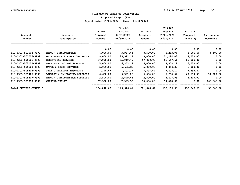**Proposed Budget (P3)**

|                        |                               |            | FY 2021        |            | FY 2022     |            |               |
|------------------------|-------------------------------|------------|----------------|------------|-------------|------------|---------------|
|                        |                               | FY 2021    | <b>ACTUALS</b> | FY 2022    | Actuals     | FY 2023    |               |
| Account                | Account                       | Original   | $07/01/2020 -$ | Original   | 07/01/2021- | Proposed   | Increase or   |
| Number                 | Description                   | Budget     | 06/30/2021     | Budget     | 06/30/2022  | (Phase 3)  | Decrease      |
|                        |                               | 0.00       | 0.00           | 0.00       | 0.00        | 0.00       | 0.00          |
| 110-4303-503004-9999   | REPAIR & MAINTENANCE          | 4,000.00   | 3,987.65       | 8,500.00   | 6,213.04    | 4,000.00   | $-4,500.00$   |
| 110-4303-503005-9999   | MAINTENANCE SERVICE CONTRACTS | 9,000.00   | 25,912.12      | 9,000.00   | 51,284.03   | 9,000.00   | 0.00          |
| 110-4303-505101-9999   | ELECTRICAL SERVICES           | 57,000.00  | 55,019.77      | 57,000.00  | 51,557.61   | 57,000.00  | 0.00          |
| 110-4303-505102-9999   | HEATING & COOLING SERVICES    | 5,000.00   | 6,343.18       | 5,000.00   | 8,378.11    | 5,000.00   | 0.00          |
| 110-4303-505103-9999   | WATER & SEWER SERVICES        | 5,000.00   | 5,655.83       | 5,000.00   | 4,094.32    | 5,000.00   | 0.00          |
| 110-4303-505302-9999   | FILE & PROPERTY INSURANCE     | 7,398.67   | 7,403.17       | 7,398.67   | 7,403.17    | 7,398.67   | 0.00          |
| 110-4303-505405-9999   | LAUNDRY & JANITORIAL SUPPLIES | 6,650.00   | 6,321.26       | 6,650.00   | 5,290.67    | 60,650.00  | 54,000.00     |
| 110-4303-505407-9999   | REPAIR & MAINTENANCE SUPPLIES | 2,500.00   | 2,679.68       | 2,500.00   | 4,427.98    | 2,500.00   | 0.00          |
| 110-4303-507010-9999   | CAPITAL OUTLAY                | 67,500.00  | 7,593.35       | 100,000.00 | 14,468.00   | 0.00       | $-100,000.00$ |
| Total JUSTICE CENTER B |                               | 164,048.67 | 120,916.01     | 201,048.67 | 153, 116.93 | 150,548.67 | $-50,500.00$  |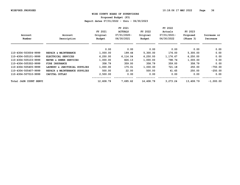**Proposed Budget (P3)**

|                        |                                  |           | FY 2021        |           | FY 2022     |           |             |
|------------------------|----------------------------------|-----------|----------------|-----------|-------------|-----------|-------------|
|                        |                                  | FY 2021   | <b>ACTUALS</b> | FY 2022   | Actuals     | FY 2023   |             |
| Account                | Account                          | Original  | 07/01/2020-    | Original  | 07/01/2021- | Proposed  | Increase or |
| Number                 | Description                      | Budget    | 06/30/2021     | Budget    | 06/30/2022  | (Phase 3) | Decrease    |
|                        |                                  | 0.00      | 0.00           | 0.00      | 0.00        | 0.00      | 0.00        |
| 110-4304-503004-9999   | REPAIR & MAINTENANCE             | 1,000.00  | 199.44         | 5,300.00  | 176.00      | 5,300.00  | 0.00        |
| 110-4304-505101-9999   | ELECTRICAL SERVICES              | 6, 250.00 | 6,114.04       | 6,250.00  | 1,176.67    | 6,250.00  | 0.00        |
| 110-4304-505103-9999   | WATER & SEWER SERVICES           | 1,000.00  | 826.13         | 1,000.00  | 798.74      | 1,000.00  | 0.00        |
| 110-4304-505302-9999   | FIRE INSURANCE                   | 358.79    | 359.00         | 358.79    | 359.00      | 358.79    | 0.00        |
| 110-4304-505405-9999   | LAUNDRY & JANITORIAL SUPPLIES    | 1,000.00  | 175.01         | 1,000.00  | 721.18      | 250.00    | $-750.00$   |
| 110-4304-505407-9999   | REPAIR & MAINTENANCE<br>SUPPLIES | 500.00    | 22.00          | 500.00    | 41.65       | 250.00    | $-250.00$   |
| 110-4304-507010-9999   | CAPITAL OUTLAY                   | 2,500.00  | 0.00           | 0.00      | 0.00        | 0.00      | 0.00        |
| Total J&DR COURT SERVI |                                  | 12,608.79 | 7,695.62       | 14,408.79 | 3,273.24    | 13,408.79 | $-1,000.00$ |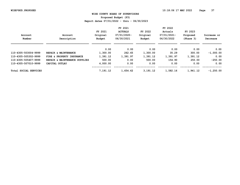**Proposed Budget (P3)**

|                       |                               |          | FY 2021        |          | FY 2022     |           |             |
|-----------------------|-------------------------------|----------|----------------|----------|-------------|-----------|-------------|
|                       |                               | FY 2021  | <b>ACTUALS</b> | FY 2022  | Actuals     | FY 2023   |             |
| Account               | Account                       | Original | 07/01/2020-    | Original | 07/01/2021- | Proposed  | Increase or |
| Number                | Description                   | Budget   | 06/30/2021     | Budget   | 06/30/2022  | (Phase 3) | Decrease    |
|                       |                               | 0.00     | 0.00           | 0.00     | 0.00        | 0.00      | 0.00        |
|                       |                               |          |                |          |             |           |             |
| 110-4305-503004-9999  | REPAIR & MAINTENANCE          | 1,300.00 | 262.65         | 1,300.00 | 35.29       | 300.00    | $-1,000.00$ |
| 110-4305-505302-9999  | FIRE & PROPERTY INSURANCE     | 1,391.12 | 1,391.97       | 1,391.12 | 1,391.97    | 1,391.12  | 0.00        |
| 110-4305-505407-9999  | REPAIR & MAINTENANCE SUPPLIES | 500.00   | 0.00           | 500.00   | 154.90      | 250.00    | $-250.00$   |
| 110-4305-507010-9999  | CAPITAL OUTLAY                | 4,000.00 | 0.00           | 0.00     | 0.00        | 0.00      | 0.00        |
| Total SOCIAL SERVICES |                               | 7,191.12 | 1,654.62       | 3,191.12 | 1,582.16    | 1,941.12  | $-1,250.00$ |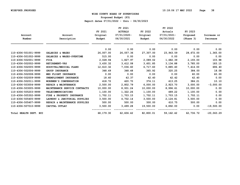**Proposed Budget (P3)**

|                        |                               |           | FY 2021        |           | FY 2022     |           |              |
|------------------------|-------------------------------|-----------|----------------|-----------|-------------|-----------|--------------|
|                        |                               | FY 2021   | <b>ACTUALS</b> | FY 2022   | Actuals     | FY 2023   |              |
| Account                | Account                       | Original  | 07/01/2020-    | Original  | 07/01/2021- | Proposed  | Increase or  |
| Number                 | Description                   | Budget    | 06/30/2021     | Budget    | 06/30/2022  | (Phase 3) | Decrease     |
|                        |                               | 0.00      | 0.00           | 0.00      | 0.00        | 0.00      | 0.00         |
| 110-4306-501001-9999   | SALARIES & WAGES              | 26,007.00 | 26,057.36      | 27,307.00 | 23,943.59   | 28,672.00 | 1,365.00     |
| 110-4306-501002-9999   | SALARIES & WAGES-OVERTIME     | 515.00    | 0.00           | 0.00      | 0.00        | 0.00      | 0.00         |
| 110-4306-502001-9999   | <b>FICA</b>                   | 2,028.94  | 1,827.97       | 2,089.02  | 1,682.39    | 2,193.00  | 103.98       |
| 110-4306-502002-9999   | <b>RETIREMENT-VRS</b>         | 3,430.32  | 3,412.08       | 3,601.85  | 3,134.88    | 3,785.00  | 183.15       |
| 110-4306-502005-9999   | HOSPITAL/MEDICAL PLANS        | 12,610.32 | 7,036.60       | 6,717.60  | 5,885.40    | 7,414.00  | 696.40       |
| 110-4306-502006-9999   | GROUP INSURANCE               | 348.49    | 348.48         | 365.92    | 320.25      | 384.00    | 18.08        |
| 110-4306-502008-9999   | MED FLIGHT INSURANCE          | 0.00      | 0.00           | 0.00      | 0.00        | 60.00     | 60.00        |
| 110-4306-502009-9999   | UNEMPLOYMENT INSURANCE        | 18.40     | 42.37          | 42.40     | 42.42       | 42.40     | 0.00         |
| 110-4306-502011-9999   | WORKMEN'S COMPENSATION        | 418.72    | 420.70         | 374.11    | 413.25      | 384.21    | 10.10        |
| 110-4306-503004-9999   | REPAIR & MAINTENANCE          | 2,500.00  | 2,802.79       | 6,000.00  | 2,923.70    | 3,000.00  | $-3,000.00$  |
| 110-4306-503005-9999   | MAINTENANCE SERVICE CONTRACTS | 10,000.00 | 8,931.24       | 10,000.00 | 8,996.61    | 10,000.00 | 0.00         |
| 110-4306-505203-9999   | TELECOMMUNICATIONS            | 1,100.00  | 1,322.26       | 1,100.00  | 489.22      | 1,100.00  | 0.00         |
| 110-4306-505302-9999   | FIRE & PROPERTY INSURANCE     | 1,702.11  | 1,703.15       | 1,702.11  | 1,703.15    | 1,702.11  | 0.00         |
| 110-4306-505405-9999   | LAUNDRY & JANITORIAL SUPPLIES | 3,500.00  | 4,702.14       | 3,500.00  | 2,124.81    | 3,500.00  | 0.00         |
| 110-4306-505407-9999   | REPAIR & MAINTENANCE SUPPLIES | 500.00    | 500.00         | 500.00    | 610.75      | 500.00    | 0.00         |
| 110-4306-507010-9999   | CAPITAL OUTLAY                | 3,500.00  | 3,499.28       | 19,500.00 | 6,892.00    | 0.00      | $-19,500.00$ |
| Total HEALTH DEPT. BUI |                               | 68,179.30 | 62,606.42      | 82,800.01 | 59,162.42   | 62,736.72 | $-20,063.29$ |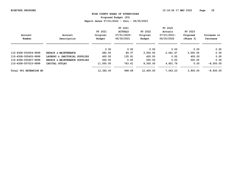**Proposed Budget (P3)**

|                                  |                               |           | FY 2021        |           | FY 2022     |           |             |
|----------------------------------|-------------------------------|-----------|----------------|-----------|-------------|-----------|-------------|
|                                  |                               | FY 2021   | <b>ACTUALS</b> | FY 2022   | Actuals     | FY 2023   |             |
| Account                          | Account                       | Original  | 07/01/2020-    | Original  | 07/01/2021- | Proposed  | Increase or |
| Number                           | Description                   | Budget    | 06/30/2021     | Budget    | 06/30/2022  | (Phase 3) | Decrease    |
|                                  |                               |           |                |           |             |           |             |
|                                  |                               | 0.00      | 0.00           | 0.00      | 0.00        | 0.00      | 0.00        |
| 110-4308-503004-9999             | REPAIR & MAINTENANCE          | 492.00    | 89.37          | 3,000.00  | 2,441.47    | 3,000.00  | 0.00        |
| 110-4308-505405-9999             | LAUNDRY & JANITORIAL SUPPLIES | 400.00    | 135.91         | 400.00    | 0.00        | 400.00    | 0.00        |
| 110-4308-505407-9999             | REPAIR & MAINTENANCE SUPPLIES | 500.00    | 0.00           | 500.00    | 0.00        | 500.00    | 0.00        |
| 110-4308-507010-9999             | CAPITAL OUTLAY                | 11,000.00 | 743.41         | 8,500.00  | 4,601.76    | 0.00      | $-8,500.00$ |
| <b>EXTENSION BU</b><br>Total VPI |                               | 12,392.00 | 968.69         | 12,400.00 | 7,043.23    | 3,900.00  | $-8,500.00$ |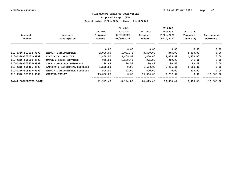**Proposed Budget (P3)**

|                        |                                  |           | FY 2021        |               | FY 2022     |           |              |
|------------------------|----------------------------------|-----------|----------------|---------------|-------------|-----------|--------------|
|                        |                                  | FY 2021   | <b>ACTUALS</b> | FY 2022       | Actuals     | FY 2023   |              |
| Account                | Account                          | Original  | 07/01/2020-    | Original      | 07/01/2021- | Proposed  | Increase or  |
| Number                 | Description                      | Budget    | 06/30/2021     | <b>Budget</b> | 06/30/2022  | (Phase 3) | Decrease     |
|                        |                                  | 0.00      | 0.00           | 0.00          | 0.00        | 0.00      | 0.00         |
| 110-4310-503004-9999   | REPAIR & MAINTENANCE             | 2,000.00  | 1,071.71       | 3,500.00      | 345.00      | 3,500.00  | 0.00         |
| 110-4310-505101-9999   | ELECTRICAL SERVICES              | 1,850.00  | 5,409.94       | 1,850.00      | 4,025.59    | 1,850.00  | 0.00         |
| 110-4310-505103-9999   | WATER & SEWER SERVICES           | 975.00    | 1,530.70       | 975.00        | 969.92      | 975.00    | 0.00         |
| 110-4310-505302-9999   | FIRE & PROPERTY INSURANCE        | 90.48     | 90.53          | 90.48         | 90.53       | 90.48     | 0.00         |
| 110-4310-505405-9999   | LAUNDRY & JANITORIAL SUPPLIES    | 1,500.00  | 0.00           | 1,500.00      | 1,216.46    | 1,500.00  | 0.00         |
| 110-4310-505407-9999   | REPAIR & MAINTENANCE<br>SUPPLIES | 500.00    | 22.00          | 500.00        | 0.00        | 500.00    | 0.00         |
| 110-4310-507010-9999   | CAPITAL OUTLAY                   | 15,000.00 | 0.00           | 16,000.00     | 7,232.97    | 0.00      | $-16,000.00$ |
| Total DORCHESTER COMMU |                                  | 21,915.48 | 8,124.88       | 24,415.48     | 13,880.47   | 8,415.48  | $-16,000.00$ |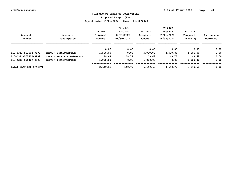**Proposed Budget (P3)**

|                        |                           |          | FY 2021        |               | FY 2022     |           |             |
|------------------------|---------------------------|----------|----------------|---------------|-------------|-----------|-------------|
|                        |                           | FY 2021  | <b>ACTUALS</b> | FY 2022       | Actuals     | FY 2023   |             |
| Account                | Account                   | Original | 07/01/2020-    | Original      | 07/01/2021- | Proposed  | Increase or |
| Number                 | Description               | Budget   | 06/30/2021     | <b>Budget</b> | 06/30/2022  | (Phase 3) | Decrease    |
|                        |                           |          |                |               |             |           |             |
|                        |                           | 0.00     | 0.00           | 0.00          | 0.00        | 0.00      | 0.00        |
| 110-4311-503004-9999   | REPAIR & MAINTENANCE      | 1,500.00 | 0.00           | 5,000.00      | 4,500.00    | 5,000.00  | 0.00        |
| 110-4311-505302-9999   | FIRE & PROPERTY INSURANCE | 149.68   | 149.77         | 149.68        | 149.77      | 149.68    | 0.00        |
| 110-4311-505407-9999   | REPAIR & MAINTENANCE      | 1,000.00 | 0.00           | 1,000.00      | 0.00        | 1,000.00  | 0.00        |
| Total FLAT GAP &FAIRVI |                           | 2,649.68 | 149.77         | 6,149.68      | 4,649.77    | 6,149.68  | 0.00        |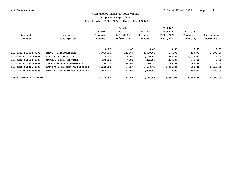**Proposed Budget (P3)**

|                        |                               |          | FY 2021        |               | FY 2022     |           |             |
|------------------------|-------------------------------|----------|----------------|---------------|-------------|-----------|-------------|
|                        |                               | FY 2021  | <b>ACTUALS</b> | FY 2022       | Actuals     | FY 2023   |             |
| Account                | Account                       | Original | 07/01/2020-    | Original      | 07/01/2021- | Proposed  | Increase or |
| Number                 | Description                   | Budget   | 06/30/2021     | <b>Budget</b> | 06/30/2022  | (Phase 3) | Decrease    |
|                        |                               | 0.00     | 0.00           | 0.00          | 0.00        | 0.00      | 0.00        |
| 110-4312-503004-9999   | REPAIR & MAINTENANCE          | 1,000.00 | 112.69         | 2,500.00      | 176.00      | 500.00    | $-2,000.00$ |
| 110-4312-505101-9999   | ELECTRICAL SERVICES           | 2,150.00 | 0.00           | 2,150.00      | 568.88      | 2,150.00  | 0.00        |
| 110-4312-505103-9999   | WATER & SEWER SERVICES        | 375.00   | 0.00           | 375.00        | 304.05      | 375.00    | 0.00        |
| 110-4312-505302-9999   | FIRE & PROPERTY INSURANCE     | 90.56    | 90.62          | 90.56         | 90.62       | 90.56     | 0.00        |
| 110-4312-505405-9999   | LAUNDRY & JANITORIAL SUPPLIES | 1,500.00 | 86.57          | 1,500.00      | 1,216.46    | 250.00    | $-1,250.00$ |
| 110-4312-505407-9999   | REPAIR & MAINTENANCE SUPPLIES | 1,000.00 | 22.00          | 1,000.00      | 0.00        | 250.00    | $-750.00$   |
| Total STEPHENS COMMUNI |                               | 6,115.56 | 311.88         | 7,615.56      | 2,356.01    | 3,615.56  | $-4,000.00$ |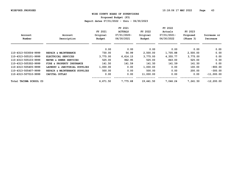**Proposed Budget (P3)**

|                        |                               |          | FY 2021        |               | FY 2022     |           |               |
|------------------------|-------------------------------|----------|----------------|---------------|-------------|-----------|---------------|
|                        |                               | FY 2021  | <b>ACTUALS</b> | FY 2022       | Actuals     | FY 2023   |               |
| Account                | Account                       | Original | 07/01/2020-    | Original      | 07/01/2021- | Proposed  | Increase or   |
| Number                 | Description                   | Budget   | 06/30/2021     | <b>Budget</b> | 06/30/2022  | (Phase 3) | Decrease      |
|                        |                               | 0.00     | 0.00           | 0.00          | 0.00        | 0.00      | 0.00          |
| 110-4313-503004-9999   | REPAIR & MAINTENANCE          | 730.00   | 56.99          | 2,500.00      | 1,705.88    | 2,500.00  | 0.00          |
| 110-4313-505101-9999   | ELECTRICAL SERVICES           | 3,775.00 | 6,614.15       | 3,775.00      | 4,355.77    | 3,775.00  | 0.00          |
| 110-4313-505103-9999   | WATER & SEWER SERVICES        | 525.00   | 962.95         | 525.00        | 843.00      | 525.00    | 0.00          |
| 110-4313-505302-9999   | FIRE & PROPERTY INSURANCE     | 141.50   | 141.59         | 141.50        | 141.59      | 141.50    | 0.00          |
| 110-4313-505405-9999   | LAUNDRY & JANITORIAL SUPPLIES | 1,000.00 | 0.00           | 1,000.00      | 0.00        | 100.00    | $-900.00$     |
| 110-4313-505407-9999   | REPAIR & MAINTENANCE SUPPLIES | 500.00   | 0.00           | 500.00        | 0.00        | 200.00    | $-300.00$     |
| 110-4313-507010-9999   | CAPITAL OUTLAY                | 0.00     | 0.00           | 11,000.00     | 0.00        | 0.00      | $-11,000.00$  |
| Total TACOMA SCHOOL CO |                               | 6,671.50 | 7,775.68       | 19,441.50     | 7,046.24    | 7,241.50  | $-12, 200.00$ |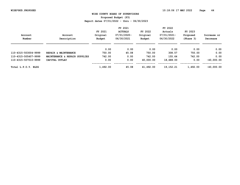**Proposed Budget (P3)**

|                      |                               |          | FY 2021        |           | FY 2022     |           |              |
|----------------------|-------------------------------|----------|----------------|-----------|-------------|-----------|--------------|
|                      |                               | FY 2021  | <b>ACTUALS</b> | FY 2022   | Actuals     | FY 2023   |              |
| Account              | Account                       | Original | $07/01/2020 -$ | Original  | 07/01/2021- | Proposed  | Increase or  |
| Number               | Description                   | Budget   | 06/30/2021     | Budget    | 06/30/2022  | (Phase 3) | Decrease     |
|                      |                               | 0.00     | 0.00           | 0.00      | 0.00        | 0.00      | 0.00         |
| 110-4315-503004-9999 | REPAIR & MAINTENANCE          | 750.00   | 45.08          | 750.00    | 308.57      | 750.00    | 0.00         |
| 110-4315-505407-9999 | MAINTENANCE & REPAIR SUPPLIES | 742.00   | 0.00           | 742.00    | 155.64      | 742.00    | 0.00         |
| 110-4315-507010-9999 | CAPITAL OUTLAY                | 0.00     | 0.00           | 40,000.00 | 18,688.00   | 0.00      | $-40,000.00$ |
| Total L.P.O.Y. BLDG  |                               | 1,492.00 | 45.08          | 41,492.00 | 19, 152, 21 | 1,492.00  | $-40,000,00$ |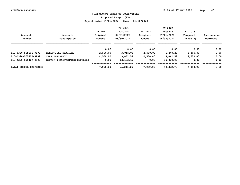**Proposed Budget (P3)**

|                        |                               |          | FY 2021        |          | FY 2022     |           |             |
|------------------------|-------------------------------|----------|----------------|----------|-------------|-----------|-------------|
|                        |                               | FY 2021  | <b>ACTUALS</b> | FY 2022  | Actuals     | FY 2023   |             |
| Account                | Account                       | Original | 07/01/2020-    | Original | 07/01/2021- | Proposed  | Increase or |
| Number                 | Description                   | Budget   | 06/30/2021     | Budget   | 06/30/2022  | (Phase 3) | Decrease    |
|                        |                               | 0.00     | 0.00           | 0.00     | 0.00        | 0.00      | 0.00        |
| 110-4320-505101-9999   | ELECTRICAL SERVICES           | 2,500.00 | 3,015.02       | 2,500.00 | 1,240.20    | 2,500.00  | 0.00        |
| 110-4320-505302-9999   | FIRE INSURANCE                | 4,550.00 | 9,062.58       | 4,550.00 | 9,062.58    | 4,550.00  | 0.00        |
| 110-4320-505407-9999   | REPAIR & MAINTENANCE SUPPLIES | 0.00     | 13, 133.69     | 0.00     | 39,000.00   | 0.00      | 0.00        |
| Total SCHOOL PROPERTIE |                               | 7,050.00 | 25, 211, 29    | 7,050.00 | 49,302.78   | 7,050.00  | 0.00        |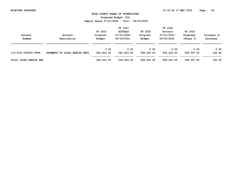**Proposed Budget (P3)**

|                        |                               |            | FY 2021        |            | FY 2022     |            |             |
|------------------------|-------------------------------|------------|----------------|------------|-------------|------------|-------------|
|                        |                               | FY 2021    | <b>ACTUALS</b> | FY 2022    | Actuals     | FY 2023    |             |
| Account                | Account                       | Original   | 07/01/2020-    | Original   | 07/01/2021- | Proposed   | Increase or |
| Number                 | Description                   | Budget     | 06/30/2021     | Budget     | 06/30/2022  | (Phase 3)  | Decrease    |
|                        |                               |            |                |            |             |            |             |
|                        |                               | 0.00       | 0.00           | 0.00       | 0.00        | 0.00       | 0.00        |
| 110-5101-505601-9999   | PAYMENTS TO LOCAL HEALTH DEPT | 542,623.00 | 542,623.00     | 558,225.00 | 558,225.00  | 558,367.00 | 142.00      |
|                        |                               |            |                |            |             |            |             |
| Total LOCAL HEALTH DEP |                               | 542,623.00 | 542,623.00     | 558,225.00 | 558,225.00  | 558,367.00 | 142.00      |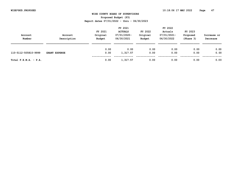**Proposed Budget (P3)**

| Account<br>Number       | Account<br>Description | FY 2021<br>Original<br>Budget | FY 2021<br><b>ACTUALS</b><br>07/01/2020-<br>06/30/2021 | FY 2022<br>Original<br>Budget | FY 2022<br>Actuals<br>07/01/2021-<br>06/30/2022 | FY 2023<br>Proposed<br>(Phase 3) | Increase or<br>Decrease |
|-------------------------|------------------------|-------------------------------|--------------------------------------------------------|-------------------------------|-------------------------------------------------|----------------------------------|-------------------------|
| 110-5112-505810-9999    | <b>GRANT EXPENSE</b>   | 0.00<br>0.00                  | 0.00<br>1,317.57                                       | 0.00<br>0.00                  | 0.00<br>0.00                                    | 0.00<br>0.00                     | 0.00<br>0.00            |
| Total $F.E.M.A. - P.A.$ |                        | 0.00                          | 1,317.57                                               | 0.00                          | 0.00                                            | 0.00                             | 0.00                    |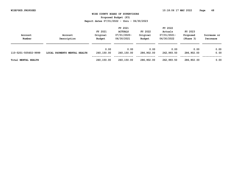**Proposed Budget (P3)**

| Account<br>Number          | Account<br>Description       | FY 2021<br>Original<br>Budget | FY 2021<br><b>ACTUALS</b><br>07/01/2020-<br>06/30/2021 | FY 2022<br>Original<br>Budget | FY 2022<br>Actuals<br>07/01/2021-<br>06/30/2022 | FY 2023<br>Proposed<br>(Phase 3) | Increase or<br>Decrease |
|----------------------------|------------------------------|-------------------------------|--------------------------------------------------------|-------------------------------|-------------------------------------------------|----------------------------------|-------------------------|
| 110-5201-505602-9999       | LOCAL PAYMENTS MENTAL HEALTH | 0.00<br>260,150.00            | 0.00<br>260,150.00                                     | 0.00<br>286,902.00            | 0.00<br>262,993.50                              | 0.00<br>286,902.00               | 0.00<br>0.00            |
| <b>Total MENTAL HEALTH</b> |                              | 260,150.00                    | 260,150.00                                             | 286,902.00                    | 262,993.50                                      | 286,902.00                       | 0.00                    |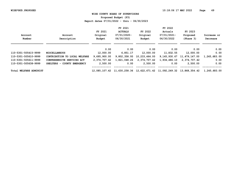**Proposed Budget (P3)**

|                        |                                       |              | FY 2021        |                                                                       | FY 2022      |               |              |
|------------------------|---------------------------------------|--------------|----------------|-----------------------------------------------------------------------|--------------|---------------|--------------|
|                        |                                       | FY 2021      | <b>ACTUALS</b> | FY 2022                                                               | Actuals      | FY 2023       |              |
| Account                | Account                               | Original     | 07/01/2020-    | Original                                                              | 07/01/2021-  | Proposed      | Increase or  |
| Number                 | Description                           | Budget       | 06/30/2021     | <b>Budget</b>                                                         | 06/30/2022   | (Phase 3)     | Decrease     |
|                        |                                       | 0.00         | 0.00           | 0.00                                                                  | 0.00         | 0.00          | 0.00         |
| 110-5301-505415-9999   | <b>MISCELLANEOUS</b>                  | 12,000.00    | 6,851.17       | 12,000.00                                                             | 11,832.55    | 12,000.00     | 0.00         |
| 110-5301-505610-9999   | CONTRIBUTION TO LOCAL WELFARE         | 9,695,900.00 | 9,802,358.93   | 10,233,464.00                                                         | 9,145,930.67 | 11,479,147.00 | 1,245,683.00 |
| 110-5301-505611-9999   | COMPREHENSIVE SERVICES ACT            | 2,374,707.42 | 1,821,048.26   | 2,374,707.42                                                          | 1,934,486.10 | 2,374,707.42  | 0.00         |
| 110-5301-505638-9999   | <b>COUNTY EMERGENCY</b><br>SHELTERS - | 2,500.00     | 0.00           | 2,500.00                                                              | 0.00         | 2,500.00      | 0.00         |
|                        |                                       |              |                |                                                                       |              |               |              |
| Total WELFARE ADMINIST |                                       |              |                | 12,085,107.42 11,630,258.36 12,622,671.42 11,092,249.32 13,868,354.42 |              |               | 1,245,683.00 |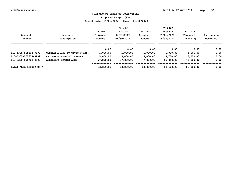**Proposed Budget (P3)**

|                        |                               |           | FY 2021        |           | FY 2022     |           |             |
|------------------------|-------------------------------|-----------|----------------|-----------|-------------|-----------|-------------|
|                        |                               | FY 2021   | <b>ACTUALS</b> | FY 2022   | Actuals     | FY 2023   |             |
| Account                | Account                       | Original  | 07/01/2020-    | Original  | 07/01/2021- | Proposed  | Increase or |
| Number                 | Description                   | Budget    | 06/30/2021     | Budget    | 06/30/2022  | (Phase 3) | Decrease    |
|                        |                               | 0.00      | 0.00           | 0.00      | 0.00        | 0.00      | 0.00        |
| 110-5305-505604-9999   | CONTRIBUTIONS TO CIVIC ORGAN. | 1,000.00  | 1,000.00       | 1,000.00  | 1,000.00    | 1,000.00  | 0.00        |
| 110-5305-505639-9999   | CHILDRENS ADVOCACY CENTER     | 5,000.00  | 5,000.00       | 5,000.00  | 3,750.00    | 5,000.00  | 0.00        |
| 110-5305-505702-9999   | <b>AUXILIARY GRANTS AGED</b>  | 77,800.00 | 77,800.00      | 77,800.00 | 58,350.00   | 77,800.00 | 0.00        |
| Total AREA AGENCY ON A |                               | 83,800.00 | 83,800.00      | 83,800.00 | 63,100.00   | 83,800.00 | 0.00        |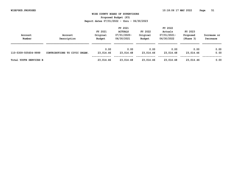**Proposed Budget (P3)**

|                        |                               | FY 2021            |                           |                    | FY 2022                   |                       |                         |  |
|------------------------|-------------------------------|--------------------|---------------------------|--------------------|---------------------------|-----------------------|-------------------------|--|
|                        |                               | FY 2021            | <b>ACTUALS</b>            | FY 2022            | Actuals                   | FY 2023               |                         |  |
| Account<br>Number      | Account<br>Description        | Original<br>Budget | 07/01/2020-<br>06/30/2021 | Original<br>Budget | 07/01/2021-<br>06/30/2022 | Proposed<br>(Phase 3) | Increase or<br>Decrease |  |
|                        |                               |                    |                           |                    |                           |                       |                         |  |
|                        |                               |                    |                           |                    |                           |                       |                         |  |
|                        |                               | 0.00               | 0.00                      | 0.00               | 0.00                      | 0.00                  | 0.00                    |  |
| 110-5309-505604-9999   | CONTRIBUTIONS TO CIVIC ORGAN. | 23,014.46          | 23,014.48                 | 23,014.46          | 23,014.48                 | 23,014.46             | 0.00                    |  |
|                        |                               |                    |                           |                    |                           |                       |                         |  |
| Total YOUTH SERVICES B |                               | 23,014.46          | 23,014.48                 | 23,014.46          | 23,014.48                 | 23,014.46             | 0.00                    |  |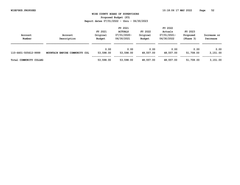**Proposed Budget (P3)**

|                        |                               |           | FY 2021        |           | FY 2022     |           |             |
|------------------------|-------------------------------|-----------|----------------|-----------|-------------|-----------|-------------|
|                        |                               | FY 2021   | <b>ACTUALS</b> | FY 2022   | Actuals     | FY 2023   |             |
| Account                | Account                       | Original  | 07/01/2020-    | Original  | 07/01/2021- | Proposed  | Increase or |
| Number                 | Description                   | Budget    | 06/30/2021     | Budget    | 06/30/2022  | (Phase 3) | Decrease    |
|                        |                               |           |                |           |             |           |             |
|                        |                               | 0.00      | 0.00           | 0.00      | 0.00        | 0.00      | 0.00        |
| 110-6401-505612-9999   | MOUNTAIN EMPIRE COMMUNITY COL | 53,598.00 | 53,598.00      | 48,557.00 | 48,557.00   | 51,708.00 | 3,151.00    |
|                        |                               |           |                |           |             |           |             |
| Total COMMUNITY COLLEG |                               | 53,598.00 | 53,598.00      | 48,557.00 | 48,557.00   | 51,708.00 | 3,151.00    |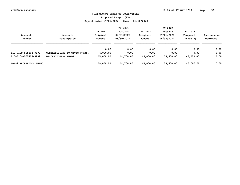**Proposed Budget (P3)**

| Account<br>Number             | Account<br>Description        | FY 2021<br>Original<br>Budget | FY 2021<br><b>ACTUALS</b><br>07/01/2020-<br>06/30/2021 | FY 2022<br>Original<br>Budget | FY 2022<br>Actuals<br>$07/01/2021 -$<br>06/30/2022 | FY 2023<br>Proposed<br>(Phase 3) | Increase or<br>Decrease |
|-------------------------------|-------------------------------|-------------------------------|--------------------------------------------------------|-------------------------------|----------------------------------------------------|----------------------------------|-------------------------|
|                               |                               | 0.00                          | 0.00                                                   | 0.00                          | 0.00                                               | 0.00                             | 0.00                    |
| 110-7109-505604-9999          | CONTRIBUTIONS TO CIVIC ORGAN. | 4,000.00                      | 0.00                                                   | 0.00                          | 0.00                                               | 0.00                             | 0.00                    |
| 110-7109-505804-9999          | DISCRETIONARY FUNDS           | 45,000.00                     | 44,700.00                                              | 45,000.00                     | 39,500.00                                          | 45,000.00                        | 0.00                    |
| <b>Total RECREATION AUTHO</b> |                               | 49,000.00                     | 44,700.00                                              | 45,000.00                     | 39,500.00                                          | 45,000.00                        | 0.00                    |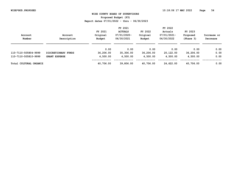**Proposed Budget (P3)**

| Account<br>Number      | Account<br>Description | FY 2021<br>Original<br>Budget | FY 2021<br><b>ACTUALS</b><br>$07/01/2020 -$<br>06/30/2021 | FY 2022<br>Original<br>Budget | FY 2022<br>Actuals<br>07/01/2021-<br>06/30/2022 | FY 2023<br>Proposed<br>(Phase 3) | Increase or<br>Decrease |
|------------------------|------------------------|-------------------------------|-----------------------------------------------------------|-------------------------------|-------------------------------------------------|----------------------------------|-------------------------|
|                        |                        | 0.00                          | 0.00                                                      | 0.00                          | 0.00                                            | 0.00                             | 0.00                    |
| 110-7110-505804-9999   | DISCRETIONARY FUNDS    | 36,206.00                     | 35,306.00                                                 | 36,206.00                     | 20,122.00                                       | 36,206.00                        | 0.00                    |
| 110-7110-505810-9999   | <b>GRANT EXPENSE</b>   | 4,500.00                      | 4,500.00                                                  | 4,500.00                      | 4,500.00                                        | 4,500.00                         | 0.00                    |
| Total CULTURAL ORGANIZ |                        | 40,706.00                     | 39,806.00                                                 | 40,706.00                     | 24,622.00                                       | 40,706.00                        | 0.00                    |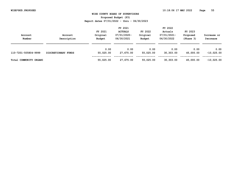**Proposed Budget (P3)**

| Account<br>Number      | Account<br>Description | FY 2021<br>Original<br>Budget | FY 2021<br><b>ACTUALS</b><br>07/01/2020-<br>06/30/2021 | FY 2022<br>Original<br>Budget | FY 2022<br>Actuals<br>07/01/2021-<br>06/30/2022 | FY 2023<br>Proposed<br>(Phase 3) | Increase or<br>Decrease |
|------------------------|------------------------|-------------------------------|--------------------------------------------------------|-------------------------------|-------------------------------------------------|----------------------------------|-------------------------|
| 110-7201-505804-9999   | DISCRETIONARY FUNDS    | 0.00<br>55,025.00             | 0.00<br>27,675.00                                      | 0.00<br>55,025.00             | 0.00<br>30,303.00                               | 0.00<br>45,000.00                | 0.00<br>$-10,025.00$    |
| Total COMMUNITY ORGANI |                        | 55,025.00                     | 27,675.00                                              | 55,025.00                     | 30,303.00                                       | 45,000.00                        | $-10,025.00$            |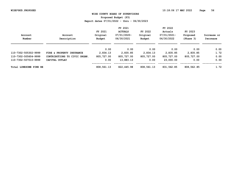**Proposed Budget (P3)**

|                        |                               |            | FY 2021        |            | FY 2022     |            |             |
|------------------------|-------------------------------|------------|----------------|------------|-------------|------------|-------------|
|                        |                               | FY 2021    | <b>ACTUALS</b> | FY 2022    | Actuals     | FY 2023    |             |
| Account                | Account                       | Original   | 07/01/2020-    | Original   | 07/01/2021- | Proposed   | Increase or |
| Number                 | Description                   | Budget     | 06/30/2021     | Budget     | 06/30/2022  | (Phase 3)  | Decrease    |
|                        |                               | 0.00       | 0.00           | 0.00       | 0.00        | 0.00       | 0.00        |
| 110-7302-505302-9999   | FIRE & PROPERTY INSURANCE     | 2,834.13   | 2,835.85       | 2,834.13   | 2,835.85    | 2,835.85   | 1.72        |
| 110-7302-505604-9999   | CONTRIBUTIONS TO CIVIC ORGAN. | 805,727.00 | 805,727.00     | 805,727.00 | 805,727.00  | 805,727.00 | 0.00        |
| 110-7302-507010-9999   | CAPITAL OUTLAY                | 0.00       | 13,883.13      | 0.00       | 23,000.00   | 0.00       | 0.00        |
| Total LONESOME PINE RE |                               | 808,561.13 | 822,445.98     | 808,561.13 | 831,562.85  | 808,562.85 | 1.72        |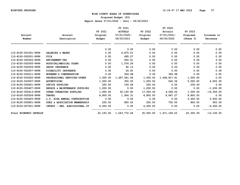**Proposed Budget (P3)**

|                        |                               |          | FY 2021                |           | FY 2022                |           |               |
|------------------------|-------------------------------|----------|------------------------|-----------|------------------------|-----------|---------------|
|                        |                               | FY 2021  | <b>ACTUALS</b>         | FY 2022   | Actuals                | FY 2023   |               |
| Account                | Account                       | Original | $07/01/2020 -$         | Original  | 07/01/2021-            | Proposed  | Increase or   |
| Number                 | Description                   | Budget   | 06/30/2021             | Budget    | 06/30/2022             | (Phase 3) | Decrease      |
|                        |                               | 0.00     | 0.00                   | 0.00      | 0.00                   | 0.00      | 0.00          |
| 110-8100-501001-9999   | SALARIES & WAGES              | 0.00     | 6,875.01               | 0.00      | 0.00                   | 0.00      | 0.00          |
| 110-8100-502001-9999   | <b>FICA</b>                   | 0.00     | 495.27                 | 0.00      | 0.00                   | 0.00      | 0.00          |
| 110-8100-502002-9999   | <b>RETIREMENT-VRS</b>         | 0.00     | 902.01                 | 0.00      | 0.00                   | 0.00      | 0.00          |
| 110-8100-502005-9999   | HOSPITAL/MEDICAL PLANS        | 0.00     | 1,576.29               | 0.00      | 0.00                   | 0.00      | 0.00          |
| 110-8100-502006-9999   | GROUP INSURANCE               | 0.00     | 92.13                  | 0.00      | 0.00                   | 0.00      | 0.00          |
| 110-8100-502007-9999   | DISABILITY INSURANCE          | 0.00     | 24.20                  | 0.00      | 0.00                   | 0.00      | 0.00          |
| 110-8100-502011-9999   | WORKMEN'S COMPENSATION        | 0.00     | 934.48                 | 0.00      | 345.98                 | 0.00      | 0.00          |
| 110-8100-503002-9999   | PROFESSIONAL SERVICES-OTHER   | 1,000.00 | 1,497,561.56           | 1,000.00  | 1,458,817.61           | 1,000.00  | 0.00          |
| 110-8100-503007-9999   | <b>ADVERTISING</b>            | 1,000.00 | 300.00                 | 1,000.00  | 542.34                 | 5,000.00  | 4,000.00      |
| 110-8100-505401-9999   | OFFICE SUPPLIES               | 250.00   | 156.28                 | 250.00    | 0.00                   | 250.00    | 0.00          |
| 110-8100-505407-9999   | REPAIR & MAINTENANCE SUPPLIES | 1,200.00 | 0.00                   | 1,200.00  | 0.00                   | 0.00      | $-1, 200.00$  |
| 110-8100-505413-9999   | OTHER OPERATING SUPPLIES      | 1,655.00 | 32,150.90              | 17,000.00 | 4,066.02               | 1,000.00  | $-16,000.00$  |
| 110-8100-505506-9999   | <b>TRAVEL</b>                 | 8,800.00 | 1,904.31               | 8,800.00  | 6,647.27               | 8,800.00  | 0.00          |
| 110-8100-505655-9999   | L.P. RIFA ANNUAL CONTRIBUTION | 0.00     | 0.00                   | 0.00      | 0.00                   | 5,500.00  | 5,500.00      |
| 110-8100-505801-9999   | DUES & ASSOCIATION MEMBERSHIP | 250.00   | 800.00                 | 250.00    | 750.00                 | 800.00    | 550.00        |
| 110-8100-507021-9999   | INVEST - REG. AGRICULTURAL CT | 6,000.00 | 0.00                   | 6,000.00  | 0.00                   | 0.00      | $-6,000.00$   |
| Total ECONOMIC DEVELOP |                               |          | 20,155.00 1,543,772.44 |           | 35,500.00 1,471,169.22 | 22,350.00 | $-13, 150.00$ |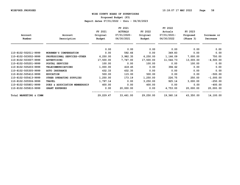**Proposed Budget (P3)**

|                        |                               |           | FY 2021        |           | FY 2022     |           |             |
|------------------------|-------------------------------|-----------|----------------|-----------|-------------|-----------|-------------|
|                        |                               | FY 2021   | <b>ACTUALS</b> | FY 2022   | Actuals     | FY 2023   |             |
| Account                | Account                       | Original  | $07/01/2020 -$ | Original  | 07/01/2021- | Proposed  | Increase or |
| Number                 | Description                   | Budget    | 06/30/2021     | Budget    | 06/30/2022  | (Phase 3) | Decrease    |
|                        |                               | 0.00      | 0.00           | 0.00      | 0.00        | 0.00      | 0.00        |
| 110-8102-502011-9999   | WORKMEN'S COMPENSATION        | 0.00      | 592.66         | 0.00      | 349.83      | 0.00      | 0.00        |
| 110-8102-503002-9999   | PROFESSIONAL SERVICES-OTHER   | 6,250.00  | 3,982.35       | 6,250.00  | 1,166.09    | 7,000.00  | 750.00      |
| 110-8102-503007-9999   | ADVERTISING                   | 17,500.00 | 7,747.00       | 17,500.00 | 11,544.73   | 13,000.00 | $-4,500.00$ |
| 110-8102-505201-9999   | POSTAL SERVICES               | 100.00    | 0.00           | 100.00    | 0.00        | 100.00    | 0.00        |
| 110-8102-505203-9999   | TELECOMMUNICATIONS            | 1,000.00  | 418.45         | 0.00      | 394.62      | 0.00      | 0.00        |
| 110-8102-505305-9999   | <b>AUTO INSURANCE</b>         | 432.33    | 432.35         | 0.00      | 0.00        | 0.00      | 0.00        |
| 110-8102-505412-9999   | <b>EDUCATION</b>              | 500.00    | 115.00         | 500.00    | 0.00        | 0.00      | $-500.00$   |
| 110-8102-505413-9999   | OTHER OPERATING SUPPLIES      | 1,250.00  | 173.19         | 1,250.00  | 226.75      | 250.00    | $-1,000.00$ |
| 110-8102-505506-9999   | <b>TRAVEL</b>                 | 1,797.14  | 0.00           | 3,250.00  | 925.14      | 3,000.00  | $-250.00$   |
| 110-8102-505801-9999   | DUES & ASSOCIATION MEMBERSHIP | 400.00    | 0.00           | 400.00    | 0.00        | 0.00      | $-400.00$   |
| 110-8102-505810-9999   | <b>GRANT EXPENSES</b>         | 0.00      | 20,000.00      | 0.00      | 4,753.00    | 20,000.00 | 20,000.00   |
| Total MARKETING & COMM |                               | 29,229.47 | 33,461.00      | 29,250.00 | 19,360.16   | 43,350.00 | 14,100.00   |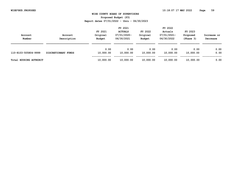**Proposed Budget (P3)**

| Account<br>Number      | Account<br>Description | FY 2021<br>Original<br>Budget | FY 2021<br><b>ACTUALS</b><br>07/01/2020-<br>06/30/2021 | FY 2022<br>Original<br>Budget | FY 2022<br>Actuals<br>07/01/2021-<br>06/30/2022 | FY 2023<br>Proposed<br>(Phase 3) | Increase or<br>Decrease |
|------------------------|------------------------|-------------------------------|--------------------------------------------------------|-------------------------------|-------------------------------------------------|----------------------------------|-------------------------|
| 110-8103-505804-9999   | DISCRETIONARY FUNDS    | 0.00<br>10,000.00             | 0.00<br>10,000.00                                      | 0.00<br>10,000.00             | 0.00<br>10,000.00                               | 0.00<br>10,000.00                | 0.00<br>0.00            |
| Total HOUSING AUTHORIT |                        | 10,000.00                     | 10,000.00                                              | 10,000.00                     | 10,000.00                                       | 10,000.00                        | 0.00                    |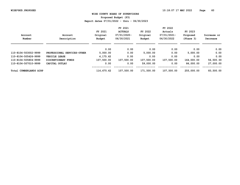**Proposed Budget (P3)**

|                        |                             |            | FY 2021        |            | FY 2022     |            |             |
|------------------------|-----------------------------|------------|----------------|------------|-------------|------------|-------------|
|                        |                             | FY 2021    | <b>ACTUALS</b> | FY 2022    | Actuals     | FY 2023    |             |
| Account                | Account                     | Original   | 07/01/2020-    | Original   | 07/01/2021- | Proposed   | Increase or |
| Number                 | Description                 | Budget     | 06/30/2021     | Budget     | 06/30/2022  | (Phase 3)  | Decrease    |
|                        |                             | 0.00       | 0.00           | 0.00       | 0.00        | 0.00       | 0.00        |
| 110-8104-503002-9999   | PROFESSIONAL SERVICES-OTHER | 5,000.00   | 0.00           | 5,000.00   | 0.00        | 5,000.00   | 0.00        |
| 110-8104-505426-9999   | <b>VEHICLE LEASE</b>        | 4,175.62   | 0.00           | 0.00       | 0.00        | 0.00       | 0.00        |
| 110-8104-505804-9999   | DISCRETIONARY FUNDS         | 107,500.00 | 107,500.00     | 107,500.00 | 107,500.00  | 164,000.00 | 56,500.00   |
| 110-8104-507010-9999   | CAPITAL OUTLAY              | 0.00       | 0.00           | 59,000.00  | 0.00        | 86,000.00  | 27,000.00   |
| Total CUMBERLANDS AIRP |                             | 116,675.62 | 107,500.00     | 171,500.00 | 107,500.00  | 255,000.00 | 83,500.00   |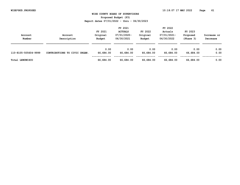**Proposed Budget (P3)**

| Account<br>Number    | Account<br>Description        | FY 2021<br>Original<br>Budget | FY 2021<br><b>ACTUALS</b><br>07/01/2020-<br>06/30/2021 | FY 2022<br>Original<br>Budget | FY 2022<br>Actuals<br>07/01/2021-<br>06/30/2022 | FY 2023<br>Proposed<br>(Phase 3) | Increase or<br>Decrease |
|----------------------|-------------------------------|-------------------------------|--------------------------------------------------------|-------------------------------|-------------------------------------------------|----------------------------------|-------------------------|
| 110-8105-505604-9999 | CONTRIBUTIONS TO CIVIC ORGAN. | 0.00<br>66,684.00             | 0.00<br>66,684.00                                      | 0.00<br>66,684.00             | 0.00<br>66,684.00                               | 0.00<br>66,684.00                | 0.00<br>0.00            |
| Total LENOWISCO      |                               | 66,684.00                     | 66,684.00                                              | 66,684.00                     | 66,684.00                                       | 66,684.00                        | 0.00                    |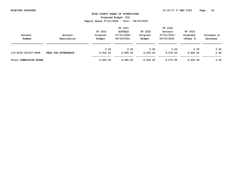**Proposed Budget (P3)**

|                        |                     |          | FY 2021        |          | FY 2022     |           |             |
|------------------------|---------------------|----------|----------------|----------|-------------|-----------|-------------|
|                        |                     | FY 2021  | <b>ACTUALS</b> | FY 2022  | Actuals     | FY 2023   |             |
| Account                | Account             | Original | 07/01/2020-    | Original | 07/01/2021- | Proposed  | Increase or |
| Number                 | Description         | Budget   | 06/30/2021     | Budget   | 06/30/2022  | (Phase 3) | Decrease    |
|                        |                     |          |                |          |             |           |             |
|                        |                     | 0.00     | 0.00           | 0.00     | 0.00        | 0.00      | 0.00        |
| 110-8106-501007-9999   | FEES FOR ATTENDANCE | 6,500.00 | 4,585.00       | 6,500.00 | 4,275.00    | 6,500.00  | 0.00        |
|                        |                     |          |                |          |             |           |             |
| Total COMMISSION EXPEN |                     | 6,500.00 | 4,585.00       | 6,500.00 | 4,275.00    | 6,500.00  | 0.00        |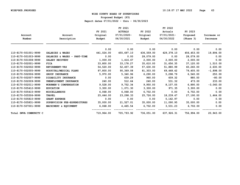**Proposed Budget (P3)**

|                        |                                                           |            | FY 2021        |            | FY 2022     |            |             |
|------------------------|-----------------------------------------------------------|------------|----------------|------------|-------------|------------|-------------|
|                        |                                                           | FY 2021    | <b>ACTUALS</b> | FY 2022    | Actuals     | FY 2023    |             |
| Account                | Account                                                   | Original   | $07/01/2020 -$ | Original   | 07/01/2021- | Proposed   | Increase or |
| Number                 | Description                                               | Budget     | 06/30/2021     | Budget     | 06/30/2022  | (Phase 3)  | Decrease    |
|                        |                                                           | 0.00       | 0.00           | 0.00       | 0.00        | 0.00       | 0.00        |
| 110-8170-501001-9999   | SALARIES & WAGES                                          | 441,024.00 | 455,697.10     | 436,559.00 | 429,378.10  | 456,453.00 | 19,894.00   |
| 110-8170-501003-9999   | SALARIES & WAGES<br>PART-TIME<br>$\overline{\phantom{a}}$ | 0.00       | 0.00           | 28,079.00  | 0.00        | 28,079.00  | 0.00        |
| 110-8170-501008-9999   | SALARY RECOVERY                                           | 1,000.00   | 1,416.67       | 2,000.00   | 2,000.00    | 2,000.00   | 0.00        |
| 110-8170-502001-9999   | <b>FICA</b>                                               | 33,800.00  | 33,178.27      | 35,610.00  | 31,656.35   | 37,120.00  | 1,510.00    |
| 110-8170-502002-9999   | <b>RETIREMENT-VRS</b>                                     | 54,520.00  | 52,457.39      | 57,630.00  | 51,880.99   | 60,260.00  | 2,630.00    |
| 110-8170-502005-9999   | HOSPITAL/MEDICAL PLANS                                    | 97,800.00  | 90,369.08      | 81,303.00  | 69,468.42   | 79,405.00  | $-1,898.00$ |
| 110-8170-502006-9999   | GROUP INSURANCE                                           | 5,970.00   | 5,340.96       | 6,290.00   | 5,298.79    | 6,540.00   | 250.00      |
| 110-8170-502007-9999   | DISABILITY INSURANCE                                      | 0.00       | 639.29         | 960.00     | 609.32      | 880.00     | $-80.00$    |
| 110-8170-502009-9999   | UNEMPLOYMENT INSURANCE                                    | 240.00     | 512.64         | 240.00     | 531.32      | 473.00     | 233.00      |
| 110-8170-502011-9999   | WORKMEN'S COMPENSATION                                    | 9,528.00   | 9,752.34       | 9,950.00   | 8,107.05    | 6,890.00   | $-3,060.00$ |
| 110-8170-505412-9999   | <b>EDUCATION</b>                                          | 3,300.00   | 1,071.30       | 3,300.00   | 971.35      | 3,300.00   | 0.00        |
| 110-8170-505415-9999   | <b>MISCELLANEOUS</b>                                      | 6,068.00   | 6,068.00       | 6,702.00   | 0.00        | 6,702.00   | 0.00        |
| 110-8170-505506-9999   | <b>TRAVEL</b>                                             | 25,646.00  | 23,298.33      | 25,726.00  | 18,239.47   | 27,190.00  | 1,464.00    |
| 110-8170-505810-9999   | <b>GRANT EXPENSE</b>                                      | 0.00       | 0.00           | 0.00       | 5,162.97    | 0.00       | 0.00        |
| 110-8170-505831-9999   | SUPERVISION FEE-EXPENDITURES                              | 35,000.00  | 21,527.01      | 35,000.00  | 11,090.95   | 35,000.00  | 0.00        |
| 110-8170-507001-9999   | MACHINERY & EQUIPMENT                                     | 6,068.00   | 4,465.54       | 6,702.00   | 3,531.23    | 6,702.00   | 0.00        |
| Total SWVA COMMUNITY C |                                                           | 719,964.00 | 705,793.92     | 736,051.00 | 637,926.31  | 756,994.00 | 20,943.00   |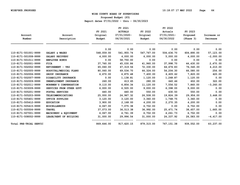**Proposed Budget (P3)**

|                        |                          |            | FY 2021        |            | FY 2022     |            |             |
|------------------------|--------------------------|------------|----------------|------------|-------------|------------|-------------|
|                        |                          | FY 2021    | <b>ACTUALS</b> | FY 2022    | Actuals     | FY 2023    |             |
| Account                | Account                  | Original   | $07/01/2020 -$ | Original   | 07/01/2021- | Proposed   | Increase or |
| Number                 | Description              | Budget     | 06/30/2021     | Budget     | 06/30/2022  | (Phase 3)  | Decrease    |
|                        |                          | 0.00       | 0.00           | 0.00       | 0.00        | 0.00       | 0.00        |
| 110-8171-501001-9999   | SALARY & WAGES           | 548,059.00 | 541,955.74     | 547,767.00 | 504,436.70  | 604,890.00 | 57,123.00   |
| 110-8171-501008-9999   | SALARY RECOVERY          | 4,000.00   | 4,000.00       | 6,000.00   | 5,000.00    | 4,000.00   | $-2,000.00$ |
| 110-8171-501011-9999   | <b>EMPLOYEE BONUS</b>    | 0.00       | 58,750.00      | 0.00       | 0.00        | 0.00       | 0.00        |
| 110-8171-502001-9999   | <b>FICA</b>              | 37,760.00  | 45,030.86      | 41,960.00  | 37,998.70   | 44,430.00  | 2,470.00    |
| 110-8171-502002-9999   | RETIREMENT - VRS         | 65,060.00  | 67,319.56      | 72,330.00  | 64,676.83   | 76,540.00  | 4,210.00    |
| 110-8171-502005-9999   | HOSPITAL/MEDICAL PLANS   | 80,060.00  | 69,534.70      | 66,324.00  | 54,204.30   | 66,580.00  | 256.00      |
| 110-8171-502006-9999   | GROUP INSURANCE          | 6,670.00   | 6,875.48       | 7,400.00   | 6,605.62    | 7,820.00   | 420.00      |
| 110-8171-502007-9999   | DISABILITY INSURANCE     | 0.00       | 1,138.81       | 1,120.00   | 1,268.87    | 1,120.00   | 0.00        |
| 110-8171-502009-9999   | UNEMPLOYMENT INSURANCE   | 260.00     | 613.65         | 280.00     | 640.46      | 602.00     | 322.00      |
| 110-8171-502011-9999   | WORKMEN'S COMPENSATION   | 9,110.00   | 6,854.34       | 11,120.00  | 7,556.52    | 7,860.00   | $-3,260.00$ |
| 110-8171-503009-9999   | SERVICES FROM OTHER GOVT | 6,000.00   | 6,505.00       | 9,000.00   | 6,398.00    | 9,000.00   | 0.00        |
| 110-8171-505201-9999   | POSTAL SERVICES          | 440.00     | 440.00         | 550.00     | 430.50      | 550.00     | 0.00        |
| 110-8171-505203-9999   | TELECOMMUNICATIONS       | 25,000.00  | 24,967.32      | 26,508.00  | 19,824.39   | 29,956.00  | 3,448.00    |
| 110-8171-505401-9999   | OFFICE SUPPLIES          | 3,120.00   | 3,120.00       | 3,360.00   | 1,768.75    | 3,360.00   | 0.00        |
| 110-8171-505412-9999   | <b>EDUCATION</b>         | 3,900.00   | 2,168.00       | 4,200.00   | 2,270.35    | 4,200.00   | 0.00        |
| 110-8171-505415-9999   | <b>MISCELLANEOUS</b>     | 6,067.00   | 7,075.38       | 6,702.00   | 0.00        | 6,702.00   | 0.00        |
| 110-8171-505506-9999   | <b>TRAVEL</b>            | 37,073.00  | 36,513.38      | 36,992.00  | 25,471.74   | 38,657.00  | 1,665.00    |
| 110-8171-507001-9999   | MACHINERY & EQUIPMENT    | 6,067.00   | 4,761.39       | 6,702.00   | 4,261.73    | 6,702.00   | 0.00        |
| 110-8171-508002-9999   | LEASE/RENT OF BUILDING   | 31,000.00  | 29,996.54      | 31,000.00  | 24,337.92   | 26,583.00  | $-4,417.00$ |
| Total PRE-TRIAL SERVIC |                          | 869,646.00 | 917,620.15     | 879,315.00 | 767,151.38  | 939,552.00 | 60,237.00   |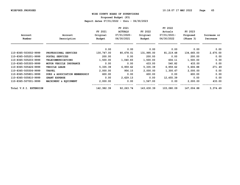**Proposed Budget (P3)**

|                        |                               |            | FY 2021        |            | FY 2022     |            |             |
|------------------------|-------------------------------|------------|----------------|------------|-------------|------------|-------------|
|                        |                               | FY 2021    | <b>ACTUALS</b> | FY 2022    | Actuals     | FY 2023    |             |
| Account                | Account                       | Original   | $07/01/2020 -$ | Original   | 07/01/2021- | Proposed   | Increase or |
| Number                 | Description                   | Budget     | 06/30/2021     | Budget     | 06/30/2022  | (Phase 3)  | Decrease    |
|                        |                               | 0.00       | 0.00           | 0.00       | 0.00        | 0.00       | 0.00        |
| 110-8365-503002-9999   | PROFESSIONAL SERVICES         | 130,747.00 | 80,678.01      | 131,995.00 | 81,219.48   | 134,665.00 | 2,670.00    |
| 110-8365-505201-9999   | POSTAL SERVICES               | 200.00     | 0.00           | 200.00     | 0.00        | 200.00     | 0.00        |
| 110-8365-505203-9999   | <b>TELECOMMUNICATIONS</b>     | 1,500.00   | 1,040.83       | 1,500.00   | 604.11      | 1,500.00   | 0.00        |
| 110-8365-505305-9999   | MOTOR VEHICLE INSURANCE       | 0.00       | 0.00           | 433.00     | 540.82      | 433.00     | 0.00        |
| 110-8365-505426-9999   | VEHICLE LEASE                 | 5,335.39   | 6,959.62       | 5,335.39   | 6,959.62    | 5,606.88   | 271.49      |
| 110-8365-505506-9999   | <b>TRAVEL</b>                 | 2,000.00   | 956.15         | 2,000.00   | 1,300.67    | 2,000.00   | 0.00        |
| 110-8365-505801-9999   | DUES & ASSOCIATION MEMBERSHIP | 600.00     | 0.00           | 600.00     | 0.00        | 600.00     | 0.00        |
| 110-8365-505810-9999   | <b>GRANT EXPENSE</b>          | 0.00       | 2,629.13       | 0.00       | 12,455.39   | 0.00       | 0.00        |
| 110-8365-507001-9999   | MACHINERY & EQUIPMENT         | 2,000.00   | 0.00           | 1,567.00   | 0.00        | 2,000.00   | 433.00      |
| Total V.P.I. EXTENSION |                               | 142,382.39 | 92,263.74      | 143,630.39 | 103,080.09  | 147,004.88 | 3,374.49    |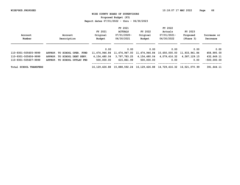**Proposed Budget (P3)**

|                        |                              |               | FY 2021        |                             | FY 2022                     |               |               |
|------------------------|------------------------------|---------------|----------------|-----------------------------|-----------------------------|---------------|---------------|
|                        |                              | FY 2021       | <b>ACTUALS</b> | FY 2022                     | Actuals                     | FY 2023       |               |
| Account                | Account                      | Original      | $07/01/2020 -$ | Original                    | 07/01/2021-                 | Proposed      | Increase or   |
| Number                 | Description                  | Budget        | 06/30/2021     | Budget                      | 06/30/2022                  | (Phase 3)     | Decrease      |
|                        |                              |               |                |                             |                             |               |               |
|                        |                              | 0.00          | 0.00           | 0.00                        | 0.00                        | 0.00          | 0.00          |
| 110-9301-505605-9999   | APPROP. TO SCHOOL OPER. FUND | 11,474,946.84 | 11,474,947.00  | 11,474,946.84               | 10,650,000.00               | 11,933,941.84 | 458,995.00    |
| 110-9301-505606-9999   | APPROP. TO SCHOOL DEBT SERV. | 4,154,480.04  | 3,797,783.25   | 4,154,480.04                | 4,079,416.32                | 4,587,129.15  | 432,649.11    |
| 110-9301-505607-9999   | APPROP. TO SCHOOL OUTLAY FND | 500,000.00    | 615,861.99     | 500,000.00                  | 0.00                        | 0.00          | $-500,000,00$ |
|                        |                              |               |                |                             |                             |               |               |
| Total SCHOOL TRANSFERS |                              | 16,129,426.88 |                | 15,888,592.24 16,129,426.88 | 14,729,416.32 16,521,070.99 |               | 391,644.11    |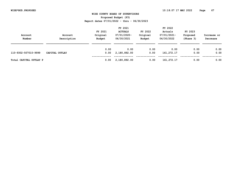**Proposed Budget (P3)**

| Account<br>Number      | Account<br>Description | FY 2021<br>Original<br>Budget | FY 2021<br><b>ACTUALS</b><br>07/01/2020-<br>06/30/2021 | FY 2022<br>Original<br>Budget | FY 2022<br>Actuals<br>07/01/2021-<br>06/30/2022 | FY 2023<br>Proposed<br>(Phase 3) | Increase or<br>Decrease |
|------------------------|------------------------|-------------------------------|--------------------------------------------------------|-------------------------------|-------------------------------------------------|----------------------------------|-------------------------|
| 110-9302-507010-9999   | CAPITAL OUTLAY         | 0.00<br>0.00                  | 0.00<br>2,180,892.00                                   | 0.00<br>0.00                  | 0.00<br>161, 272. 17                            | 0.00<br>0.00                     | 0.00<br>0.00            |
| Total CAPITAL OUTLAY P |                        | 0.00                          | 2,180,892.00                                           | 0.00                          | 161, 272, 17                                    | 0.00                             | 0.00                    |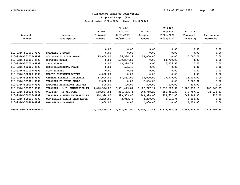**Proposed Budget (P3)**

|                        |                               |              | FY 2021        |                 | FY 2022      |                                                                            |             |
|------------------------|-------------------------------|--------------|----------------|-----------------|--------------|----------------------------------------------------------------------------|-------------|
|                        |                               | FY 2021      | <b>ACTUALS</b> | FY 2022         | Actuals      | FY 2023                                                                    |             |
| Account                | Account                       | Original     | 07/01/2020-    | Original        | 07/01/2021-  | Proposed                                                                   | Increase or |
| Number                 | Description                   | Budget       | 06/30/2021     | Budget          | 06/30/2022   | (Phase 3)                                                                  | Decrease    |
|                        |                               | 0.00         | 0.00           | 0.00            | 0.00         | 0.00                                                                       | 0.00        |
| 110-9316-501001-9999   | SALARIES & WAGES              | 0.00         | 0.00           | 0.00            | 0.00         | 0.00                                                                       | 0.00        |
| 110-9316-501010-9999   | ACCUMULATED LEAVE BUYOUT      | 15,000.00    | 36,536.29      | 15,000.00       | 0.00         | 15,000.00                                                                  | 0.00        |
| 110-9316-501011-9999   | <b>EMPLOYEE BONUS</b>         | 0.00         | 530,837.50     | 0.00            | 68,700.00    | 0.00                                                                       | 0.00        |
| 110-9316-502001-9999   | FICA EXPENSE                  | 0.00         | 43,329.77      | 0.00            | 5,236.95     | 0.00                                                                       | 0.00        |
| 110-9316-502005-9999   | HOSPITAL/MEDICAL PLANS        | 0.00         | $-525.43$      | 0.00            | 0.00         | 0.00                                                                       | 0.00        |
| 110-9316-502009-9999   | <b>SUTA EXPENSE</b>           | 0.00         | 0.55           | 0.00            | 0.00         | 0.00                                                                       | 0.00        |
| 110-9316-502020-9999   | HEALTH INSURANCE BUYOUT       | 4,000.00     | 0.00           | 0.00            | 0.00         | 0.00                                                                       | 0.00        |
| 110-9316-505308-9999   | GENERAL LIABILTY INSURANCE    | 17,000.00    | 17,883.00      | 18,000.00       | 17,579.00    | 18,000.00                                                                  | 0.00        |
| 110-9316-505901-9999   | TRANSFER TO OTHER FUNDS       | 2,000.00     | 0.00           | 2,000.00        | 0.00         | 2,000.00                                                                   | 0.00        |
| 110-9316-509009-9999   | EMPLOYEE ASSISTANCE PROGRAM   | 500.00       | 400.00         | 500.00          | 400.00       | 500.00                                                                     | 0.00        |
| 110-9316-509012-9999   | TRANSFER - L.F. ENTERPRISE FN | 3,020,396.25 | 2,951,479.87   | 3, 182, 727. 14 | 2,896,687.36 | 3,288,990.19                                                               | 106,263.05  |
| 110-9316-509014-9999   | TRANSFER - E-911 FUND         | 550,834.94   | 366, 453. 74   | 648,748.29      | 256,061.33   | 679,767.12                                                                 | 31,018.83   |
| 110-9316-509015-9999   | TRANSFER - SEWER ENTERPRIS FN | 564,928.00   | 599,553.86     | 543,928.00      | 428,652.00   | 544,848.00                                                                 | 920.00      |
| 110-9316-509016-9999   | OPT HEALTH CREDIT PROG-RETIR  | 3,200.00     | 3,043.75       | 3,200.00        | 2,635.74     | 3,200.00                                                                   | 0.00        |
| 110-9316-509999-9999   | UNBUDGETED EXPENSES           | 2,000.00     | 0.00           | 2,000.00        | 0.00         | 2,000.00                                                                   | 0.00        |
| Total NON-DEPARTMENTAL |                               |              |                |                 |              | 4, 179, 859.19 4, 548, 992.90 4, 416, 103.43 3, 675, 952.38 4, 554, 305.31 | 138,201.88  |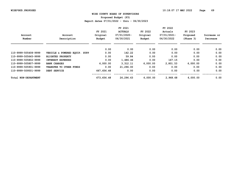**Proposed Budget (P3)**

|                      |                               |            | FY 2021        |          | FY 2022     |           |             |
|----------------------|-------------------------------|------------|----------------|----------|-------------|-----------|-------------|
|                      |                               | FY 2021    | <b>ACTUALS</b> | FY 2022  | Actuals     | FY 2023   |             |
| Account              | Account                       | Original   | 07/01/2020-    | Original | 07/01/2021- | Proposed  | Increase or |
| Number               | Description                   | Budget     | 06/30/2021     | Budget   | 06/30/2022  | (Phase 3) | Decrease    |
|                      |                               | 0.00       | 0.00           | 0.00     | 0.00        | 0.00      | 0.00        |
| 110-9999-505408-9999 | VEHICLE & POWERED EQUIP. SUPP | 0.00       | 142.22         | 0.00     | 0.00        | 0.00      | 0.00        |
| 110-9999-505645-9999 | <b>BLIGHTED PROPERTY</b>      | 0.00       | 59.84          | 0.00     | 0.00        | 0.00      | 0.00        |
| 110-9999-505802-9999 | <b>INTEREST EXPENSES</b>      | 0.00       | 1,486.46       | 0.00     | 167.15      | 0.00      | 0.00        |
| 110-9999-505807-9999 | <b>BANK CHARGES</b>           | 6,000.00   | 3,312.11       | 6,000.00 | 2,801.53    | 6,000.00  | 0.00        |
| 110-9999-505901-9999 | TRANSFER TO OTHER FUNDS       | 0.00       | 21,296.00      | 0.00     | 0.00        | 0.00      | 0.00        |
| 110-9999-509501-9999 | DEBT SERVICE                  | 667,656.48 | 0.00           | 0.00     | 0.00        | 0.00      | 0.00        |
| Total NON-DEPARTMENT |                               | 673,656.48 | 26,296.63      | 6,000.00 | 2,968.68    | 6,000.00  | 0.00        |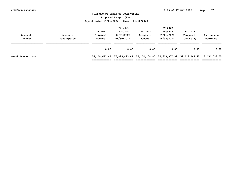| Account<br>Number         | Account<br>Description | FY 2021<br>Original<br>Budget | FY 2021<br><b>ACTUALS</b><br>07/01/2020-<br>06/30/2021 | FY 2022<br>Original<br>Budget                      | FY 2022<br>Actuals<br>07/01/2021-<br>06/30/2022 | FY 2023<br>Proposed<br>(Phase 3) | Increase or<br>Decrease       |
|---------------------------|------------------------|-------------------------------|--------------------------------------------------------|----------------------------------------------------|-------------------------------------------------|----------------------------------|-------------------------------|
|                           |                        | 0.00                          | 0.00                                                   | 0.00                                               | 0.00                                            | 0.00                             | 0.00                          |
| <b>Total GENERAL FUND</b> |                        | =============                 | :============                                          | 56, 148, 632, 47 57, 825, 493, 87 57, 174, 108, 90 | 52,619,907.99                                   | 59,628,142.45                    | 2,454,033.55<br>============= |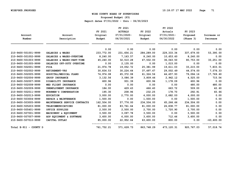**Proposed Budget (P3)**

|                        |                               |            | FY 2021        |            | FY 2022     |             |              |
|------------------------|-------------------------------|------------|----------------|------------|-------------|-------------|--------------|
|                        |                               | FY 2021    | <b>ACTUALS</b> | FY 2022    | Actuals     | FY 2023     |              |
| Account                | Account                       | Original   | 07/01/2020-    | Original   | 07/01/2021- | Proposed    | Increase or  |
| Number                 | Description                   | Budget     | 06/30/2021     | Budget     | 06/30/2022  | (Phase 3)   | Decrease     |
|                        |                               | 0.00       | 0.00           | 0.00       | 0.00        | 0.00        | 0.00         |
| 210-9400-501001-9999   | SALARIES & WAGES              | 233,772.00 | 231,656.21     | 284,289.00 | 229,333.34  | 337,679.00  | 53,390.00    |
| 210-9400-501002-9999   | SALARIES & WAGES-OVERTIME     | 8,240.00   | 7,163.57       | 8,240.00   | 10,653.60   | 8,240.00    | 0.00         |
| 210-9400-501003-9999   | SALARIES & WAGES-PART-TIME    | 45,240.00  | 32,510.28      | 47,502.00  | 36,043.50   | 80,753.00   | 33,251.00    |
| 210-9400-501005-9999   | SALARIES OFF-DUTY OVERTIME    | 0.00       | 2,135.00       | 0.00       | 1,015.00    | 0.00        | 0.00         |
| 210-9400-502001-9999   | <b>FICA</b>                   | 21,974.78  | 19,052.72      | 25,381.99  | 19,611.03   | 33,215.00   | 7,833.01     |
| 210-9400-502002-9999   | <b>RETIREMENT-VRS</b>         | 30,834.53  | 30,224.64      | 37, 497.67 | 29,002.49   | 44,574.00   | 7,076.33     |
| 210-9400-502005-9999   | HOSPITAL/MEDICAL PLANS        | 74,974.08  | 65,372.08      | 61,324.56  | 44,457.93   | 79,094.16   | 17,769.60    |
| 210-9400-502006-9999   | GROUP INSURANCE               | 3,132.56   | 3,086.39       | 3,809.46   | 2,962.12    | 4,525.00    | 715.54       |
| 210-9400-502007-9999   | DISABILITY INSURANCE          | 600.96     | 931.39         | 600.96     | 1,178.09    | 600.96      | 0.00         |
| 210-9400-502008-9999   | MED FLIGHT INSURANCE          | 0.00       | 0.00           | 0.00       | 0.00        | 480.00      | 480.00       |
| 210-9400-502009-9999   | UNEMPLOYMENT INSURANCE        | 184.00     | 429.43         | 466.40     | 663.72      | 509.00      | 42.60        |
| 210-9400-502011-9999   | WORKMEN'S COMPENSATION        | 195.30     | 208.96         | 232.25     | 178.70      | 292.91      | 60.66        |
| 210-9400-502013-9999   | <b>EDUCATION</b>              | 3,000.00   | 2,770.00       | 4,000.00   | 2,682.00    | 4,000.00    | 0.00         |
| 210-9400-503004-9999   | REPAIR & MAINTENANCE          | 1,500.00   | 0.00           | 1,500.00   | 0.00        | 1,500.00    | 0.00         |
| 210-9400-503005-9999   | MAINTENANCE SERVICE CONTRACTS | 162,504.00 | 57,776.00      | 234,504.00 | 65,266.66   | 234,504.00  | 0.00         |
| 210-9400-505203-9999   | TELECOMMUNICATIONS            | 81,000.00  | 83,761.64      | 81,000.00  | 26,838.77   | 81,000.00   | 0.00         |
| 210-9400-505401-9999   | OFFICE SUPPLIES               | 2,500.00   | 2,500.00       | 2,700.00   | 1,720.90    | 2,700.00    | 0.00         |
| 210-9400-507001-9999   | MACHINERY & EQUIPMENT         | 3,500.00   | 3,097.78       | 3,500.00   | 0.00        | 3,500.00    | 0.00         |
| 210-9400-507007-9999   | ADP EQUIPMENT & SOFTWARE      | 3,600.00   | 6,000.00       | 3,600.00   | 712.46      | 3,600.00    | 0.00         |
| 210-9400-507010-9999   | CAPITAL OUTLAY                | 85,000.00  | 22,952.64      | 63,600.00  | 800.00      | 0.00        | $-63,600.00$ |
| Total E-911 - COUNTY D |                               | 761,752.21 | 571,628.73     | 863,748.29 | 473,120.31  | 920, 767.03 | 57,018.74    |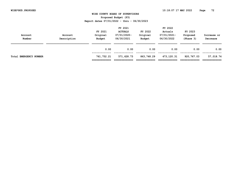| Account<br>Number      | Account<br>Description | FY 2021<br>Original<br>Budget | FY 2021<br><b>ACTUALS</b><br>$07/01/2020 -$<br>06/30/2021 | FY 2022<br>Original<br>Budget | FY 2022<br>Actuals<br>07/01/2021-<br>06/30/2022 | FY 2023<br>Proposed<br>(Phase 3) | Increase or<br>Decrease    |
|------------------------|------------------------|-------------------------------|-----------------------------------------------------------|-------------------------------|-------------------------------------------------|----------------------------------|----------------------------|
|                        |                        | 0.00                          | 0.00                                                      | 0.00                          | 0.00                                            | 0.00                             | 0.00                       |
| Total EMERGENCY NUMBER |                        | 761,752.21<br>=============   | 571,628.73<br>============                                | 863,748.29<br>_____________   | 473,120.31                                      | 920,767.03                       | 57,018.74<br>------------- |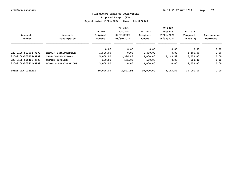**Proposed Budget (P3)**

|                      |                                  |           | FY 2021        |               | FY 2022     |           |             |
|----------------------|----------------------------------|-----------|----------------|---------------|-------------|-----------|-------------|
|                      |                                  | FY 2021   | <b>ACTUALS</b> | FY 2022       | Actuals     | FY 2023   |             |
| Account              | Account                          | Original  | 07/01/2020-    | Original      | 07/01/2021- | Proposed  | Increase or |
| Number               | Description                      | Budget    | 06/30/2021     | <b>Budget</b> | 06/30/2022  | (Phase 3) | Decrease    |
|                      |                                  | 0.00      | 0.00           | 0.00          | 0.00        | 0.00      | 0.00        |
| 220-2108-503004-9999 | REPAIR & MAINTENANCE             | 1,500.00  | 0.00           | 1,500.00      | 0.00        | 1,500.00  | 0.00        |
| 220-2108-505203-9999 | <b>TELECOMMUNICATIONS</b>        | 5,000.00  | 2,386.86       | 5,000.00      | 5, 143.52   | 5,000.00  | 0.00        |
| 220-2108-505401-9999 | OFFICE SUPPLIES                  | 500.00    | 155.07         | 500.00        | 0.00        | 500.00    | 0.00        |
| 220-2108-505411-9999 | <b>BOOKS &amp; SUBSCRIPTIONS</b> | 3,000.00  | 0.00           | 3,000.00      | 0.00        | 3,000.00  | 0.00        |
| Total LAW LIBRARY    |                                  | 10,000.00 | 2,541.93       | 10,000.00     | 5, 143.52   | 10,000.00 | 0.00        |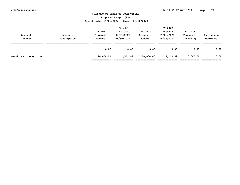| Account<br>Number      | Account<br>Description | FY 2021<br>Original<br>Budget | FY 2021<br><b>ACTUALS</b><br>$07/01/2020 -$<br>06/30/2021 | FY 2022<br>Original<br>Budget | FY 2022<br>Actuals<br>07/01/2021-<br>06/30/2022 | FY 2023<br>Proposed<br>(Phase 3) | Increase or<br>Decrease |
|------------------------|------------------------|-------------------------------|-----------------------------------------------------------|-------------------------------|-------------------------------------------------|----------------------------------|-------------------------|
|                        |                        | 0.00                          | 0.00                                                      | 0.00                          | 0.00                                            | 0.00                             | 0.00                    |
| Total LAW LIBRARY FUND |                        | 10,000.00<br>:============    | 2,541.93<br>=========                                     | 10,000.00                     | 5, 143.52                                       | 10,000.00                        | 0.00                    |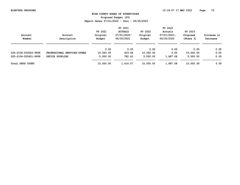**Proposed Budget (P3)**

|                         |                             |                     | FY 2021                          |                     | FY 2022                |                     |             |
|-------------------------|-----------------------------|---------------------|----------------------------------|---------------------|------------------------|---------------------|-------------|
| Account                 | Account                     | FY 2021<br>Original | <b>ACTUALS</b><br>$07/01/2020 -$ | FY 2022<br>Original | Actuals<br>07/01/2021- | FY 2023<br>Proposed | Increase or |
| Number                  | Description                 | Budget              | 06/30/2021                       | Budget              | 06/30/2022             | (Phase 3)           | Decrease    |
|                         |                             | 0.00                | 0.00                             | 0.00                | 0.00                   | 0.00                | 0.00        |
| 225-2104-503002-9999    | PROFESSIONAL SERVICES-OTHER | 10,000.00           | 633.64                           | 10,000.00           | 0.00                   | 10,000.00           | 0.00        |
| 225-2104-505401-9999    | OFFICE SUPPLIES             | 5,000.00            | 782.43                           | 5,000.00            | 1,687.08               | 5,000.00            | 0.00        |
| <b>Total DRUG COURT</b> |                             | 15,000.00           | 1,416.07                         | 15,000.00           | 1,687.08               | 15,000.00           | 0.00        |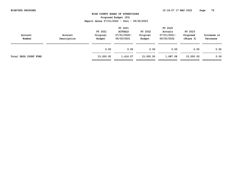| Account<br>Number     | Account<br>Description | FY 2021<br>Original<br>Budget | FY 2021<br><b>ACTUALS</b><br>07/01/2020-<br>06/30/2021 | FY 2022<br>Original<br>Budget | FY 2022<br>Actuals<br>07/01/2021-<br>06/30/2022 | FY 2023<br>Proposed<br>(Phase 3) | Increase or<br>Decrease |
|-----------------------|------------------------|-------------------------------|--------------------------------------------------------|-------------------------------|-------------------------------------------------|----------------------------------|-------------------------|
|                       |                        | 0.00                          | 0.00                                                   | 0.00                          | 0.00                                            | 0.00                             | 0.00                    |
| Total DRUG COURT FUND |                        | 15,000.00<br>.============    | 1,416.07                                               | 15,000.00                     | 1,687.08                                        | 15,000.00                        | 0.00                    |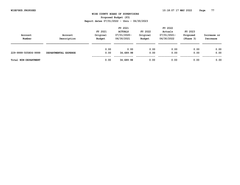**Proposed Budget (P3)**

| Account<br>Number    | Account<br>Description | FY 2021<br>Original<br>Budget | FY 2021<br><b>ACTUALS</b><br>07/01/2020-<br>06/30/2021 | FY 2022<br>Original<br>Budget | FY 2022<br>Actuals<br>07/01/2021-<br>06/30/2022 | FY 2023<br>Proposed<br>(Phase 3) | Increase or<br>Decrease |
|----------------------|------------------------|-------------------------------|--------------------------------------------------------|-------------------------------|-------------------------------------------------|----------------------------------|-------------------------|
| 229-9999-505806-9999 | DEPARTMENTAL EXPENSE   | 0.00<br>0.00                  | 0.00<br>34,689.98                                      | 0.00<br>0.00                  | 0.00<br>0.00                                    | 0.00<br>0.00                     | 0.00<br>0.00            |
| Total NON-DEPARTMENT |                        | 0.00                          | 34,689.98                                              | 0.00                          | 0.00                                            | 0.00                             | 0.00                    |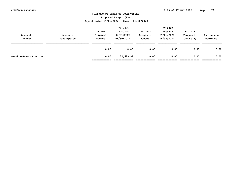| Account<br>Number      | Account<br>Description | FY 2021<br>Original<br>Budget | FY 2021<br><b>ACTUALS</b><br>07/01/2020-<br>06/30/2021 | FY 2022<br>Original<br>Budget | FY 2022<br>Actuals<br>07/01/2021-<br>06/30/2022 | FY 2023<br>Proposed<br>(Phase 3) | Increase or<br>Decrease |
|------------------------|------------------------|-------------------------------|--------------------------------------------------------|-------------------------------|-------------------------------------------------|----------------------------------|-------------------------|
|                        |                        | 0.00                          | 0.00                                                   | 0.00                          | 0.00                                            | 0.00                             | 0.00                    |
| Total E-SUMMONS FEE SP |                        | 0.00<br>=============         | 34,689.98                                              | 0.00                          | 0.00                                            | 0.00                             | 0.00                    |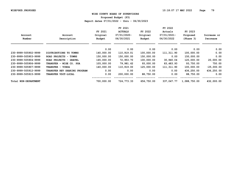**Proposed Budget (P3)**

|                      |                              |            | FY 2021        |            | FY 2022     |              |              |
|----------------------|------------------------------|------------|----------------|------------|-------------|--------------|--------------|
|                      |                              | FY 2021    | <b>ACTUALS</b> | FY 2022    | Actuals     | FY 2023      |              |
| Account              | Account                      | Original   | 07/01/2020-    | Original   | 07/01/2021- | Proposed     | Increase or  |
| Number               | Description                  | Budget     | 06/30/2021     | Budget     | 06/30/2022  | (Phase 3)    | Decrease     |
|                      |                              | 0.00       | 0.00           | 0.00       | 0.00        | 0.00         | 0.00         |
| 230-9999-505902-9999 | DISTRIBUTIONS TO TOWNS       | 140,000.00 | 110,919.01     | 100,000.00 | 111,311.90  | 100,000.00   | 0.00         |
| 230-9999-505903-9999 | ROAD PROJECTS - TOWNS        | 150,000.00 | 150,000.00     | 150,000.00 | 0.00        | 150,000.00   | 0.00         |
| 230-9999-505904-9999 | ROAD PROJECTS - GRAVEL       | 165,000.00 | 72,953.70      | 100,000.00 | 30,940.04   | 120,000.00   | 20,000.00    |
| 230-9999-505906-9999 | TRANSFER - WISE CO. PSA      | 105,000.00 | 79,981.62      | 93,000.00  | 83,483.93   | 93,750.00    | 750.00       |
| 230-9999-505907-9999 | TRANSFER - VCEDA             | 140,000.00 | 110,919.00     | 125,000.00 | 111,311.90  | 100,000.00   | $-25,000.00$ |
| 230-9999-505912-9999 | TRANSFER REV SHARING PROGRAM | 0.00       | 0.00           | 0.00       | 0.00        | 436,250.00   | 436,250.00   |
| 230-9999-505915-9999 | TRANSFER VDOT-LOCAL          | 0.00       | 200,000.00     | 88,750.00  | 0.00        | 88,750.00    | 0.00         |
| Total NON-DEPARTMENT |                              | 700,000.00 | 724,773.33     | 656,750.00 | 337,047.77  | 1,088,750.00 | 432,000.00   |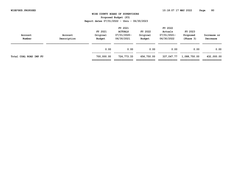| Account<br>Number      | Account<br>Description | FY 2021<br>Original<br>Budget | FY 2021<br><b>ACTUALS</b><br>07/01/2020-<br>06/30/2021 | FY 2022<br>Original<br><b>Budget</b> | FY 2022<br>Actuals<br>07/01/2021-<br>06/30/2022 | FY 2023<br>Proposed<br>(Phase 3) | Increase or<br>Decrease     |
|------------------------|------------------------|-------------------------------|--------------------------------------------------------|--------------------------------------|-------------------------------------------------|----------------------------------|-----------------------------|
|                        |                        | 0.00                          | 0.00                                                   | 0.00                                 | 0.00                                            | 0.00                             | 0.00                        |
| Total COAL ROAD IMP FU |                        | 700,000.00<br>=============   | 724,773.33<br>============                             | 656,750.00                           | 337,047.77                                      | 1,088,750.00                     | 432,000.00<br>_____________ |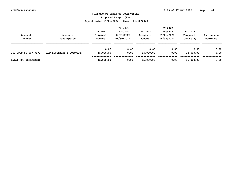**Proposed Budget (P3)**

| Account<br>Number    | Account<br>Description   | FY 2021<br>Original<br>Budget | FY 2021<br><b>ACTUALS</b><br>07/01/2020-<br>06/30/2021 | FY 2022<br>Original<br>Budget | FY 2022<br>Actuals<br>07/01/2021-<br>06/30/2022 | FY 2023<br>Proposed<br>(Phase 3) | Increase or<br>Decrease |
|----------------------|--------------------------|-------------------------------|--------------------------------------------------------|-------------------------------|-------------------------------------------------|----------------------------------|-------------------------|
|                      |                          | 0.00                          | 0.00                                                   | 0.00                          | 0.00                                            | 0.00                             | 0.00                    |
| 240-9999-507007-9999 | ADP EQUIPMENT & SOFTWARE | 15,000.00                     | 0.00                                                   | 15,000.00                     | 0.00                                            | 15,000.00                        | 0.00                    |
| Total NON-DEPARTMENT |                          | 15,000.00                     | 0.00                                                   | 15,000.00                     | 0.00                                            | 15,000.00                        | 0.00                    |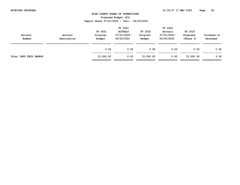| Account<br>Number      | Account<br>Description | FY 2021<br>Original<br>Budget | FY 2021<br><b>ACTUALS</b><br>$07/01/2020 -$<br>06/30/2021 | FY 2022<br>Original<br>Budget | FY 2022<br>Actuals<br>07/01/2021-<br>06/30/2022 | FY 2023<br>Proposed<br>(Phase 3) | Increase or<br>Decrease |
|------------------------|------------------------|-------------------------------|-----------------------------------------------------------|-------------------------------|-------------------------------------------------|----------------------------------|-------------------------|
|                        |                        | 0.00                          | 0.00                                                      | 0.00                          | 0.00                                            | 0.00                             | 0.00                    |
| Total INFO TECH IMPROV |                        | 15,000.00<br>=============    | 0.00<br>---------                                         | 15,000.00                     | 0.00                                            | 15,000.00                        | 0.00                    |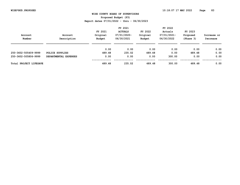**Proposed Budget (P3)**

|                        |                       |          | FY 2021        |          | FY 2022     |           |             |
|------------------------|-----------------------|----------|----------------|----------|-------------|-----------|-------------|
|                        |                       | FY 2021  | <b>ACTUALS</b> | FY 2022  | Actuals     | FY 2023   |             |
| Account                | Account               | Original | 07/01/2020-    | Original | 07/01/2021- | Proposed  | Increase or |
| Number                 | Description           | Budget   | 06/30/2021     | Budget   | 06/30/2022  | (Phase 3) | Decrease    |
|                        |                       | 0.00     | 0.00           | 0.00     | 0.00        | 0.00      | 0.00        |
| 250-3602-505409-9999   | POLICE SUPPLIES       | 489.48   | 235.02         | 489.48   | 0.00        | 489.48    | 0.00        |
| 250-3602-505806-9999   | DEPARTMENTAL EXPENSES | 0.00     | 0.00           | 0.00     | 300.00      | 0.00      | 0.00        |
| Total PROJECT LIFESAVE |                       | 489.48   | 235.02         | 489.48   | 300.00      | 489.48    | 0.00        |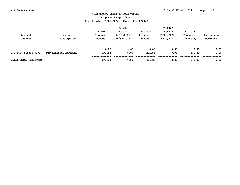**Proposed Budget (P3)**

| Account<br>Number      | Account<br>Description | FY 2021<br>Original<br>Budget | FY 2021<br><b>ACTUALS</b><br>07/01/2020-<br>06/30/2021 | FY 2022<br>Original<br>Budget | FY 2022<br>Actuals<br>07/01/2021-<br>06/30/2022 | FY 2023<br>Proposed<br>(Phase 3) | Increase or<br>Decrease |
|------------------------|------------------------|-------------------------------|--------------------------------------------------------|-------------------------------|-------------------------------------------------|----------------------------------|-------------------------|
|                        |                        | 0.00                          | 0.00                                                   | 0.00                          | 0.00                                            | 0.00                             | 0.00                    |
| 250-3604-505806-9999   | DEPARTMENTAL EXPENSES  | 271.83                        | 0.00                                                   | 271.83                        | 0.00                                            | 271.83                           | 0.00                    |
| Total CRIME PREVENTION |                        | 271.83                        | 0.00                                                   | 271.83                        | 0.00                                            | 271.83                           | 0.00                    |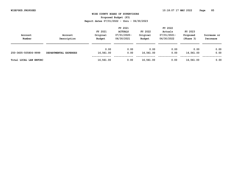| Account<br>Number      | Account<br>Description | FY 2021<br>Original<br>Budget | FY 2021<br><b>ACTUALS</b><br>07/01/2020-<br>06/30/2021 | FY 2022<br>Original<br>Budget | FY 2022<br>Actuals<br>07/01/2021-<br>06/30/2022 | FY 2023<br>Proposed<br>(Phase 3) | Increase or<br>Decrease |
|------------------------|------------------------|-------------------------------|--------------------------------------------------------|-------------------------------|-------------------------------------------------|----------------------------------|-------------------------|
| 250-3605-505806-9999   | DEPARTMENTAL EXPENSES  | 0.00<br>16,561.00             | 0.00<br>0.00                                           | 0.00<br>16,561.00             | 0.00<br>0.00                                    | 0.00<br>16,561.00                | 0.00<br>0.00            |
| Total LOCAL LAW ENFORC |                        | 16,561.00                     | 0.00                                                   | 16,561.00                     | 0.00                                            | 16,561.00                        | 0.00                    |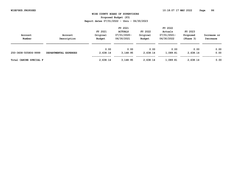**Proposed Budget (P3)**

|                       | FY 2021  |                |          | FY 2022     |           |             |  |
|-----------------------|----------|----------------|----------|-------------|-----------|-------------|--|
|                       | FY 2021  | <b>ACTUALS</b> | FY 2022  | Actuals     | FY 2023   |             |  |
| Account               | Original | 07/01/2020-    | Original | 07/01/2021- | Proposed  | Increase or |  |
| Description           | Budget   | 06/30/2021     | Budget   | 06/30/2022  | (Phase 3) | Decrease    |  |
|                       |          |                |          |             |           |             |  |
|                       | 0.00     | 0.00           | 0.00     | 0.00        | 0.00      | 0.00        |  |
| DEPARTMENTAL EXPENSES | 2,638.14 | 3,148.95       | 2,638.14 | 1,089.81    | 2,638.14  | 0.00        |  |
|                       | 2,638.14 | 3,148.95       | 2,638.14 | 1,089.81    | 2,638.14  | 0.00        |  |
|                       |          |                |          |             |           |             |  |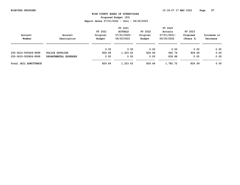**Proposed Budget (P3)**

|                       |                       |          | FY 2021        |          | FY 2022     |           |             |
|-----------------------|-----------------------|----------|----------------|----------|-------------|-----------|-------------|
|                       |                       | FY 2021  | <b>ACTUALS</b> | FY 2022  | Actuals     | FY 2023   |             |
| Account               | Account               | Original | 07/01/2020-    | Original | 07/01/2021- | Proposed  | Increase or |
| Number                | Description           | Budget   | 06/30/2021     | Budget   | 06/30/2022  | (Phase 3) | Decrease    |
|                       |                       | 0.00     | 0.00           | 0.00     | 0.00        | 0.00      | 0.00        |
| 250-3610-505409-9999  | POLICE SUPPLIES       | 829.69   | 1,323.43       | 829.69   | 942.74      | 829.69    | 0.00        |
| 250-3610-505806-9999  | DEPARTMENTAL EXPENSES | 0.00     | 0.00           | 0.00     | 839.98      | 0.00      | 0.00        |
| Total JAIL ADMITTANCE |                       | 829.69   | 1,323.43       | 829.69   | 1,782.72    | 829.69    | 0.00        |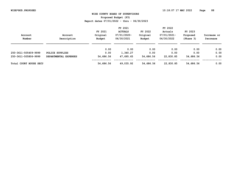**Proposed Budget (P3)**

|                                  |                       |           | FY 2021        |           | FY 2022     |           |             |
|----------------------------------|-----------------------|-----------|----------------|-----------|-------------|-----------|-------------|
|                                  |                       | FY 2021   | <b>ACTUALS</b> | FY 2022   | Actuals     | FY 2023   |             |
| Account                          | Account               | Original  | 07/01/2020-    | Original  | 07/01/2021- | Proposed  | Increase or |
| Number                           | Description           | Budget    | 06/30/2021     | Budget    | 06/30/2022  | (Phase 3) | Decrease    |
|                                  |                       | 0.00      | 0.00           | 0.00      | 0.00        | 0.00      | 0.00        |
| 250-3611-505409-9999             | POLICE SUPPLIES       | 0.00      | 1,340.27       | 0.00      | 0.00        | 0.00      | 0.00        |
| 250-3611-505806-9999             | DEPARTMENTAL EXPENSES | 54,686.56 | 47,695.65      | 54,686.56 | 22,830.85   | 54,686.56 | 0.00        |
| <b>Total COURT</b><br>HOUSE SECU |                       | 54,686.56 | 49,035.92      | 54,686.56 | 22,830.85   | 54,686.56 | 0.00        |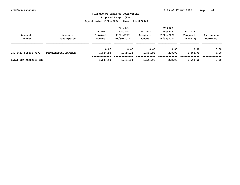**Proposed Budget (P3)**

|                        |                      | FY 2021             |                               |                     | FY 2022                |                     |             |  |
|------------------------|----------------------|---------------------|-------------------------------|---------------------|------------------------|---------------------|-------------|--|
| Account                | Account              | FY 2021<br>Original | <b>ACTUALS</b><br>07/01/2020- | FY 2022<br>Original | Actuals<br>07/01/2021- | FY 2023<br>Proposed | Increase or |  |
| Number                 | Description          | Budget              | 06/30/2021                    | Budget              | 06/30/2022             | (Phase 3)           | Decrease    |  |
|                        |                      | 0.00                | 0.00                          | 0.00                | 0.00                   | 0.00                | 0.00        |  |
| 250-3613-505806-9999   | DEPARTMENTAL EXPENSE | 1,544.98            | 1,454.14                      | 1,544.98            | 228.00                 | 1,544.98            | 0.00        |  |
| Total DNA ANALYSIS FEE |                      | 1,544.98            | 1,454.14                      | 1,544.98            | 228.00                 | 1,544.98            | 0.00        |  |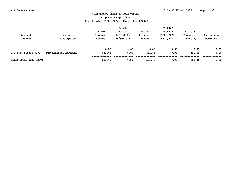**Proposed Budget (P3)**

| Account<br>Number      | Account<br>Description | FY 2021<br>Original<br>Budget | FY 2021<br><b>ACTUALS</b><br>07/01/2020-<br>06/30/2021 | FY 2022<br>Original<br>Budget | FY 2022<br>Actuals<br>07/01/2021-<br>06/30/2022 | FY 2023<br>Proposed<br>(Phase 3) | Increase or<br>Decrease |
|------------------------|------------------------|-------------------------------|--------------------------------------------------------|-------------------------------|-------------------------------------------------|----------------------------------|-------------------------|
| 250-3614-505806-9999   | DEPARTMENTAL EXPENSES  | 0.00<br>581.46                | 0.00<br>0.00                                           | 0.00<br>581.46                | 0.00<br>0.00                                    | 0.00<br>581.46                   | 0.00<br>0.00            |
| Total LOCAL DRUG RESTI |                        | 581.46                        | 0.00                                                   | 581.46                        | 0.00                                            | 581.46                           | 0.00                    |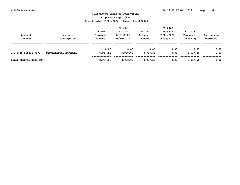**Proposed Budget (P3)**

|                        |                       | FY 2021  |                |          | FY 2022     |           |             |
|------------------------|-----------------------|----------|----------------|----------|-------------|-----------|-------------|
|                        |                       | FY 2021  | <b>ACTUALS</b> | FY 2022  | Actuals     | FY 2023   |             |
| Account                | Account               | Original | 07/01/2020-    | Original | 07/01/2021- | Proposed  | Increase or |
| Number                 | Description           | Budget   | 06/30/2021     | Budget   | 06/30/2022  | (Phase 3) | Decrease    |
|                        |                       |          |                |          |             |           |             |
|                        |                       | 0.00     | 0.00           | 0.00     | 0.00        | 0.00      | 0.00        |
| 250-3615-505806-9999   | DEPARTMENTAL EXPENSES | 8,937.56 | 3,000.00       | 8,937.56 | 0.00        | 8,937.56  | 0.00        |
| Total FEDERAL DRUG FOR |                       | 8,937.56 | 3,000.00       | 8,937.56 | 0.00        | 8,937.56  | 0.00        |
|                        |                       |          |                |          |             |           |             |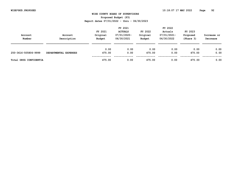**Proposed Budget (P3)**

| Account<br>Number      | Account<br>Description | FY 2021<br>Original<br>Budget | FY 2021<br><b>ACTUALS</b><br>07/01/2020-<br>06/30/2021 | FY 2022<br>Original<br>Budget | FY 2022<br>Actuals<br>07/01/2021-<br>06/30/2022 | FY 2023<br>Proposed<br>(Phase 3) | Increase or<br>Decrease |
|------------------------|------------------------|-------------------------------|--------------------------------------------------------|-------------------------------|-------------------------------------------------|----------------------------------|-------------------------|
| 250-3616-505806-9999   | DEPARTMENTAL EXPENSES  | 0.00<br>475.00                | 0.00<br>0.00                                           | 0.00<br>475.00                | 0.00<br>0.00                                    | 0.00<br>475.00                   | 0.00<br>0.00            |
| Total DRUG CONFIDENTIA |                        | 475.00                        | 0.00                                                   | 475.00                        | 0.00                                            | 475.00                           | 0.00                    |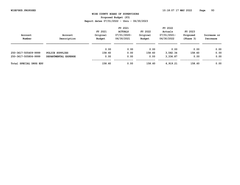**Proposed Budget (P3)**

|                        |                      |          | FY 2021        |          | FY 2022     |           |             |
|------------------------|----------------------|----------|----------------|----------|-------------|-----------|-------------|
|                        |                      | FY 2021  | <b>ACTUALS</b> | FY 2022  | Actuals     | FY 2023   |             |
| Account                | Account              | Original | 07/01/2020-    | Original | 07/01/2021- | Proposed  | Increase or |
| Number                 | Description          | Budget   | 06/30/2021     | Budget   | 06/30/2022  | (Phase 3) | Decrease    |
|                        |                      | 0.00     | 0.00           | 0.00     | 0.00        | 0.00      | 0.00        |
| 250-3617-505409-9999   | POLICE SUPPLIES      | 158.60   | 0.00           | 158.60   | 3,582.34    | 158.60    | 0.00        |
| 250-3617-505806-9999   | DEPARTMENTAL EXPENSE | 0.00     | 0.00           | 0.00     | 3,336.87    | 0.00      | 0.00        |
| Total SPECIAL DRUG EDU |                      | 158.60   | 0.00           | 158.60   | 6,919.21    | 158.60    | 0.00        |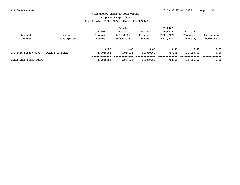**Proposed Budget (P3)**

|                        |                 | FY 2021   |                |           | FY 2022     |           |             |  |
|------------------------|-----------------|-----------|----------------|-----------|-------------|-----------|-------------|--|
|                        |                 | FY 2021   | <b>ACTUALS</b> | FY 2022   | Actuals     | FY 2023   |             |  |
| Account                | Account         | Original  | 07/01/2020-    | Original  | 07/01/2021- | Proposed  | Increase or |  |
| Number                 | Description     | Budget    | 06/30/2021     | Budget    | 06/30/2022  | (Phase 3) | Decrease    |  |
|                        |                 |           |                |           |             |           |             |  |
|                        |                 | 0.00      | 0.00           | 0.00      | 0.00        | 0.00      | 0.00        |  |
| 250-3618-505409-9999   | POLICE SUPPLIES | 11,080.62 | 6,066.32       | 11,080.62 | 783.56      | 11,080.62 | 0.00        |  |
|                        |                 |           |                |           |             |           |             |  |
| Total DCJS STATE FORFE |                 | 11,080.62 | 6,066.32       | 11,080.62 | 783.56      | 11,080.62 | 0.00        |  |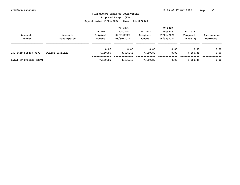**Proposed Budget (P3)**

| Account<br>Number      | Account<br>Description | FY 2021<br>Original<br>Budget | FY 2021<br><b>ACTUALS</b><br>07/01/2020-<br>06/30/2021 | FY 2022<br>Original<br>Budget | FY 2022<br>Actuals<br>07/01/2021-<br>06/30/2022 | FY 2023<br>Proposed<br>(Phase 3) | Increase or<br>Decrease |
|------------------------|------------------------|-------------------------------|--------------------------------------------------------|-------------------------------|-------------------------------------------------|----------------------------------|-------------------------|
| 250-3619-505409-9999   | POLICE SUPPLIES        | 0.00<br>7,160.89              | 0.00<br>8,406.42                                       | 0.00<br>7,160.89              | 0.00<br>0.00                                    | 0.00<br>7,160.89                 | 0.00<br>0.00            |
| Total CT ORDERED RESTI |                        | 7,160.89                      | 8,406.42                                               | 7,160.89                      | 0.00                                            | 7,160.89                         | 0.00                    |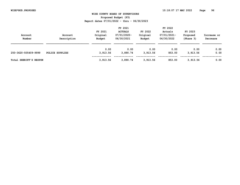**Proposed Budget (P3)**

|                 | FY 2021     |                    |                           | FY 2022            |                           |             |
|-----------------|-------------|--------------------|---------------------------|--------------------|---------------------------|-------------|
|                 | FY 2021     | <b>ACTUALS</b>     | FY 2022                   | Actuals            | FY 2023                   |             |
| Account         |             |                    |                           |                    | Proposed                  | Increase or |
|                 |             |                    |                           |                    |                           | Decrease    |
|                 |             |                    |                           |                    |                           |             |
|                 | 0.00        | 0.00               | 0.00                      | 0.00               | 0.00                      | 0.00        |
| POLICE SUPPLIES | 3,913.56    | 3,890.74           | 3,913.56                  | 853.00             | 3,913.56                  | 0.00        |
|                 | 3,913.56    | 3,890.74           | 3,913.56                  | 853.00             | 3,913.56                  | 0.00        |
|                 | Description | Original<br>Budget | 07/01/2020-<br>06/30/2021 | Original<br>Budget | 07/01/2021-<br>06/30/2022 | (Phase 3)   |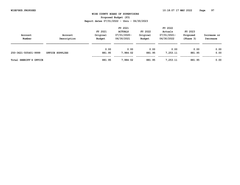**Proposed Budget (P3)**

| Account<br>Number      | Account<br>Description | FY 2021<br>Original<br>Budget | FY 2021<br><b>ACTUALS</b><br>07/01/2020-<br>06/30/2021 | FY 2022<br>Original<br>Budget | FY 2022<br>Actuals<br>07/01/2021-<br>06/30/2022 | FY 2023<br>Proposed<br>(Phase 3) | Increase or<br>Decrease |
|------------------------|------------------------|-------------------------------|--------------------------------------------------------|-------------------------------|-------------------------------------------------|----------------------------------|-------------------------|
| 250-3621-505401-9999   | OFFICE SUPPLIES        | 0.00<br>881.95                | 0.00<br>7,984.02                                       | 0.00<br>881.95                | 0.00<br>7,253.11                                | 0.00<br>881.95                   | 0.00<br>0.00            |
| Total SHERIFF'S OFFICE |                        | 881.95                        | 7,984.02                                               | 881.95                        | 7,253.11                                        | 881.95                           | 0.00                    |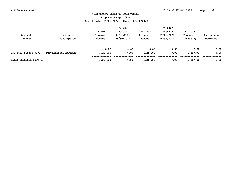| Account<br>Number      | Account<br>Description | FY 2021<br>Original<br>Budget | FY 2021<br><b>ACTUALS</b><br>07/01/2020-<br>06/30/2021 | FY 2022<br>Original<br>Budget | FY 2022<br>Actuals<br>07/01/2021-<br>06/30/2022 | FY 2023<br>Proposed<br>(Phase 3) | Increase or<br>Decrease |
|------------------------|------------------------|-------------------------------|--------------------------------------------------------|-------------------------------|-------------------------------------------------|----------------------------------|-------------------------|
| 250-3623-505806-9999   | DEPARTMENTAL EXPENSE   | 0.00<br>1,217.00              | 0.00<br>0.00                                           | 0.00<br>1,217.00              | 0.00<br>0.00                                    | 0.00<br>1,217.00                 | 0.00<br>0.00            |
| Total EXPLORER POST 68 |                        | 1,217.00                      | 0.00                                                   | 1,217.00                      | 0.00                                            | 1,217.00                         | 0.00                    |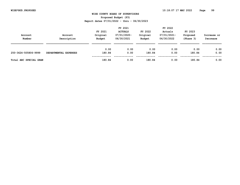**Proposed Budget (P3)**

| Account<br>Number      | Account<br>Description | FY 2021<br>Original<br>Budget | FY 2021<br><b>ACTUALS</b><br>07/01/2020-<br>06/30/2021 | FY 2022<br>Original<br>Budget | FY 2022<br>Actuals<br>07/01/2021-<br>06/30/2022 | FY 2023<br>Proposed<br>(Phase 3) | Increase or<br>Decrease |
|------------------------|------------------------|-------------------------------|--------------------------------------------------------|-------------------------------|-------------------------------------------------|----------------------------------|-------------------------|
|                        |                        | 0.00                          | 0.00                                                   | 0.00                          | 0.00                                            | 0.00                             | 0.00                    |
| 250-3624-505806-9999   | DEPARTMENTAL EXPENSES  | 180.84                        | 0.00                                                   | 180.84                        | 0.00                                            | 180.84                           | 0.00                    |
| Total ABC SPECIAL GRAN |                        | 180.84                        | 0.00                                                   | 180.84                        | 0.00                                            | 180.84                           | 0.00                    |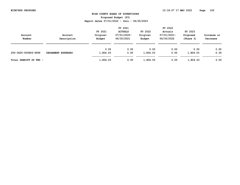| Account<br>Number      | Account<br>Description | FY 2021<br>Original<br>Budget | FY 2021<br><b>ACTUALS</b><br>07/01/2020-<br>06/30/2021 | FY 2022<br>Original<br>Budget | FY 2022<br>Actuals<br>07/01/2021-<br>06/30/2022 | FY 2023<br>Proposed<br>(Phase 3) | Increase or<br>Decrease |
|------------------------|------------------------|-------------------------------|--------------------------------------------------------|-------------------------------|-------------------------------------------------|----------------------------------|-------------------------|
|                        |                        | 0.00                          | 0.00                                                   | 0.00                          | 0.00                                            | 0.00                             | 0.00                    |
| 250-3625-505806-9999   | DEPARMENT EXPENSES     | 1,804.03                      | 0.00                                                   | 1,804.03                      | 0.00                                            | 1,804.03                         | 0.00                    |
| Total SHERIFF SP FND - |                        | 1,804.03                      | 0.00                                                   | 1,804.03                      | 0.00                                            | 1,804.03                         | 0.00                    |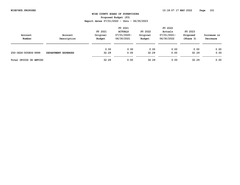**Proposed Budget (P3)**

| Account<br>Number      | Account<br>Description | FY 2021<br>Original<br>Budget | FY 2021<br><b>ACTUALS</b><br>07/01/2020-<br>06/30/2021 | FY 2022<br>Original<br>Budget | FY 2022<br>Actuals<br>07/01/2021-<br>06/30/2022 | FY 2023<br>Proposed<br>(Phase 3) | Increase or<br>Decrease |
|------------------------|------------------------|-------------------------------|--------------------------------------------------------|-------------------------------|-------------------------------------------------|----------------------------------|-------------------------|
|                        |                        | 0.00                          | 0.00                                                   | 0.00                          | 0.00                                            | 0.00                             | 0.00                    |
| 250-3626-505806-9999   | DEPARTMENT EXPENSES    | 32.29                         | 0.00                                                   | 32.29                         | 0.00                                            | 32.29                            | 0.00                    |
| Total OPIOID OD ANTIDO |                        | 32.29                         | 0.00                                                   | 32.29                         | 0.00                                            | 32.29                            | 0.00                    |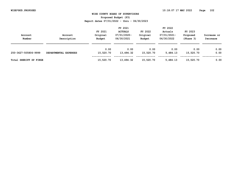**Proposed Budget (P3)**

| Account<br>Number      | Account<br>Description | FY 2021<br>Original<br>Budget | FY 2021<br><b>ACTUALS</b><br>07/01/2020-<br>06/30/2021 | FY 2022<br>Original<br>Budget | FY 2022<br>Actuals<br>07/01/2021-<br>06/30/2022 | FY 2023<br>Proposed<br>(Phase 3) | Increase or<br>Decrease |
|------------------------|------------------------|-------------------------------|--------------------------------------------------------|-------------------------------|-------------------------------------------------|----------------------------------|-------------------------|
| 250-3627-505806-9999   | DEPARTMENTAL EXPENSES  | 0.00<br>15,520.70             | 0.00<br>13,494.32                                      | 0.00<br>15,520.70             | 0.00<br>5,484.13                                | 0.00<br>15,520.70                | 0.00<br>0.00            |
| Total SHERIFF SP FINGE |                        | 15,520.70                     | 13,494.32                                              | 15,520.70                     | 5,484.13                                        | 15,520.70                        | 0.00                    |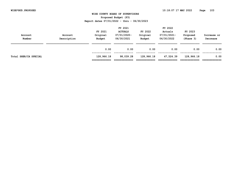| Account<br>Number     | Account<br>Description | FY 2021<br>Original<br>Budget | FY 2021<br><b>ACTUALS</b><br>07/01/2020-<br>06/30/2021 | FY 2022<br>Original<br>Budget | FY 2022<br>Actuals<br>07/01/2021-<br>06/30/2022 | FY 2023<br>Proposed<br>(Phase 3) | Increase or<br>Decrease |
|-----------------------|------------------------|-------------------------------|--------------------------------------------------------|-------------------------------|-------------------------------------------------|----------------------------------|-------------------------|
|                       |                        | 0.00                          | 0.00                                                   | 0.00                          | 0.00                                            | 0.00                             | 0.00                    |
| Total SHER/CA SPECIAL |                        | 128,966.18<br>=============   | 98,039.28<br>===========                               | 128,966.18                    | 47,524.39                                       | 128,966.18                       | 0.00                    |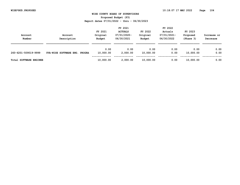**Proposed Budget (P3)**

| Account<br>Number             | Account<br>Description                  | FY 2021<br>Original<br>Budget | FY 2021<br><b>ACTUALS</b><br>07/01/2020-<br>06/30/2021 | FY 2022<br>Original<br>Budget | FY 2022<br>Actuals<br>07/01/2021-<br>06/30/2022 | FY 2023<br>Proposed<br>(Phase 3) | Increase or<br>Decrease |
|-------------------------------|-----------------------------------------|-------------------------------|--------------------------------------------------------|-------------------------------|-------------------------------------------------|----------------------------------|-------------------------|
| 260-6201-509019-9999          | UVA-WISE SOFTWARE ENG.<br><b>PROGRA</b> | 0.00<br>10,000.00             | 0.00<br>2,000.00                                       | 0.00<br>10,000.00             | 0.00<br>0.00                                    | 0.00<br>10,000.00                | 0.00<br>0.00            |
| <b>Total SOFTWARE ENGINEE</b> |                                         | 10,000.00                     | 2,000.00                                               | 10,000.00                     | 0.00                                            | 10,000.00                        | 0.00                    |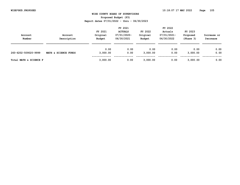**Proposed Budget (P3)**

| Account<br>Number      | Account<br>Description | FY 2021<br>Original<br>Budget | FY 2021<br><b>ACTUALS</b><br>07/01/2020-<br>06/30/2021 | FY 2022<br>Original<br>Budget | FY 2022<br>Actuals<br>07/01/2021-<br>06/30/2022 | FY 2023<br>Proposed<br>(Phase 3) | Increase or<br>Decrease |
|------------------------|------------------------|-------------------------------|--------------------------------------------------------|-------------------------------|-------------------------------------------------|----------------------------------|-------------------------|
| 260-6202-509020-9999   | MATH & SCIENCE FUNDS   | 0.00<br>3,000.00              | 0.00<br>0.00                                           | 0.00<br>3,000.00              | 0.00<br>0.00                                    | 0.00<br>3,000.00                 | 0.00<br>0.00            |
| Total MATH & SCIENCE F |                        | 3,000.00                      | 0.00                                                   | 3,000.00                      | 0.00                                            | 3,000.00                         | 0.00                    |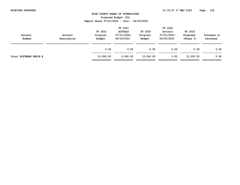| Account<br>Number      | Account<br>Description | FY 2021<br>Original<br>Budget | FY 2021<br><b>ACTUALS</b><br>07/01/2020-<br>06/30/2021 | FY 2022<br>Original<br>Budget | FY 2022<br>Actuals<br>07/01/2021-<br>06/30/2022 | FY 2023<br>Proposed<br>(Phase 3) | Increase or<br>Decrease |
|------------------------|------------------------|-------------------------------|--------------------------------------------------------|-------------------------------|-------------------------------------------------|----------------------------------|-------------------------|
|                        |                        | 0.00                          | 0.00                                                   | 0.00                          | 0.00                                            | 0.00                             | 0.00                    |
| Total SOFTWARE ENGIN E |                        | 13,000.00<br>=============    | 2,000.00<br>============                               | 13,000.00                     | 0.00                                            | 13,000.00                        | 0.00                    |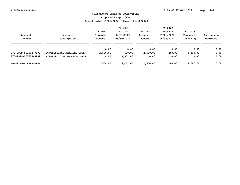**Proposed Budget (P3)**

| Account<br>Number    | Account<br>Description      | FY 2021<br>Original<br>Budget | FY 2021<br><b>ACTUALS</b><br>$07/01/2020 -$<br>06/30/2021 | FY 2022<br>Original<br>Budget | FY 2022<br>Actuals<br>$07/01/2021 -$<br>06/30/2022 | FY 2023<br>Proposed<br>(Phase 3) | Increase or<br>Decrease |
|----------------------|-----------------------------|-------------------------------|-----------------------------------------------------------|-------------------------------|----------------------------------------------------|----------------------------------|-------------------------|
|                      |                             | 0.00                          | 0.00                                                      | 0.00                          | 0.00                                               | 0.00                             | 0.00                    |
| 270-9999-503002-9999 | PROFESSIONAL SERVICES-OTHER | 2,500.00                      | 490.00                                                    | 2,500.00                      | 260.00                                             | 2,500.00                         | 0.00                    |
| 270-9999-505604-9999 | CONTRIBUTIONS TO CIVIC ORGS | 0.00                          | 5,951.00                                                  | 0.00                          | 0.00                                               | 0.00                             | 0.00                    |
| Total NON-DEPARTMENT |                             | 2,500.00                      | 6,441.00                                                  | 2,500.00                      | 260.00                                             | 2,500.00                         | 0.00                    |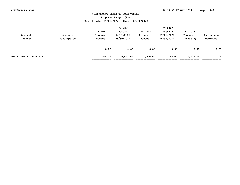| Account<br>Number      | Account<br>Description | FY 2021<br>Original<br>Budget | FY 2021<br><b>ACTUALS</b><br>$07/01/2020 -$<br>06/30/2021 | FY 2022<br>Original<br>Budget | FY 2022<br>Actuals<br>07/01/2021-<br>06/30/2022 | FY 2023<br>Proposed<br>(Phase 3) | Increase or<br>Decrease |
|------------------------|------------------------|-------------------------------|-----------------------------------------------------------|-------------------------------|-------------------------------------------------|----------------------------------|-------------------------|
|                        |                        | 0.00                          | 0.00                                                      | 0.00                          | 0.00                                            | 0.00                             | 0.00                    |
| Total DOG&CAT STERILIZ |                        | 2,500.00<br>=============     | 6,441.00<br>============                                  | 2,500.00                      | 260.00                                          | 2,500.00                         | 0.00                    |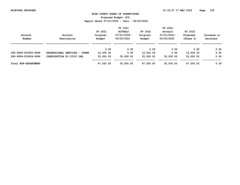**Proposed Budget (P3)**

| Account<br>Number    | Account<br>Description        | FY 2021<br>Original<br>Budget | FY 2021<br><b>ACTUALS</b><br>$07/01/2020 -$<br>06/30/2021 | FY 2022<br>Original<br>Budget | FY 2022<br>Actuals<br>07/01/2021-<br>06/30/2022 | FY 2023<br>Proposed<br>(Phase 3) | Increase or<br>Decrease |
|----------------------|-------------------------------|-------------------------------|-----------------------------------------------------------|-------------------------------|-------------------------------------------------|----------------------------------|-------------------------|
|                      |                               | 0.00                          | 0.00                                                      | 0.00                          | 0.00                                            | 0.00                             | 0.00                    |
| 280-9999-503002-9999 | PROFESSIONAL SERVICES - OTHER | 12,500.00                     | 0.00                                                      | 12,500.00                     | 0.00                                            | 12,500.00                        | 0.00                    |
| 280-9999-505604-9999 | CONTRIBUTION TO CIVIC ORG.    | 35,000.00                     | 35,000.00                                                 | 35,000.00                     | 35,000.00                                       | 35,000.00                        | 0.00                    |
| Total NON-DEPARTMENT |                               | 47,500.00                     | 35,000.00                                                 | 47,500.00                     | 35,000.00                                       | 47,500.00                        | 0.00                    |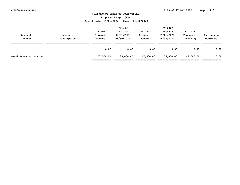| Account<br>Number             | Account<br>Description | FY 2021<br>Original<br>Budget | FY 2021<br><b>ACTUALS</b><br>07/01/2020-<br>06/30/2021 | FY 2022<br>Original<br>Budget | FY 2022<br>Actuals<br>07/01/2021-<br>06/30/2022 | FY 2023<br>Proposed<br>(Phase 3) | Increase or<br>Decrease |
|-------------------------------|------------------------|-------------------------------|--------------------------------------------------------|-------------------------------|-------------------------------------------------|----------------------------------|-------------------------|
|                               |                        | 0.00                          | 0.00                                                   | 0.00                          | 0.00                                            | 0.00                             | 0.00                    |
| <b>Total TRANSIENT OCCUPA</b> |                        | 47,500.00<br>=============    | 35,000.00<br>:===========                              | 47,500.00                     | 35,000.00                                       | 47,500.00                        | 0.00                    |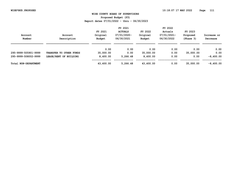**Proposed Budget (P3)**

| Account<br>Number    | Account<br>Description  | FY 2021<br>Original<br>Budget | FY 2021<br><b>ACTUALS</b><br>07/01/2020-<br>06/30/2021 | FY 2022<br>Original<br>Budget | FY 2022<br>Actuals<br>07/01/2021-<br>06/30/2022 | FY 2023<br>Proposed<br>(Phase 3) | Increase or<br>Decrease |
|----------------------|-------------------------|-------------------------------|--------------------------------------------------------|-------------------------------|-------------------------------------------------|----------------------------------|-------------------------|
|                      |                         | 0.00                          | 0.00                                                   | 0.00                          | 0.00                                            | 0.00                             | 0.00                    |
| 295-9999-505901-9999 | TRANSFER TO OTHER FUNDS | 35,000.00                     | 0.00                                                   | 35,000.00                     | 0.00                                            | 35,000.00                        | 0.00                    |
| 295-9999-508002-9999 | LEASE/RENT OF BUILDING  | 8,400.00                      | 5,266.48                                               | 8,400.00                      | 0.00                                            | 0.00                             | $-8,400.00$             |
| Total NON-DEPARTMENT |                         | 43,400.00                     | 5,266.48                                               | 43,400.00                     | 0.00                                            | 35,000.00                        | $-8,400.00$             |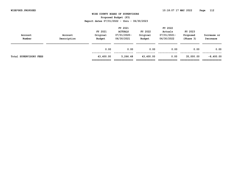| Account<br>Number      | Account<br>Description | FY 2021<br>Original<br>Budget<br>0.00 | FY 2021<br><b>ACTUALS</b><br>$07/01/2020 -$<br>06/30/2021<br>0.00 | FY 2022<br>Original<br>Budget<br>0.00 | FY 2022<br>Actuals<br>07/01/2021-<br>06/30/2022<br>0.00 | FY 2023<br>Proposed<br>(Phase 3)<br>0.00 | Increase or<br>Decrease<br>0.00 |
|------------------------|------------------------|---------------------------------------|-------------------------------------------------------------------|---------------------------------------|---------------------------------------------------------|------------------------------------------|---------------------------------|
| Total SUPERVISORY FEES |                        | 43,400.00<br>:============            | 5,266.48<br>=========                                             | 43,400.00                             | 0.00                                                    | 35,000.00                                | $-8,400.00$                     |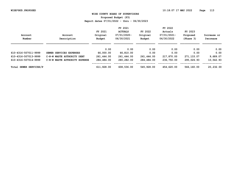**Proposed Budget (P3)**

|                        |                               |            | FY 2021        |            | FY 2022        |            |             |
|------------------------|-------------------------------|------------|----------------|------------|----------------|------------|-------------|
|                        |                               | FY 2021    | <b>ACTUALS</b> | FY 2022    | Actuals        | FY 2023    |             |
| Account                | Account                       | Original   | 07/01/2020-    | Original   | $07/01/2021 -$ | Proposed   | Increase or |
| Number                 | Description                   | Budget     | 06/30/2021     | Budget     | 06/30/2022     | (Phase 3)  | Decrease    |
|                        |                               | 0.00       | 0.00           | 0.00       | 0.00           | 0.00       | 0.00        |
| 610-4316-507011-9999   | SEWER SERVICES EXPENSES       | 66,000.00  | 66,810.00      | 0.00       | 0.00           | 0.00       | 0.00        |
| 610-4316-507013-9999   | C-N-W WASTE AUTHORITY DEBT    | 261,444.00 | 261,444.00     | 261,444.00 | 217,870.00     | 271,133.07 | 9,689.07    |
| 610-4316-507014-9999   | C-N-W WASTE AUTHORITY EXPENSE | 284,484.00 | 280,282.00     | 284,484.00 | 236,750.00     | 295,026.93 | 10,542.93   |
| Total SEWER SERVICES/P |                               | 611,928.00 | 608,536.00     | 545,928.00 | 454,620.00     | 566,160.00 | 20,232.00   |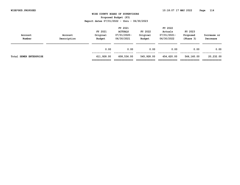| Account<br>Number      | Account<br>Description | FY 2021<br>Original<br>Budget | FY 2021<br><b>ACTUALS</b><br>$07/01/2020 -$<br>06/30/2021 | FY 2022<br>Original<br>Budget | FY 2022<br>Actuals<br>07/01/2021-<br>06/30/2022 | FY 2023<br>Proposed<br>(Phase 3) | Increase or<br>Decrease |
|------------------------|------------------------|-------------------------------|-----------------------------------------------------------|-------------------------------|-------------------------------------------------|----------------------------------|-------------------------|
|                        |                        | 0.00                          | 0.00                                                      | 0.00                          | 0.00                                            | 0.00                             | 0.00                    |
| Total SEWER ENTERPRISE |                        | 611,928.00<br>=============   | 608,536.00<br>============                                | 545,928.00                    | 454,620.00                                      | 566,160.00                       | 20,232.00               |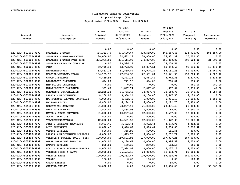**Proposed Budget (P3)**

| Account<br>Number    | Account<br>Description        | FY 2021<br>Original<br>Budget | FY 2021<br><b>ACTUALS</b><br>$07/01/2020 -$<br>06/30/2021 | FY 2022<br>Original<br>Budget | FY 2022<br>Actuals<br>07/01/2021-<br>06/30/2022 | FY 2023<br>Proposed<br>(Phase 3) | Increase or<br>Decrease |
|----------------------|-------------------------------|-------------------------------|-----------------------------------------------------------|-------------------------------|-------------------------------------------------|----------------------------------|-------------------------|
|                      |                               |                               |                                                           |                               |                                                 |                                  |                         |
|                      |                               | 0.00                          | 0.00                                                      | 0.00                          | 0.00                                            | 0.00                             | 0.00                    |
| 620-4204-501001-9999 | SALARIES & WAGES              | 484, 322.70                   | 474,600.67                                                | 508,539.00                    | 446,467.48                                      | 613,926.00                       | 105,387.00              |
| 620-4204-501002-9999 | SALARIES & WAGES-OVERTIME     | 30,000.00                     | 34,672.23                                                 | 30,000.00                     | 27,831.39                                       | 30,000.00                        | 0.00                    |
| 620-4204-501003-9999 | SALARIES & WAGES-PART-TIME    | 396,986.00                    | 371,611.90                                                | 574,827.00                    | 351, 319.02                                     | 605, 924.00                      | 31,097.00               |
| 620-4204-501005-9999 | SALARIES OFF-DUTY OVERTIME    | 0.00                          | 13,596.14                                                 | 0.00                          | 13,270.56                                       | 0.00                             | 0.00                    |
| 620-4204-502001-9999 | <b>FICA</b>                   | 69,715.13                     | 63,773.97                                                 | 82,877.51                     | 60,349.60                                       | 93,319.00                        | 10,441.49               |
| 620-4204-502002-9999 | <b>RETIREMENT-VRS</b>         | 63,882.16                     | 61,889.89                                                 | 67,076.27                     | 58, 181.23                                      | 81,038.00                        | 13,961.73               |
| 620-4204-502005-9999 | HOSPITAL/MEDICAL PLANS        | 134, 165. 76                  | 127,206.38                                                | 122,681.04                    | 95,541.35                                       | 130,204.00                       | 7,522.96                |
| 620-4204-502006-9999 | <b>GROUP INSURANCE</b>        | 6,489.93                      | 6,321.22                                                  | 6,814.42                      | 5,942.35                                        | 8,227.00                         | 1,412.58                |
| 620-4204-502007-9999 | DISABILITY INSURANCE          | 694.00                        | 771.16                                                    | 694.00                        | 790.01                                          | 694.00                           | 0.00                    |
| 620-4204-502008-9999 | MED FLIGHT INSURANCE          | 0.00                          | 0.00                                                      | 0.00                          | 0.00                                            | 780.00                           | 780.00                  |
| 620-4204-502009-9999 | UNEMPLOYMENT INSURANCE        | 901.60                        | 1,827.74                                                  | 2,077.60                      | 1,977.62                                        | 2,035.00                         | $-42.60$                |
| 620-4204-502011-9999 | WORKMEN'S COMPENSATION        | 32, 235.23                    | 36,765.66                                                 | 34,087.75                     | 33,650.78                                       | 36,045.00                        | 1,957.25                |
| 620-4204-503004-9999 | REPAIR & MAINTENANCE          | 8,100.00                      | 5,960.21                                                  | 8,100.00                      | 5,567.55                                        | 8,100.00                         | 0.00                    |
| 620-4204-503005-9999 | MAINTENANCE SERVICE CONTRACTS | 6,000.00                      | 4,482.46                                                  | 6,000.00                      | 5,986.17                                        | 10,500.00                        | 4,500.00                |
| 620-4204-503011-9999 | UNIFORM RENTAL                | 6,800.00                      | 6,284.17                                                  | 6,800.00                      | 5,222.70                                        | 6,800.00                         | 0.00                    |
| 620-4204-505101-9999 | ELECTRICAL SERVICES           | 21,000.00                     | 23, 227. 17                                               | 21,000.00                     | 28,871.43                                       | 21,000.00                        | 0.00                    |
| 620-4204-505102-9999 | HEATING SERVICES              | 2,500.00                      | 2,468.93                                                  | 2,500.00                      | 165.00                                          | 2,500.00                         | 0.00                    |
| 620-4204-505103-9999 | WATER & SEWER SERVICES        | 31,000.00                     | 10,297.60                                                 | 12,000.00                     | 8,597.35                                        | 12,000.00                        | 0.00                    |
| 620-4204-505201-9999 | POSTAL SERVICES               | 500.00                        | 0.00                                                      | 500.00                        | 0.00                                            | 500.00                           | 0.00                    |
| 620-4204-505203-9999 | TELECOMMUNICATIONS            | 12,000.00                     | 14,591.58                                                 | 12,000.00                     | 11,022.93                                       | 12,000.00                        | 0.00                    |
| 620-4204-505302-9999 | FIRE & PROPERTY INSURANCE     | 5,892.41                      | 5,422.43                                                  | 5,892.41                      | 4,473.98                                        | 5,892.41                         | 0.00                    |
| 620-4204-505305-9999 | <b>AUTO INSURANCE</b>         | 8,090.42                      | 8,090.89                                                  | 8,090.42                      | 7,334.43                                        | 8,090.42                         | 0.00                    |
| 620-4204-505401-9999 | OFFICE SUPPLIES               | 500.00                        | 365.90                                                    | 500.00                        | 181.51                                          | 500.00                           | 0.00                    |
| 620-4204-505407-9999 | REPAIR & MAINTENANCE SUPPLIES | 6,000.00                      | 1,673.75                                                  | 6,000.00                      | 3,252.72                                        | 6,000.00                         | 0.00                    |
| 620-4204-505408-9999 | VEHICLE & POWERED EQUIP. SUPP | 120,000.00                    | 110,591.96                                                | 107,000.00                    | 107,807.21                                      | 107,000.00                       | 0.00                    |
| 620-4204-505413-9999 | OTHER OPERATING SUPPLIES      | 4,000.00                      | 3,130.62                                                  | 4,000.00                      | 3,986.52                                        | 4,000.00                         | 0.00                    |
| 620-4204-505414-9999 | SAFETY SUPPLIES               | 250.00                        | 150.35                                                    | 250.00                        | 113.55                                          | 250.00                           | 0.00                    |
| 620-4204-505416-9999 | ROAD & STREET REPAIR/SUPPLIES | 8,000.00                      | 7,984.93                                                  | 8,000.00                      | 5,237.13                                        | 8,000.00                         | 0.00                    |
| 620-4204-505417-9999 | VEHICLE TIRES & PARTS         | 20,000.00                     | 26,526.13                                                 | 20,000.00                     | 18,933.71                                       | 20,000.00                        | 0.00                    |
| 620-4204-505418-9999 | VEHICLE PARTS                 | 100,000.00                    | 100,382.87                                                | 100,000.00                    | 99,435.91                                       | 100,000.00                       | 0.00                    |
| 620-4204-505506-9999 | <b>TRAVEL</b>                 | 100.00                        | 0.00                                                      | 100.00                        | 0.00                                            | 100.00                           | 0.00                    |
| 620-4204-505810-9999 | <b>GRANT EXPENSE</b>          | 0.00                          | 0.00                                                      | 0.00                          | 85.00                                           | 0.00                             | 0.00                    |
| 620-4204-507010-9999 | CAPITAL OUTLAY                | 30,000.00                     | 0.00                                                      | 30,000.00                     | 25,000.00                                       | 0.00                             | $-30,000,00$            |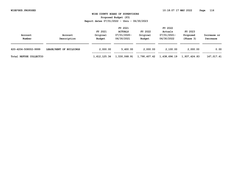|                        |                         |              | FY 2021        |              | FY 2022      |              |             |
|------------------------|-------------------------|--------------|----------------|--------------|--------------|--------------|-------------|
|                        |                         | FY 2021      | <b>ACTUALS</b> | FY 2022      | Actuals      | FY 2023      |             |
| Account                | Account                 | Original     | 07/01/2020-    | Original     | 07/01/2021-  | Proposed     | Increase or |
| Number                 | Description             | Budget       | 06/30/2021     | Budget       | 06/30/2022   | (Phase 3)    | Decrease    |
|                        |                         |              |                |              |              |              |             |
| 620-4204-508002-9999   | LEASE/RENT OF BUILDINGS | 2,000.00     | 5,400.00       | 2,000.00     | 2,100.00     | 2,000.00     | 0.00        |
|                        |                         |              |                |              |              |              |             |
| Total REFUSE COLLECTIO |                         | 1,612,125.34 | 1,530,068.91   | 1,790,407.42 | 1,438,696.19 | 1,937,424.83 | 147,017.41  |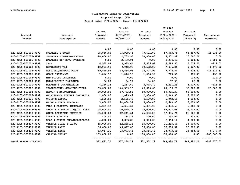**Proposed Budget (P3)**

|                       |                               | FY 2021    | FY 2021<br><b>ACTUALS</b> | FY 2022    | FY 2022<br>Actuals | FY 2023    |               |
|-----------------------|-------------------------------|------------|---------------------------|------------|--------------------|------------|---------------|
| Account               | Account                       | Original   | $07/01/2020 -$            | Original   | 07/01/2021-        | Proposed   | Increase or   |
| Number                | Description                   | Budget     | 06/30/2021                | Budget     | 06/30/2022         | (Phase 3)  | Decrease      |
|                       |                               | 0.00       | 0.00                      | 0.00       | 0.00               | 0.00       | 0.00          |
| 620-4205-501001-9999  | SALARIES & WAGES              | 75,830.00  | 75,929.44                 | 79,621.00  | 57,563.75          | 68,387.00  | $-11, 234.00$ |
| 620-4205-501002-9999  | SALARIES & WAGES-OVERTIME     | 10,000.00  | 4,703.95                  | 10,000.00  | 3,401.89           | 10,000.00  | 0.00          |
| 620-4205-501005-9999  | SALARIES OFF-DUTY OVERTIME    | 0.00       | 2,439.94                  | 0.00       | 2,234.49           | 3,000.00   | 3,000.00      |
| 620-4205-502001-9999  | <b>FICA</b>                   | 6,565.99   | 5,935.61                  | 6,856.02   | 4,593.37           | 6,034.00   | $-822.02$     |
| 620-4205-502002-9999  | <b>RETIREMENT-VRS</b>         | 10,001.98  | 9,948.96                  | 10,502.02  | 7,476.84           | 9,027.00   | $-1,475.02$   |
| 620-4205-502005-9999  | HOSPITAL/MEDICAL PLANS        | 19,615.92  | 18,656.06                 | 18,727.92  | 7,773.54           | 7,413.60   | $-11, 314.32$ |
| 620-4205-502006-9999  | <b>GROUP INSURANCE</b>        | 1,016.12   | 1,016.16                  | 1,066.92   | 763.56             | 916.00     | $-150.92$     |
| 620-4205-502008-9999  | MED FLIGHT INSURANCE          | 0.00       | 0.00                      | 0.00       | 0.00               | 120.00     | 120.00        |
| 620-4205-502009-9999  | UNEMPLOYMENT INSURANCE        | 36.80      | 84.79                     | 84.80      | 87.33              | 85.00      | 0.20          |
| 620-4205-502011-9999  | WORKMEN'S COMPENSATION        | 4,246.38   | 4,267.60                  | 3,845.70   | 4,231.23           | 3,029.52   | $-816.18$     |
| 620-4205-503002-9999  | PROFESSIONAL SERVICES-OTHER   | 65,000.00  | 144,339.16                | 65,000.00  | 87,158.20          | 90,000.00  | 25,000.00     |
| 620-4205-503004-9999  | REPAIR & MAINTENANCE          | 60,000.00  | 59,733.82                 | 60,000.00  | 59,985.37          | 60,000.00  | 0.00          |
| 620-4205-503005-9999  | MAINTENANCE SERVICE CONTRACTS | 2,000.00   | 2,029.49                  | 2,000.00   | 2,063.95           | 2,000.00   | 0.00          |
| 620-4205-503011-9999  | UNIFORM RENTAL                | 4,500.00   | 2,575.46                  | 4,500.00   | 1,942.65           | 4,500.00   | 0.00          |
| 620-4205-505103-9999  | WATER & SEWER SERVICES        | 5,000.00   | 24,008.57                 | 5,000.00   | 2,663.80           | 5,000.00   | 0.00          |
| 620-4205-505302-9999  | FIRE & PROPERTY INSURANCE     | 5,381.32   | 5,384.60                  | 5,381.32   | 5,384.60           | 5,381.32   | 0.00          |
| 620-4205-505408-9999  | VEHICLE & POWERED EQUIP. SUPP | 75,000.00  | 70,629.22                 | 75,000.00  | 83,077.08          | 75,000.00  | 0.00          |
| 620-4205-505413-9999  | OTHER OPERATING SUPPLIES      | 25,000.00  | 42,041.64                 | 25,000.00  | 17,986.76          | 25,000.00  | 0.00          |
| 620-4205-505414-9999  | SAFETY SUPPLIES               | 400.00     | 384.29                    | 400.00     | 334.92             | 400.00     | 0.00          |
| 620-4205-505416-9999  | ROAD & STREET REPAIR/SUPPLIES | 4,000.00   | 3,833.85                  | 4,000.00   | 2,099.14           | 4,000.00   | 0.00          |
| 620-4205-505417-9999  | VEHICLE TIRES & PARTS         | 15,000.00  | 12,285.32                 | 15,000.00  | 11,235.44          | 15,000.00  | 0.00          |
| 620-4205-505418-9999  | <b>VEHICLE PARTS</b>          | 36,000.00  | 43,877.00                 | 36,000.00  | 33,539.31          | 36,000.00  | 0.00          |
| 620-4205-505426-9999  | VEHICLE LEASE                 | 43,037.21  | 23,073.46                 | 23,566.42  | 23,073.46          | 18,588.66  | $-4,977.76$   |
| 620-4205-507010-9999  | CAPITAL OUTLAY                | 105,000.00 | 0.00                      | 180,000.00 | 150,418.03         | 0.00       | $-180,000.00$ |
| Total REFUSE DISPOSAL |                               | 572,631.72 | 557,178.39                | 631,552.12 | 569,088.71         | 448,882.10 | $-182,670.02$ |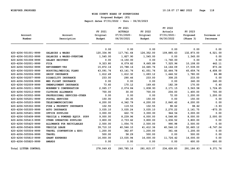**Proposed Budget (P3)**

| Account                     | Account                       | FY 2021<br>Original | FY 2021<br><b>ACTUALS</b><br>$07/01/2020 -$ | FY 2022<br>Original | FY 2022<br>Actuals<br>07/01/2021- | FY 2023<br>Proposed | Increase or |
|-----------------------------|-------------------------------|---------------------|---------------------------------------------|---------------------|-----------------------------------|---------------------|-------------|
| Number                      | Description                   | Budget              | 06/30/2021                                  | Budget              | 06/30/2022                        | (Phase 3)           | Decrease    |
|                             |                               | 0.00                | 0.00                                        | 0.00                | 0.00                              | 0.00                | 0.00        |
| 620-4206-501001-9999        | SALARIES & WAGES              | 120,334.90          | 117,741.64                                  | 126,352.00          | 109,885.63                        | 132,873.00          | 6,521.00    |
| 620-4206-501002-9999        | SALARIES & WAGES-OVERTIME     | 1,545.00            | 1,827.90                                    | 1,545.00            | 0.00                              | 1,545.00            | 0.00        |
| 620-4206-501008-9999        | SALARY RECOVERY               | 0.00                | $-4, 150.00$                                | 0.00                | $-1,760.00$                       | 0.00                | 0.00        |
| 620-4206-502001-9999        | <b>FICA</b>                   | 9,323.80            | 8,079.82                                    | 9,665.89            | 7,525.96                          | 10,108.00           | 442.11      |
| 620-4206-502002-9999        | RETIREMENT-VRS                | 15,872.16           | 15,788.16                                   | 16,665.76           | 14, 164.09                        | 17,539.00           | 873.24      |
| 620-4206-502005-9999        | HOSPITAL/MEDICAL PLANS        | 43,091.76           | 43, 141. 76                                 | 41,051.76           | 32,464.78                         | 45,659.76           | 4,608.00    |
| 620-4206-502006-9999        | GROUP INSURANCE               | 1,612.49            | 1,612.32                                    | 1,693.12            | 1,446.52                          | 1,780.00            | 86.88       |
| 620-4206-502007-9999        | DISABILITY INSURANCE          | 233.00              | 290.46                                      | 233.00              | 308.25                            | 233.00              | 0.00        |
| 620-4206-502008-9999        | MED FLIGHT INSURANCE          | 0.00                | 0.00                                        | 0.00                | 0.00                              | 240.00              | 240.00      |
| 620-4206-502009-9999        | UNEMPLOYMENT INSURANCE        | 73.60               | 170.12                                      | 169.60              | 182.39                            | 170.00              | 0.40        |
| 620-4206-502011-9999        | WORKMEN'S COMPENSATION        | 2,065.17            | 2,074.84                                    | 1,838.93            | 2,171.15                          | 3,563.58            | 1,724.65    |
| 620-4206-502012-9999        | CLOTHING ALLOWANCE            | 700.00              | 30.00                                       | 700.00              | 204.00                            | 1,400.00            | 700.00      |
| 620-4206-503002-9999        | PROFESSIONAL SERVICES-OTHER   | 0.00                | 0.00                                        | 0.00                | 72.00                             | 1,200.00            | 1,200.00    |
| 620-4206-505201-9999        | POSTAL SERVICES               | 150.00              | 26.35                                       | 150.00              | 0.00                              | 150.00              | 0.00        |
| 620-4206-505203-9999        | TELECOMMUNICATIONS            | 4,200.00            | 4,342.79                                    | 4,200.00            | 2,840.42                          | 4,200.00            | 0.00        |
| 620-4206-505302-9999        | FIRE & PROPERTY INSURANCE     | 102.55              | 119.53                                      | 102.55              | 98.62                             | 98.62               | $-3.93$     |
| 620-4206-505305-9999        | <b>AUTO INSURANCE</b>         | 3,035.10            | 3,035.24                                    | 3,035.10            | 2,270.22                          | 2,161.75            | $-873.35$   |
| 620-4206-505401-9999        | OFFICE SUPPLIES               | 3,000.00            | 622.70                                      | 3,000.00            | 944.54                            | 3,000.00            | 0.00        |
| 620-4206-505408-9999        | VEHICLE & POWERED EQUIP. SUPP | 9,000.00            | 8,239.96                                    | 6,000.00            | 6,548.80                          | 8,000.00            | 2,000.00    |
| 620-4206-505413-9999        | OTHER OPERATING SUPPLIES      | 3,800.00            | 2,733.62                                    | 3,800.00            | 1,636.52                          | 3,800.00            | 0.00        |
| 620-4206-505425-9999        | ALLOWANCE FOR RECYCLABLES     | 2,500.00            | 1,054.75                                    | 2,500.00            | 990.98                            | 2,500.00            | 0.00        |
| 620-4206-505426-9999        | VEHICLE LEASE                 | 39,710.10           | 40,546.10                                   | 41, 412.36          | 40,546.10                         | 32,665.12           | $-8,747.24$ |
| 620-4206-505504-9999        | TRAVEL (CONVENTION & EDU)     | 1,200.00            | 362.87                                      | 1,200.00            | 361.44                            | 1,200.00            | 0.00        |
| 620-4206-505506-9999        | <b>TRAVEL</b>                 | 500.00              | 58.29                                       | 500.00              | 0.00                              | 500.00              | 0.00        |
| 620-4206-505810-9999        | <b>GRANT EXPENSES</b>         | 16,000.00           | 13,035.94                                   | 16,000.00           | 11,726.42                         | 16,000.00           | 0.00        |
| 620-4206-505820-9999        | <b>AWARDS</b>                 | 0.00                | 0.00                                        | 0.00                | 0.00                              | 600.00              | 600.00      |
| <b>Total LITTER CONTROL</b> |                               | 278,049.63          | 260,785.16                                  | 281,815.07          | 234,628.83                        | 291,186.83          | 9,371.76    |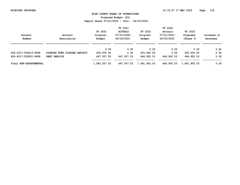**Proposed Budget (P3)**

|                        |                              |              | FY 2021        |              | FY 2022     |              |             |
|------------------------|------------------------------|--------------|----------------|--------------|-------------|--------------|-------------|
|                        |                              | FY 2021      | <b>ACTUALS</b> | FY 2022      | Actuals     | FY 2023      |             |
| Account                | Account                      | Original     | $07/01/2020 -$ | Original     | 07/01/2021- | Proposed     | Increase or |
| Number                 | Description                  | Budget       | 06/30/2021     | Budget       | 06/30/2022  | (Phase 3)    | Decrease    |
|                        |                              | 0.00         | 0.00           | 0.00         | 0.00        | 0.00         | 0.00        |
| 620-4317-509013-9999   | SINKING FUND CLOSURE DEPOSIT | 435,000.00   | 0.00           | 435,000.00   | 0.00        | 435,000.00   | 0.00        |
| 620-4317-509501-9999   | DEBT SERVICE                 | 647,507.53   | 647,507.53     | 646,952.53   | 646,952.53  | 646,952.53   | 0.00        |
| Total NON-DEPARTMENTAL |                              | 1,082,507.53 | 647,507.53     | 1,081,952.53 | 646,952.53  | 1,081,952.53 | 0.00        |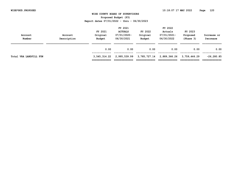| Account<br>Number      | Account<br>Description | FY 2021<br>Original<br>Budget | FY 2021<br><b>ACTUALS</b><br>07/01/2020-<br>06/30/2021 | FY 2022<br>Original<br>Budget | FY 2022<br>Actuals<br>07/01/2021-<br>06/30/2022 | FY 2023<br>Proposed<br>(Phase 3) | Increase or<br>Decrease       |
|------------------------|------------------------|-------------------------------|--------------------------------------------------------|-------------------------------|-------------------------------------------------|----------------------------------|-------------------------------|
|                        |                        | 0.00                          | 0.00                                                   | 0.00                          | 0.00                                            | 0.00                             | 0.00                          |
| Total VRA LANDFILL FUN |                        | 3,545,314.22<br>============= | 2,995,539.99<br>============                           | 3,785,727.14<br>============= | 2,889,366.26                                    | 3,759,446.29                     | $-26, 280.85$<br>============ |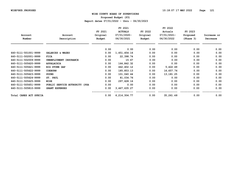**Proposed Budget (P3)**

|                        |                               |          | FY 2021        |          | FY 2022     |           |             |
|------------------------|-------------------------------|----------|----------------|----------|-------------|-----------|-------------|
|                        |                               | FY 2021  | <b>ACTUALS</b> | FY 2022  | Actuals     | FY 2023   |             |
| Account                | Account                       | Original | $07/01/2020 -$ | Original | 07/01/2021- | Proposed  | Increase or |
| Number                 | Description                   | Budget   | 06/30/2021     | Budget   | 06/30/2022  | (Phase 3) | Decrease    |
|                        |                               | 0.00     | 0.00           | 0.00     | 0.00        | 0.00      | 0.00        |
| 640-5111-501001-9999   | SALARIES & WAGES              | 0.00     | 1,451,454.16   | 0.00     | 0.00        | 0.00      | 0.00        |
| 640-5111-502001-9999   | <b>FICA</b>                   | 0.00     | 22,398.74      | 0.00     | 0.00        | 0.00      | 0.00        |
| 640-5111-502009-9999   | UNEMPLOYMENT INSURANCE        | 0.00     | 15.67          | 0.00     | 0.00        | 0.00      | 0.00        |
| 640-5111-505620-9999   | APPALACHIA                    | 0.00     | 164,842.32     | 0.00     | 0.00        | 0.00      | 0.00        |
| 640-5111-505621-9999   | <b>BIG STONE GAP</b>          | 0.00     | 442,402.12     | 0.00     | 5,422.49    | 0.00      | 0.00        |
| 640-5111-505622-9999   | <b>COEBURN</b>                | 0.00     | 185,853.13     | 0.00     | 16,657.74   | 0.00      | 0.00        |
| 640-5111-505623-9999   | <b>POUND</b>                  | 0.00     | 101,040.44     | 0.00     | 13, 181. 25 | 0.00      | 0.00        |
| 640-5111-505624-9999   | ST. PAUL                      | 0.00     | 81,034.76      | 0.00     | 0.00        | 0.00      | 0.00        |
| 640-5111-505625-9999   | WISE                          | 0.00     | 297,628.16     | 0.00     | 0.00        | 0.00      | 0.00        |
| 640-5111-505651-9999   | PUBLIC SERVICE AUTHORITY (PSA | 0.00     | 0.00           | 0.00     | 0.00        | 0.00      | 0.00        |
| 640-5111-505810-9999   | <b>GRANT EXPENSES</b>         | 0.00     | 3,467,635.27   | 0.00     | 0.00        | 0.00      | 0.00        |
| Total CARES ACT SPECIA |                               | 0.00     | 6,214,304.77   | 0.00     | 35,261.48   | 0.00      | 0.00        |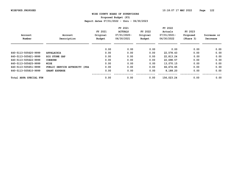**Proposed Budget (P3)**

|                        |                               |          | FY 2021        |          | FY 2022     |           |             |
|------------------------|-------------------------------|----------|----------------|----------|-------------|-----------|-------------|
|                        |                               | FY 2021  | <b>ACTUALS</b> | FY 2022  | Actuals     | FY 2023   |             |
| Account                | Account                       | Original | 07/01/2020-    | Original | 07/01/2021- | Proposed  | Increase or |
| Number                 | Description                   | Budget   | 06/30/2021     | Budget   | 06/30/2022  | (Phase 3) | Decrease    |
|                        |                               | 0.00     | 0.00           | 0.00     | 0.00        | 0.00      | 0.00        |
| 640-5113-505620-9999   | APPALACHIA                    | 0.00     | 0.00           | 0.00     | 22,578.43   | 0.00      | 0.00        |
| 640-5113-505621-9999   | <b>BIG STONE GAP</b>          | 0.00     | 0.00           | 0.00     | 22,813.24   | 0.00      | 0.00        |
| 640-5113-505622-9999   | <b>COEBURN</b>                | 0.00     | 0.00           | 0.00     | 22,698.57   | 0.00      | 0.00        |
| 640-5113-505625-9999   | WISE                          | 0.00     | 0.00           | 0.00     | 13,070.15   | 0.00      | 0.00        |
| 640-5113-505651-9999   | PUBLIC SERVICE AUTHORITY (PSA | 0.00     | 0.00           | 0.00     | 66,674.65   | 0.00      | 0.00        |
| 640-5113-505810-9999   | <b>GRANT EXPENSE</b>          | 0.00     | 0.00           | 0.00     | 8,188.20    | 0.00      | 0.00        |
| Total ARPA SPECIAL FUN |                               | 0.00     | 0.00           | 0.00     | 156,023.24  | 0.00      | 0.00        |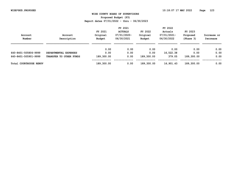**Proposed Budget (P3)**

| Account<br>Number             | Account<br>Description  | FY 2021<br>Original<br>Budget | FY 2021<br><b>ACTUALS</b><br>07/01/2020-<br>06/30/2021 | FY 2022<br>Original<br>Budget | FY 2022<br>Actuals<br>07/01/2021-<br>06/30/2022 | FY 2023<br>Proposed<br>(Phase 3) | Increase or<br>Decrease |
|-------------------------------|-------------------------|-------------------------------|--------------------------------------------------------|-------------------------------|-------------------------------------------------|----------------------------------|-------------------------|
|                               |                         | 0.00                          | 0.00                                                   | 0.00                          | 0.00                                            | 0.00                             | 0.00                    |
| 640-8401-505806-9999          | DEPARTMENTAL EXPENSES   | 0.00                          | 0.00                                                   | 0.00                          | 16,522.38                                       | 0.00                             | 0.00                    |
| 640-8401-505901-9999          | TRANSFER TO OTHER FUNDS | 189,300.00                    | 0.00                                                   | 189,300.00                    | 379.05                                          | 189,300.00                       | 0.00                    |
| <b>Total COURTHOUSE RENOV</b> |                         | 189,300.00                    | 0.00                                                   | 189,300.00                    | 16,901.43                                       | 189,300.00                       | 0.00                    |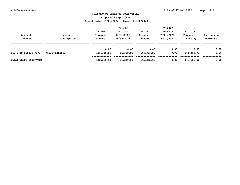**Proposed Budget (P3)**

|                        |                      | FY 2021    |                |            | FY 2022     |            |             |  |
|------------------------|----------------------|------------|----------------|------------|-------------|------------|-------------|--|
|                        |                      | FY 2021    | <b>ACTUALS</b> | FY 2022    | Actuals     | FY 2023    |             |  |
| Account                | Account              | Original   | 07/01/2020-    | Original   | 07/01/2021- | Proposed   | Increase or |  |
| Number                 | Description          | Budget     | 06/30/2021     | Budget     | 06/30/2022  | (Phase 3)  | Decrease    |  |
|                        |                      |            |                |            |             |            |             |  |
|                        |                      | 0.00       | 0.00           | 0.00       | 0.00        | 0.00       | 0.00        |  |
| 640-8419-505810-9999   | <b>GRANT EXPENSE</b> | 145,365.90 | 61,349.91      | 145,365.90 | 0.00        | 145,365.90 | 0.00        |  |
| Total DRONE INNOVATION |                      | 145,365.90 | 61,349.91      | 145,365.90 | 0.00        | 145,365.90 | 0.00        |  |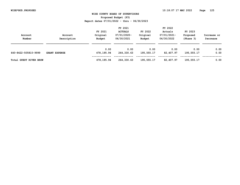**Proposed Budget (P3)**

|                        |                      | FY 2021    |                |            | FY 2022     |            |             |  |
|------------------------|----------------------|------------|----------------|------------|-------------|------------|-------------|--|
|                        |                      | FY 2021    | <b>ACTUALS</b> | FY 2022    | Actuals     | FY 2023    |             |  |
| Account                | Account              | Original   | 07/01/2020-    | Original   | 07/01/2021- | Proposed   | Increase or |  |
| Number                 | Description          | Budget     | 06/30/2021     | Budget     | 06/30/2022  | (Phase 3)  | Decrease    |  |
|                        |                      |            |                |            |             |            |             |  |
|                        |                      | 0.00       | 0.00           | 0.00       | 0.00        | 0.00       | 0.00        |  |
| 640-8422-505810-9999   | <b>GRANT EXPENSE</b> | 478,195.94 | 264,330.63     | 195,555.17 | 82,407.97   | 195,555.17 | 0.00        |  |
|                        |                      |            |                |            |             |            |             |  |
| Total GUEST RIVER BROW |                      | 478,195.94 | 264,330.63     | 195,555.17 | 82,407.97   | 195,555.17 | 0.00        |  |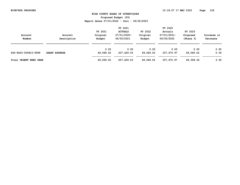**Proposed Budget (P3)**

|                               |                      | FY 2021   |                |           | FY 2022     |           |             |  |
|-------------------------------|----------------------|-----------|----------------|-----------|-------------|-----------|-------------|--|
|                               |                      | FY 2021   | <b>ACTUALS</b> | FY 2022   | Actuals     | FY 2023   |             |  |
| Account                       | Account              | Original  | 07/01/2020-    | Original  | 07/01/2021- | Proposed  | Increase or |  |
| Number                        | Description          | Budget    | 06/30/2021     | Budget    | 06/30/2022  | (Phase 3) | Decrease    |  |
|                               |                      |           |                |           |             |           |             |  |
|                               |                      | 0.00      | 0.00           | 0.00      | 0.00        | 0.00      | 0.00        |  |
| 640-8423-505810-9999          | <b>GRANT EXPENSE</b> | 49,069.02 | 207,429.03     | 49,069.02 | 337,470.97  | 49,069.02 | 0.00        |  |
|                               |                      |           |                |           |             |           |             |  |
| <b>Total URGENT NEED GRAN</b> |                      | 49,069.02 | 207,429.03     | 49,069.02 | 337,470.97  | 49,069.02 | 0.00        |  |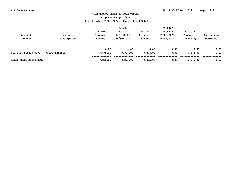**Proposed Budget (P3)**

|                        |                      | FY 2021  |                |          | FY 2022     |           |             |
|------------------------|----------------------|----------|----------------|----------|-------------|-----------|-------------|
|                        |                      | FY 2021  | <b>ACTUALS</b> | FY 2022  | Actuals     | FY 2023   |             |
| Account                | Account              | Original | 07/01/2020-    | Original | 07/01/2021- | Proposed  | Increase or |
| Number                 | Description          | Budget   | 06/30/2021     | Budget   | 06/30/2022  | (Phase 3) | Decrease    |
|                        |                      |          |                |          |             |           |             |
|                        |                      | 0.00     | 0.00           | 0.00     | 0.00        | 0.00      | 0.00        |
| 640-8424-505810-9999   | <b>GRANT EXPENSE</b> | 9,875.00 | 9,875.00       | 9,875.00 | 0.00        | 9,875.00  | 0.00        |
| Total WELLS-ADAMS SEWE |                      | 9,875.00 | 9,875.00       | 9,875.00 | 0.00        | 9,875.00  | 0.00        |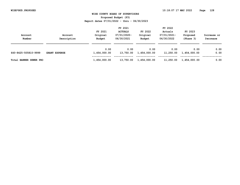| Account<br>Number             | Account<br>Description | FY 2021<br>Original<br>Budget | FY 2021<br><b>ACTUALS</b><br>07/01/2020-<br>06/30/2021 | FY 2022<br>Original<br>Budget | FY 2022<br>Actuals<br>07/01/2021-<br>06/30/2022 | FY 2023<br>Proposed<br>(Phase 3) | Increase or<br>Decrease |
|-------------------------------|------------------------|-------------------------------|--------------------------------------------------------|-------------------------------|-------------------------------------------------|----------------------------------|-------------------------|
| 640-8425-505810-9999          | <b>GRANT EXPENSE</b>   | 0.00<br>1,454,000.00          | 0.00<br>13,750.00                                      | 0.00<br>1,454,000.00          | 0.00<br>11,250.00                               | 0.00<br>1,454,000.00             | 0.00<br>0.00            |
| <b>Total BANNER SEWER PRO</b> |                        | 1,454,000.00                  | 13,750.00                                              | 1,454,000.00                  | 11,250.00                                       | 1,454,000.00                     | 0.00                    |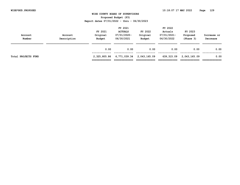|                            |             |               | FY 2021        |               | FY 2022     |              |             |
|----------------------------|-------------|---------------|----------------|---------------|-------------|--------------|-------------|
|                            |             | FY 2021       | <b>ACTUALS</b> | FY 2022       | Actuals     | FY 2023      |             |
| Account                    | Account     | Original      | $07/01/2020 -$ | Original      | 07/01/2021- | Proposed     | Increase or |
| Number                     | Description | Budget        | 06/30/2021     | Budget        | 06/30/2022  | (Phase 3)    | Decrease    |
|                            |             |               |                |               |             |              |             |
|                            |             | 0.00          | 0.00           | 0.00          | 0.00        | 0.00         | 0.00        |
|                            |             |               |                |               |             |              |             |
| <b>Total PROJECTS FUND</b> |             | 2,325,805.86  | 6,771,039.34   | 2,043,165.09  | 639,315.09  | 2,043,165.09 | 0.00        |
|                            |             | ============= | ============   | ============= |             |              |             |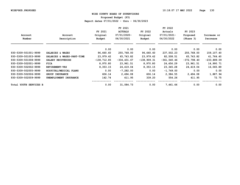**Proposed Budget (P3)**

|                        |                            |             | FY 2021        |               | FY 2022        |               |               |
|------------------------|----------------------------|-------------|----------------|---------------|----------------|---------------|---------------|
|                        |                            | FY 2021     | <b>ACTUALS</b> | FY 2022       | Actuals        | FY 2023       |               |
| Account                | Account                    | Original    | 07/01/2020-    | Original      | $07/01/2021 -$ | Proposed      | Increase or   |
| Number                 | Description                | Budget      | 06/30/2021     | Budget        | 06/30/2022     | (Phase 3)     | Decrease      |
|                        |                            | 0.00        | 0.00           | 0.00          | 0.00           | 0.00          | 0.00          |
| 930-5309-501001-9999   | SALARIES & WAGES           | 96,660.60   | 255,768.00     | 96,660.60     | 237,502.23     | 255,768.00    | 159,107.40    |
| 930-5309-501003-9999   | SALARIES & WAGES-PART-TIME | 23,979.42   | 65,743.82      | 23,979.42     | 82,508.51      | 65,743.82     | 41,764.40     |
| 930-5309-501008-9999   | SALARY RECOVERIES          | -138,712.85 | $-334, 431.67$ | $-138,909.31$ | $-361,540.46$  | $-372,798.40$ | $-233,889.09$ |
| 930-5309-502001-9999   | <b>FICA</b>                | 8,970.80    | 23,961.51      | 8,970.80      | 24,456.29      | 23,961.51     | 14,990.71     |
| 930-5309-502002-9999   | <b>RETIREMENT-VRS</b>      | 8,353.15    | 24,419.04      | 8,353.15      | 23, 345. 28    | 24,419.04     | 16,065.89     |
| 930-5309-502005-9999   | HOSPITAL/MEDICAL PLANS     | 0.00        | $-7,282.00$    | 0.00          | $-1,749.00$    | 0.00          | 0.00          |
| 930-5309-502006-9999   | <b>GROUP INSURANCE</b>     | 606.14      | 2,494.08       | 606.14        | 2,384.55       | 2,494.08      | 1,887.94      |
| 930-5309-502009-9999   | UNEMPLOYMENT INSURANCE     | 142.74      | 411.95         | 339.20        | 554.26         | 411.95        | 72.75         |
| Total YOUTH SERVICES B |                            | 0.00        | 31,084.73      | 0.00          | 7,461.66       | 0.00          | 0.00          |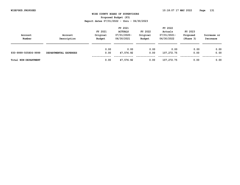**Proposed Budget (P3)**

| Account<br>Number    | Account<br>Description | FY 2021<br>Original<br>Budget | FY 2021<br><b>ACTUALS</b><br>07/01/2020-<br>06/30/2021 | FY 2022<br>Original<br>Budget | FY 2022<br>Actuals<br>07/01/2021-<br>06/30/2022 | FY 2023<br>Proposed<br>(Phase 3) | Increase or<br>Decrease |
|----------------------|------------------------|-------------------------------|--------------------------------------------------------|-------------------------------|-------------------------------------------------|----------------------------------|-------------------------|
| 930-9999-505806-9999 | DEPARTMENTAL EXPENSES  | 0.00<br>0.00                  | 0.00<br>47,576.92                                      | 0.00<br>0.00                  | 0.00<br>107,272.75                              | 0.00<br>0.00                     | 0.00<br>0.00            |
| Total NON-DEPARTMENT |                        | 0.00                          | 47,576.92                                              | 0.00                          | 107,272.75                                      | 0.00                             | 0.00                    |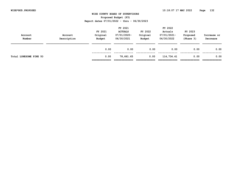|                        |                        | FY 2021               | FY 2021<br><b>ACTUALS</b> | FY 2022            | FY 2022<br>Actuals        | FY 2023               |                         |
|------------------------|------------------------|-----------------------|---------------------------|--------------------|---------------------------|-----------------------|-------------------------|
| Account<br>Number      | Account<br>Description | Original<br>Budget    | 07/01/2020-<br>06/30/2021 | Original<br>Budget | 07/01/2021-<br>06/30/2022 | Proposed<br>(Phase 3) | Increase or<br>Decrease |
|                        |                        | 0.00                  | 0.00                      | 0.00               | 0.00                      | 0.00                  | 0.00                    |
| Total LONESOME PINE YO |                        | 0.00<br>============= | 78,661.65                 | 0.00               | 114,734.41                | 0.00                  | 0.00                    |